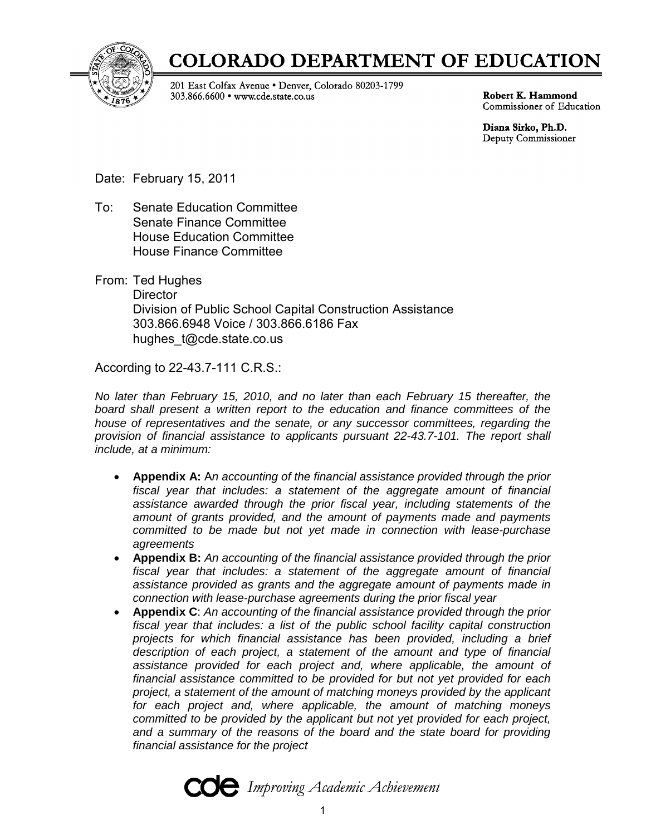

# **COLORADO DEPARTMENT OF EDUCATION**

201 East Colfax Avenue . Denver, Colorado 80203-1799 303.866.6600 • www.cde.state.co.us

Robert K. Hammond Commissioner of Education

Diana Sirko, Ph.D. Deputy Commissioner

Date: February 15, 2011

To: Senate Education Committee Senate Finance Committee House Education Committee House Finance Committee

From: Ted Hughes **Director** Division of Public School Capital Construction Assistance 303.866.6948 Voice / 303.866.6186 Fax hughes  $t@cde.state.co.us$ 

According to 22-43.7-111 C.R.S.:

*No later than February 15, 2010, and no later than each February 15 thereafter, the board shall present a written report to the education and finance committees of the house of representatives and the senate, or any successor committees, regarding the provision of financial assistance to applicants pursuant 22-43.7-101. The report shall include, at a minimum:* 

- **Appendix A:** A*n accounting of the financial assistance provided through the prior fiscal year that includes: a statement of the aggregate amount of financial assistance awarded through the prior fiscal year, including statements of the amount of grants provided, and the amount of payments made and payments committed to be made but not yet made in connection with lease-purchase agreements*
- **Appendix B:** *An accounting of the financial assistance provided through the prior fiscal year that includes: a statement of the aggregate amount of financial assistance provided as grants and the aggregate amount of payments made in connection with lease-purchase agreements during the prior fiscal year*
- **Appendix C**: *An accounting of the financial assistance provided through the prior fiscal year that includes: a list of the public school facility capital construction projects for which financial assistance has been provided, including a brief description of each project, a statement of the amount and type of financial assistance provided for each project and, where applicable, the amount of financial assistance committed to be provided for but not yet provided for each project, a statement of the amount of matching moneys provided by the applicant for each project and, where applicable, the amount of matching moneys committed to be provided by the applicant but not yet provided for each project, and a summary of the reasons of the board and the state board for providing financial assistance for the project*

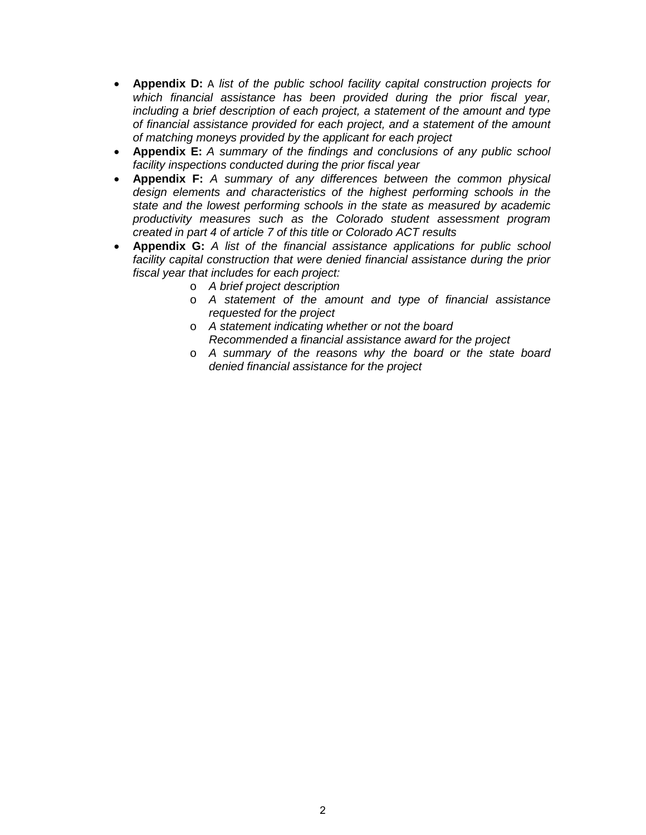- **Appendix D:** A *list of the public school facility capital construction projects for which financial assistance has been provided during the prior fiscal year, including a brief description of each project, a statement of the amount and type of financial assistance provided for each project, and a statement of the amount of matching moneys provided by the applicant for each project*
- **Appendix E:** *A summary of the findings and conclusions of any public school facility inspections conducted during the prior fiscal year*
- **Appendix F:** *A summary of any differences between the common physical design elements and characteristics of the highest performing schools in the state and the lowest performing schools in the state as measured by academic productivity measures such as the Colorado student assessment program created in part 4 of article 7 of this title or Colorado ACT results*
- **Appendix G:** *A list of the financial assistance applications for public school facility capital construction that were denied financial assistance during the prior fiscal year that includes for each project:*
	- o *A brief project description*
	- o *A statement of the amount and type of financial assistance requested for the project*
	- o *A statement indicating whether or not the board Recommended a financial assistance award for the project*
	- o *A summary of the reasons why the board or the state board denied financial assistance for the project*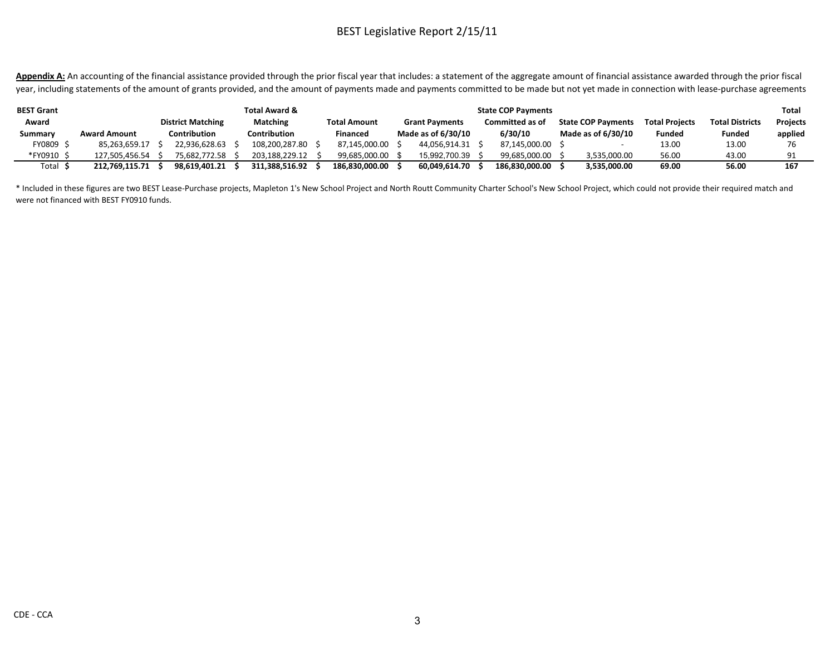Appendix A: An accounting of the financial assistance provided through the prior fiscal year that includes: a statement of the aggregate amount of financial assistance awarded through the prior fiscal year, including statements of the amount of grants provided, and the amount of payments made and payments committed to be made but not yet made in connection with lease-purchase agreements

| <b>BEST Grant</b> |                     |                          | <b>Total Award &amp;</b> |                     | <b>State COP Payments</b> |                       |  |                        |  |                           |                       |                        | Total           |
|-------------------|---------------------|--------------------------|--------------------------|---------------------|---------------------------|-----------------------|--|------------------------|--|---------------------------|-----------------------|------------------------|-----------------|
| Award             |                     | <b>District Matching</b> | Matching                 | <b>Total Amount</b> |                           | <b>Grant Payments</b> |  | <b>Committed as of</b> |  | <b>State COP Payments</b> | <b>Total Projects</b> | <b>Total Districts</b> | <b>Projects</b> |
| Summary           | <b>Award Amount</b> | Contribution             | <b>Contribution</b>      | <b>Financed</b>     |                           | Made as of 6/30/10    |  | 6/30/10                |  | Made as of 6/30/10        | <b>Funded</b>         | <b>Funded</b>          | applied         |
| FY0809 9          | 85.263.659.17       | 22.936.628.63            | 108.200.287.80           | 87.145.000.00       |                           | 44,056,914.31         |  | 87,145,000.00          |  |                           | 13.00                 | 13.00                  | 76              |
| *FY0910 \$        | 127.505.456.54      | 75.682.772.58            | 203.188.229.12           | 99.685.000.00       |                           | 15.992.700.39         |  | 99.685.000.00          |  | 3,535,000.00              | 56.00                 | 43.00                  | 91              |
| Total \$          | 212.769.115.71      | 98.619.401.21            | 311.388.516.92           | 186.830.000.00      |                           | 60.049.614.70         |  | 186.830.000.00         |  | 3,535,000.00              | 69.00                 | 56.00                  | 167             |

\* Included in these figures are two BEST Lease-Purchase projects, Mapleton 1's New School Project and North Routt Community Charter School's New School Project, which could not provide their required match and were not financed with BEST FY0910 funds.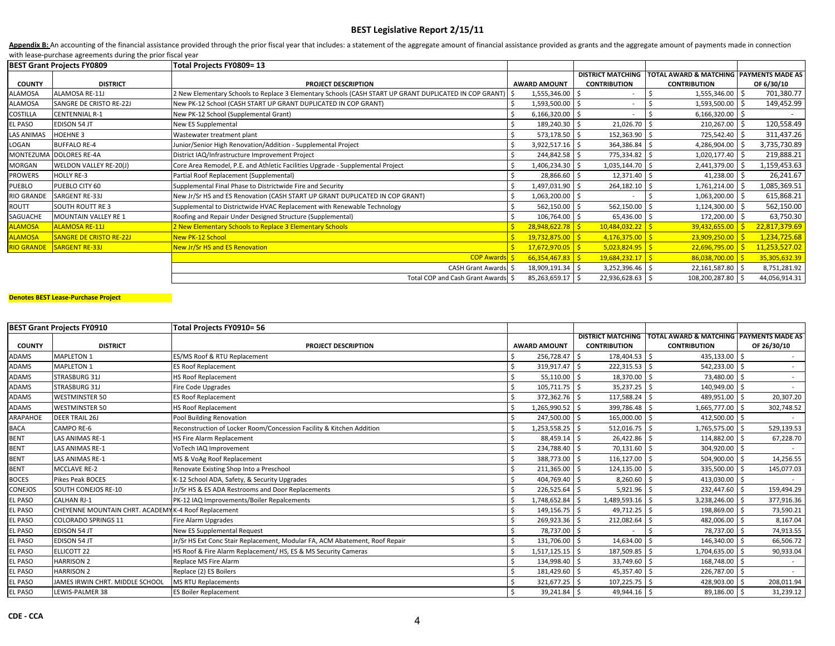Appendix B: An accounting of the financial assistance provided through the prior fiscal year that includes: a statement of the aggregate amount of financial assistance provided as grants and the aggregate amount of payment with lease‐purchase agreements during the prior fiscal year

|                   | <b>BEST Grant Projects FY0809</b> | Total Projects FY0809= 13                                                                                    |     |                     |                          |                                                    |               |
|-------------------|-----------------------------------|--------------------------------------------------------------------------------------------------------------|-----|---------------------|--------------------------|----------------------------------------------------|---------------|
|                   |                                   |                                                                                                              |     |                     | <b>DISTRICT MATCHING</b> | <b>TOTAL AWARD &amp; MATCHING PAYMENTS MADE AS</b> |               |
| <b>COUNTY</b>     | <b>DISTRICT</b>                   | <b>PROJECT DESCRIPTION</b>                                                                                   |     | <b>AWARD AMOUNT</b> | <b>CONTRIBUTION</b>      | <b>CONTRIBUTION</b>                                | OF 6/30/10    |
| ALAMOSA           | ALAMOSA RE-11J                    | S New Elementary Schools to Replace 3 Elementary Schools (CASH START UP GRANT DUPLICATED IN COP GRANT) 2 2 2 |     | 1,555,346.00 \$     |                          | 1,555,346.00                                       | 701,380.77    |
| ALAMOSA           | SANGRE DE CRISTO RE-22J           | New PK-12 School (CASH START UP GRANT DUPLICATED IN COP GRANT)                                               |     | 1,593,500.00        |                          | 1,593,500.00                                       | 149,452.99    |
| COSTILLA          | <b>CENTENNIAL R-1</b>             | New PK-12 School (Supplemental Grant)                                                                        |     | $6,166,320.00$ \$   |                          | $6,166,320.00$ \$                                  |               |
| EL PASO           | <b>EDISON 54 JT</b>               | New ES Supplemental                                                                                          |     | 189,240.30 \$       | 21,026.70                | 210,267.00 \$                                      | 120,558.49    |
| LAS ANIMAS        | <b>HOEHNE 3</b>                   | Wastewater treatment plant                                                                                   |     | 573,178.50 \$       | 152,363.90               | 725,542.40                                         | 311,437.26    |
| LOGAN             | <b>BUFFALO RE-4</b>               | Iunior/Senior High Renovation/Addition - Supplemental Project                                                |     | 3,922,517.16 \$     | 364,386.84               | 4,286,904.00                                       | 3,735,730.89  |
|                   | MONTEZUMA DOLORES RE-4A           | District IAQ/Infrastructure Improvement Project                                                              |     | 244,842.58          | 775,334.82               | 1,020,177.40                                       | 219,888.21    |
| MORGAN            | WELDON VALLEY RE-20(J)            | Core Area Remodel, P.E. and Athletic Facilities Upgrade - Supplemental Project                               |     | 1,406,234.30 \$     | 1,035,144.70             | 2,441,379.00                                       | 1,159,453.63  |
| PROWERS           | <b>HOLLY RE-3</b>                 | Partial Roof Replacement (Supplemental)                                                                      |     | 28,866.60           | 12,371.40                | 41,238.00                                          | 26,241.67     |
| PUEBLO            | PUEBLO CITY 60                    | Supplemental Final Phase to Districtwide Fire and Security                                                   |     | 1,497,031.90 \$     | 264,182.10               | 1,761,214.00                                       | 1,085,369.51  |
| <b>RIO GRANDE</b> | SARGENT RE-33J                    | New Jr/Sr HS and ES Renovation (CASH START UP GRANT DUPLICATED IN COP GRANT)                                 |     | 1,063,200.00        |                          | 1,063,200.00                                       | 615,868.21    |
| ROUTT             | <b>SOUTH ROUTT RE3</b>            | Supplemental to Districtwide HVAC Replacement with Renewable Technology                                      |     | 562,150.00 \$       | 562,150.00               | 1,124,300.00                                       | 562,150.00    |
| SAGUACHE          | MOUNTAIN VALLEY RE 1              | Roofing and Repair Under Designed Structure (Supplemental)                                                   |     | 106,764.00 \$       | 65,436.00                | 172,200.00                                         | 63,750.30     |
| <b>ALAMOSA</b>    | <b>ALAMOSA RE-11J</b>             | 2 New Elementary Schools to Replace 3 Elementary Schools                                                     |     | 28,948,622.78       | 10,484,032.22            | 39,432,655.00                                      | 22,817,379.69 |
| <b>ALAMOSA</b>    | <b>SANGRE DE CRISTO RE-22J</b>    | <b>New PK-12 School</b>                                                                                      |     | $19,732,875.00$ \$  | 4,176,375.00             | 23,909,250.00                                      | 1,234,725.68  |
|                   | RIO GRANDE SARGENT RE-33J         | New Jr/Sr HS and ES Renovation                                                                               | -S. | $17,672,970.05$ \$  | 5,023,824.95             | $22,696,795.00$ \$                                 | 11,253,527.02 |
|                   |                                   | <b>COP Awards S</b>                                                                                          |     | 66,354,467.83       | 19,684,232.17            | 86,038,700.00                                      | 35,305,632.39 |
|                   |                                   | CASH Grant Awards S                                                                                          |     | 18,909,191.34 \$    | 3,252,396.46             | 22,161,587.80 \$                                   | 8,751,281.92  |
|                   |                                   | Total COP and Cash Grant Awards \$                                                                           |     | 85,263,659.17 \$    | 22,936,628.63            | 108,200,287.80 \$                                  | 44,056,914.31 |

#### **Denotes BEST Lease‐Purchase Project**

|               | <b>BEST Grant Projects FY0910</b>                    | Total Projects FY0910= 56                                                   |                     |                          |                                         |             |
|---------------|------------------------------------------------------|-----------------------------------------------------------------------------|---------------------|--------------------------|-----------------------------------------|-------------|
|               |                                                      |                                                                             |                     | <b>DISTRICT MATCHING</b> | TOTAL AWARD & MATCHING PAYMENTS MADE AS |             |
| <b>COUNTY</b> | <b>DISTRICT</b>                                      | <b>PROJECT DESCRIPTION</b>                                                  | <b>AWARD AMOUNT</b> | <b>CONTRIBUTION</b>      | <b>CONTRIBUTION</b>                     | OF 26/30/10 |
| <b>ADAMS</b>  | <b>MAPLETON 1</b>                                    | ES/MS Roof & RTU Replacement                                                | 256,728.47          | 178,404.53               | 435,133.00                              |             |
| ADAMS         | <b>MAPLETON 1</b>                                    | <b>ES Roof Replacement</b>                                                  | 319,917.47 \$       | 222,315.53               | 542,233.00                              |             |
| ADAMS         | <b>STRASBURG 31J</b>                                 | <b>HS Roof Replacement</b>                                                  | $55,110.00$ \$      | 18,370.00                | 73,480.00                               |             |
| ADAMS         | <b>STRASBURG 31J</b>                                 | Fire Code Upgrades                                                          | 105,711.75          | 35,237.25                | 140,949.00                              |             |
| ADAMS         | <b>WESTMINSTER 50</b>                                | ES Roof Replacement                                                         | 372,362.76 \$       | 117,588.24               | 489,951.00                              | 20,307.20   |
| ADAMS         | <b>WESTMINSTER 50</b>                                | <b>HS Roof Replacement</b>                                                  | 1,265,990.52 \$     | 399,786.48               | 1,665,777.00                            | 302,748.52  |
| ARAPAHOE      | DEER TRAIL 26J                                       | Pool Building Renovation                                                    | 247,500.00 \$       | 165,000.00               | 412,500.00 \$                           |             |
| <b>BACA</b>   | CAMPO RE-6                                           | Reconstruction of Locker Room/Concession Facility & Kitchen Addition        | $1,253,558.25$ \$   | 512,016.75               | 1,765,575.00                            | 529,139.53  |
| <b>BENT</b>   | LAS ANIMAS RE-1                                      | HS Fire Alarm Replacement                                                   | 88,459.14 \$        | 26,422.86                | 114,882.00                              | 67,228.70   |
| <b>BENT</b>   | LAS ANIMAS RE-1                                      | VoTech IAQ Improvement                                                      | 234,788.40 \$       | 70,131.60                | 304,920.00                              |             |
| <b>BENT</b>   | LAS ANIMAS RE-1                                      | MS & VoAg Roof Replacement                                                  | 388,773.00 \$       | 116,127.00               | 504,900.00                              | 14,256.55   |
| <b>BENT</b>   | <b>MCCLAVE RE-2</b>                                  | Renovate Existing Shop Into a Preschool                                     | 211,365.00          | 124,135.00               | 335,500.00                              | 145,077.03  |
| <b>BOCES</b>  | Pikes Peak BOCES                                     | K-12 School ADA, Safety, & Security Upgrades                                | 404,769.40 \$       | 8,260.60                 | 413,030.00                              |             |
| CONEJOS       | <b>SOUTH CONEJOS RE-10</b>                           | Jr/Sr HS & ES ADA Restrooms and Door Replacements                           | 226,525.64 \$       | 5,921.96                 | 232,447.60                              | 159,494.29  |
| EL PASO       | CALHAN RJ-1                                          | PK-12 IAQ Improvements/Boiler Repalcements                                  | 1,748,652.84        | 1,489,593.16             | 3,238,246.00                            | 377,916.36  |
| EL PASO       | CHEYENNE MOUNTAIN CHRT. ACADEMY K-4 Roof Replacement |                                                                             | 149,156.75 \$       | 49,712.25                | 198,869.00                              | 73,590.21   |
| EL PASO       | <b>COLORADO SPRINGS 11</b>                           | Fire Alarm Upgrades                                                         | 269,923.36          | 212,082.64               | 482,006.00                              | 8,167.04    |
| EL PASO       | <b>EDISON 54 JT</b>                                  | New ES Supplemental Request                                                 | 78,737.00 \$        |                          | 78,737.00                               | 74,913.55   |
| EL PASO       | <b>EDISON 54 JT</b>                                  | Jr/Sr HS Ext Conc Stair Replacement, Modular FA, ACM Abatement, Roof Repair | 131,706.00          | 14,634.00                | 146,340.00                              | 66,506.72   |
| EL PASO       | ELLICOTT 22                                          | HS Roof & Fire Alarm Replacement/ HS, ES & MS Security Cameras              | 1,517,125.15 \$     | 187,509.85               | 1,704,635.00 \$                         | 90,933.04   |
| EL PASO       | <b>HARRISON 2</b>                                    | Replace MS Fire Alarm                                                       | 134,998.40          | 33,749.60                | 168,748.00                              |             |
| EL PASO       | <b>HARRISON 2</b>                                    | Replace (2) ES Boilers                                                      | 181,429.60 \$       | 45,357.40                | 226,787.00 \$                           |             |
| EL PASO       | JAMES IRWIN CHRT. MIDDLE SCHOOL                      | MS RTU Replacements                                                         | 321,677.25 \$       | 107,225.75               | 428,903.00                              | 208,011.94  |
| EL PASO       | LEWIS-PALMER 38                                      | ES Boiler Replacement                                                       | 39,241.84 \$        | 49,944.16 \$             | 89,186.00 \$                            | 31,239.12   |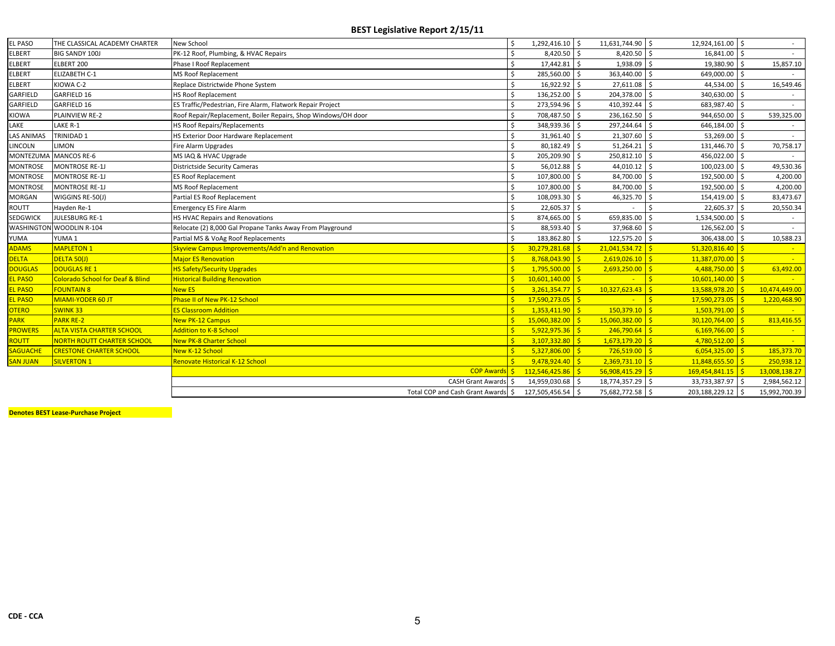| <b>EL PASO</b>    | THE CLASSICAL ACADEMY CHARTER               | <b>New School</b>                                             | 1,292,416.10 \$     | 11,631,744.90 \$   | 12,924,161.00 \$                         |                  |  |
|-------------------|---------------------------------------------|---------------------------------------------------------------|---------------------|--------------------|------------------------------------------|------------------|--|
| <b>ELBERT</b>     | <b>BIG SANDY 100J</b>                       | PK-12 Roof, Plumbing, & HVAC Repairs                          | 8,420.50 \$         | 8,420.50 \$        | 16,841.00 \$                             |                  |  |
| <b>ELBERT</b>     | ELBERT 200                                  | Phase I Roof Replacement                                      | 17,442.81 \$        | 1,938.09 \$        | 19,380.90 \$                             | 15,857.10        |  |
| <b>ELBERT</b>     | <b>ELIZABETH C-1</b>                        | <b>MS Roof Replacement</b>                                    | 285,560.00          | 363,440.00         | $\overline{\mathsf{s}}$<br>649,000.00 \$ |                  |  |
| <b>ELBERT</b>     | KIOWA C-2                                   | Replace Districtwide Phone System                             | 16,922.92 \$        | 27,611.08 \$       | 44,534.00 \$                             | 16,549.46        |  |
| GARFIELD          | GARFIELD 16                                 | <b>HS Roof Replacement</b>                                    | 136,252.00          | 204,378.00         | ۱s.<br>340,630.00 \$                     |                  |  |
| GARFIELD          | GARFIELD 16                                 | ES Traffic/Pedestrian, Fire Alarm, Flatwork Repair Project    | 273,594.96 \$       | 410,392.44         | Ŝ.<br>683,987.40 \$                      |                  |  |
| <b>KIOWA</b>      | PLAINVIEW RE-2                              | Roof Repair/Replacement, Boiler Repairs, Shop Windows/OH door | 708,487.50          | 236,162.50         | Ŝ.<br>944,650.00                         | 539,325.00       |  |
| LAKE              | LAKE R-1                                    | HS Roof Repairs/Replacements                                  | 348,939.36          | 297,244.64 \$      | 646,184.00 \$                            |                  |  |
| <b>LAS ANIMAS</b> | TRINIDAD 1                                  | HS Exterior Door Hardware Replacement                         | 31,961.40           | 21,307.60 \$       | 53,269.00 \$                             |                  |  |
| <b>LINCOLN</b>    | <b>LIMON</b>                                | Fire Alarm Upgrades                                           | 80,182.49 \$        | 51.264.21          | 131,446.70 \$<br>Ŝ.                      | 70,758.17        |  |
| <b>MONTEZUMA</b>  | MANCOS RE-6                                 | MS IAQ & HVAC Upgrade                                         | 205,209.90          | 250,812.10 \$      | 456,022.00 \$                            |                  |  |
| <b>MONTROSE</b>   | <b>MONTROSE RE-1J</b>                       | <b>Districtside Security Cameras</b>                          | 56,012.88           | 44,010.12 \$       | 100,023.00                               | 49,530.36<br>l S |  |
| <b>MONTROSE</b>   | <b>MONTROSE RE-1J</b>                       | <b>ES Roof Replacement</b>                                    | 107,800.00          | 84,700.00 \$       | 192,500.00 \$                            | 4,200.00         |  |
| <b>MONTROSE</b>   | <b>MONTROSE RE-1J</b>                       | <b>MS Roof Replacement</b>                                    | 107,800.00          | 84,700.00          | $\mathsf{S}$<br>192,500.00 \$            | 4,200.00         |  |
| <b>MORGAN</b>     | WIGGINS RE-50(J)                            | Partial ES Roof Replacement                                   | 108,093.30          | 46,325.70          | -Ś<br>154,419.00 \$                      | 83,473.67        |  |
| ROUTT             | Hayden Re-1                                 | <b>Emergency ES Fire Alarm</b>                                | 22,605.37 \$        |                    | 22,605.37 \$                             | 20,550.34        |  |
| <b>SEDGWICK</b>   | <b>JULESBURG RE-1</b>                       | HS HVAC Repairs and Renovations                               | 874,665.00          | 659,835.00         | -Ś<br>1,534,500.00 \$                    |                  |  |
|                   | <b>WASHINGTON WOODLIN R-104</b>             | Relocate (2) 8,000 Gal Propane Tanks Away From Playground     | 88,593.40           | 37,968.60          | 126,562.00 \$<br>Ŝ.                      |                  |  |
| YUMA              | YUMA 1                                      | Partial MS & VoAg Roof Replacements                           | 183,862.80 \$       | 122,575.20 \$      | 306,438.00 \$                            | 10,588.23        |  |
| <b>ADAMS</b>      | <b>MAPLETON 1</b>                           | Skyview Campus Improvements/Add'n and Renovation              | $30,279,281.68$ \$  | $21,041,534.72$ \$ | $51,320,816.40$ \$                       |                  |  |
| <b>DELTA</b>      | DELTA 50(J)                                 | <b>Major ES Renovation</b>                                    | $8,768,043.90$ \$   | $2,619,026.10$ \$  | $11,387,070.00$ \$                       |                  |  |
| <b>DOUGLAS</b>    | <b>DOUGLAS RE 1</b>                         | <b>HS Safety/Security Upgrades</b>                            | $1,795,500.00$ \$   | $2,693,250.00$ \$  | $4,488,750.00$ \$                        | 63,492.00        |  |
| <b>EL PASO</b>    | <b>Colorado School for Deaf &amp; Blind</b> | <b>Historical Building Renovation</b>                         | $10,601,140.00$ \$  |                    | $10,601,140.00$ \$                       |                  |  |
| <b>EL PASO</b>    | <b>FOUNTAIN 8</b>                           | <b>New ES</b>                                                 | $3,261,354.77$ \$   | $10,327,623.43$ \$ | 13,588,978.20 \$                         | 10,474,449.00    |  |
| <b>EL PASO</b>    | MIAMI-YODER 60 JT                           | Phase II of New PK-12 School                                  | $17,590,273.05$ \$  |                    | $17,590,273.05$ \$                       | 1,220,468.90     |  |
| <b>OTERO</b>      | <b>SWINK33</b>                              | <b>ES Classroom Addition</b>                                  | $1,353,411.90$ \$   | $150,379.10$ \$    | $1,503,791.00$ \$                        |                  |  |
| <b>PARK</b>       | <b>PARK RE-2</b>                            | <b>New PK-12 Campus</b>                                       | $15,060,382.00$ \$  | $15,060,382.00$ \$ | $30,120,764.00$ \$                       | 813,416.55       |  |
| <b>PROWERS</b>    | <b>ALTA VISTA CHARTER SCHOOL</b>            | <b>Addition to K-8 School</b>                                 | $5,922,975.36$ \$   | $246,790.64$ \$    | $6,169,766.00$ \$                        |                  |  |
| <b>ROUTT</b>      | NORTH ROUTT CHARTER SCHOOL                  | <b>New PK-8 Charter School</b>                                | $3,107,332.80$ \$   | $1,673,179.20$ \$  | $4,780,512.00$ \$                        |                  |  |
| <b>SAGUACHE</b>   | <b>CRESTONE CHARTER SCHOOL</b>              | New K-12 School                                               | $5,327,806.00$ \$   | $726,519.00$ \$    | $6,054,325.00$ \$                        | 185,373.70       |  |
| <b>SAN JUAN</b>   | <b>SILVERTON 1</b>                          | Renovate Historical K-12 School                               | $9,478,924.40$ \$   | $2,369,731.10$ \$  | $11,848,655.50$ \$                       | 250,938.12       |  |
|                   |                                             | <b>COP Awards S</b>                                           | $112,546,425.86$ \$ | $56,908,415.29$ \$ | $169,454,841.15$ \$                      | 13,008,138.27    |  |
|                   |                                             | CASH Grant Awards \$                                          | 14,959,030.68 \$    | 18,774,357.29      | ۱s.<br>33,733,387.97                     | 2,984,562.12     |  |
|                   |                                             | Total COP and Cash Grant Awards \$                            | 127,505,456.54 \$   | 75,682,772.58 \$   | 203,188,229.12 \$                        | 15,992,700.39    |  |

**Denotes BEST Lease‐Purchase Project**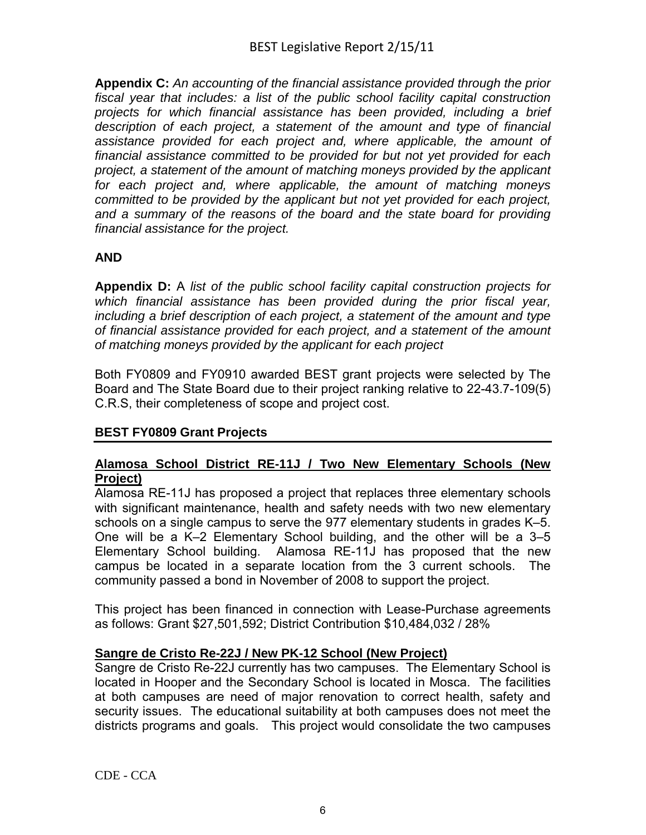**Appendix C:** *An accounting of the financial assistance provided through the prior fiscal year that includes: a list of the public school facility capital construction projects for which financial assistance has been provided, including a brief*  description of each project, a statement of the amount and type of financial *assistance provided for each project and, where applicable, the amount of financial assistance committed to be provided for but not yet provided for each project, a statement of the amount of matching moneys provided by the applicant for each project and, where applicable, the amount of matching moneys committed to be provided by the applicant but not yet provided for each project, and a summary of the reasons of the board and the state board for providing financial assistance for the project.*

# **AND**

**Appendix D:** A *list of the public school facility capital construction projects for which financial assistance has been provided during the prior fiscal year, including a brief description of each project, a statement of the amount and type of financial assistance provided for each project, and a statement of the amount of matching moneys provided by the applicant for each project*

Both FY0809 and FY0910 awarded BEST grant projects were selected by The Board and The State Board due to their project ranking relative to 22-43.7-109(5) C.R.S, their completeness of scope and project cost.

# **BEST FY0809 Grant Projects**

### **Alamosa School District RE-11J / Two New Elementary Schools (New Project)**

Alamosa RE-11J has proposed a project that replaces three elementary schools with significant maintenance, health and safety needs with two new elementary schools on a single campus to serve the 977 elementary students in grades K–5. One will be a K–2 Elementary School building, and the other will be a 3–5 Elementary School building. Alamosa RE-11J has proposed that the new campus be located in a separate location from the 3 current schools. The community passed a bond in November of 2008 to support the project.

This project has been financed in connection with Lease-Purchase agreements as follows: Grant \$27,501,592; District Contribution \$10,484,032 / 28%

# **Sangre de Cristo Re-22J / New PK-12 School (New Project)**

Sangre de Cristo Re-22J currently has two campuses. The Elementary School is located in Hooper and the Secondary School is located in Mosca. The facilities at both campuses are need of major renovation to correct health, safety and security issues. The educational suitability at both campuses does not meet the districts programs and goals. This project would consolidate the two campuses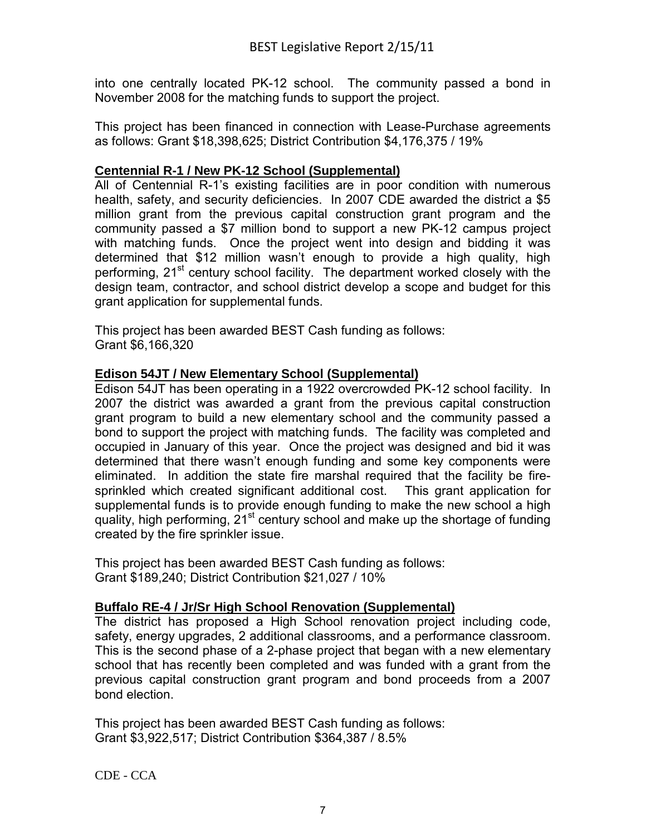into one centrally located PK-12 school. The community passed a bond in November 2008 for the matching funds to support the project.

This project has been financed in connection with Lease-Purchase agreements as follows: Grant \$18,398,625; District Contribution \$4,176,375 / 19%

### **Centennial R-1 / New PK-12 School (Supplemental)**

All of Centennial R-1's existing facilities are in poor condition with numerous health, safety, and security deficiencies. In 2007 CDE awarded the district a \$5 million grant from the previous capital construction grant program and the community passed a \$7 million bond to support a new PK-12 campus project with matching funds. Once the project went into design and bidding it was determined that \$12 million wasn't enough to provide a high quality, high performing, 21<sup>st</sup> century school facility. The department worked closely with the design team, contractor, and school district develop a scope and budget for this grant application for supplemental funds.

This project has been awarded BEST Cash funding as follows: Grant \$6,166,320

### **Edison 54JT / New Elementary School (Supplemental)**

Edison 54JT has been operating in a 1922 overcrowded PK-12 school facility. In 2007 the district was awarded a grant from the previous capital construction grant program to build a new elementary school and the community passed a bond to support the project with matching funds. The facility was completed and occupied in January of this year. Once the project was designed and bid it was determined that there wasn't enough funding and some key components were eliminated. In addition the state fire marshal required that the facility be firesprinkled which created significant additional cost. This grant application for supplemental funds is to provide enough funding to make the new school a high quality, high performing, 21<sup>st</sup> century school and make up the shortage of funding created by the fire sprinkler issue.

This project has been awarded BEST Cash funding as follows: Grant \$189,240; District Contribution \$21,027 / 10%

# **Buffalo RE-4 / Jr/Sr High School Renovation (Supplemental)**

The district has proposed a High School renovation project including code, safety, energy upgrades, 2 additional classrooms, and a performance classroom. This is the second phase of a 2-phase project that began with a new elementary school that has recently been completed and was funded with a grant from the previous capital construction grant program and bond proceeds from a 2007 bond election.

This project has been awarded BEST Cash funding as follows: Grant \$3,922,517; District Contribution \$364,387 / 8.5%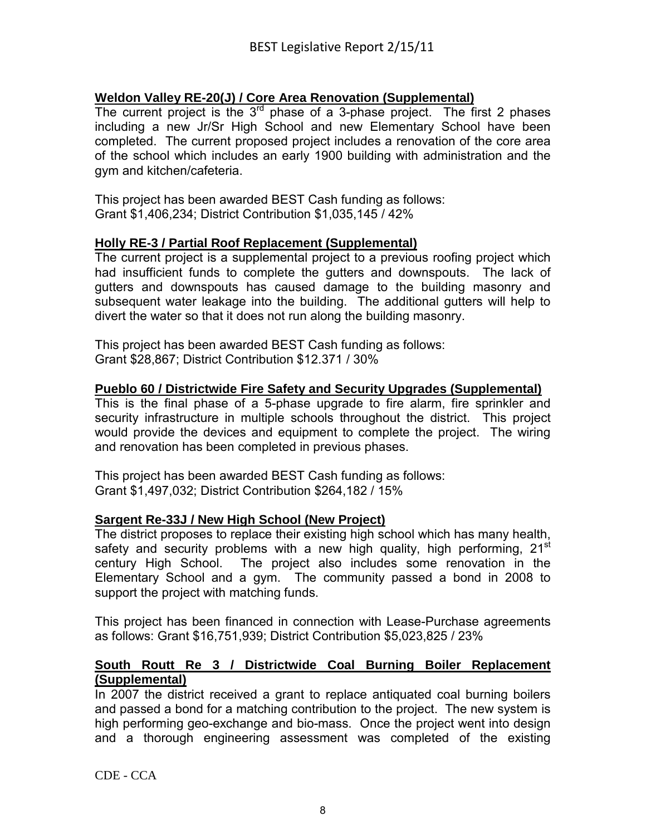# **Weldon Valley RE-20(J) / Core Area Renovation (Supplemental)**

The current project is the  $3<sup>rd</sup>$  phase of a 3-phase project. The first 2 phases including a new Jr/Sr High School and new Elementary School have been completed. The current proposed project includes a renovation of the core area of the school which includes an early 1900 building with administration and the gym and kitchen/cafeteria.

This project has been awarded BEST Cash funding as follows: Grant \$1,406,234; District Contribution \$1,035,145 / 42%

### **Holly RE-3 / Partial Roof Replacement (Supplemental)**

The current project is a supplemental project to a previous roofing project which had insufficient funds to complete the gutters and downspouts. The lack of gutters and downspouts has caused damage to the building masonry and subsequent water leakage into the building. The additional gutters will help to divert the water so that it does not run along the building masonry.

This project has been awarded BEST Cash funding as follows: Grant \$28,867; District Contribution \$12.371 / 30%

#### **Pueblo 60 / Districtwide Fire Safety and Security Upgrades (Supplemental)**

This is the final phase of a 5-phase upgrade to fire alarm, fire sprinkler and security infrastructure in multiple schools throughout the district. This project would provide the devices and equipment to complete the project. The wiring and renovation has been completed in previous phases.

This project has been awarded BEST Cash funding as follows: Grant \$1,497,032; District Contribution \$264,182 / 15%

#### **Sargent Re-33J / New High School (New Project)**

The district proposes to replace their existing high school which has many health, safety and security problems with a new high quality, high performing,  $21<sup>st</sup>$ century High School. The project also includes some renovation in the Elementary School and a gym. The community passed a bond in 2008 to support the project with matching funds.

This project has been financed in connection with Lease-Purchase agreements as follows: Grant \$16,751,939; District Contribution \$5,023,825 / 23%

#### **South Routt Re 3 / Districtwide Coal Burning Boiler Replacement (Supplemental)**

In 2007 the district received a grant to replace antiquated coal burning boilers and passed a bond for a matching contribution to the project. The new system is high performing geo-exchange and bio-mass. Once the project went into design and a thorough engineering assessment was completed of the existing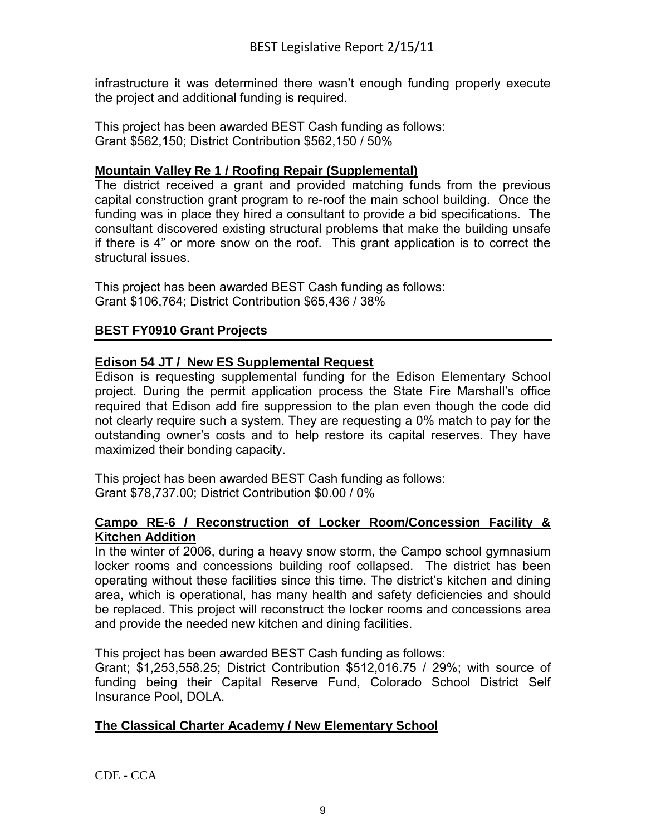infrastructure it was determined there wasn't enough funding properly execute the project and additional funding is required.

This project has been awarded BEST Cash funding as follows: Grant \$562,150; District Contribution \$562,150 / 50%

# **Mountain Valley Re 1 / Roofing Repair (Supplemental)**

The district received a grant and provided matching funds from the previous capital construction grant program to re-roof the main school building. Once the funding was in place they hired a consultant to provide a bid specifications. The consultant discovered existing structural problems that make the building unsafe if there is 4" or more snow on the roof. This grant application is to correct the structural issues.

This project has been awarded BEST Cash funding as follows: Grant \$106,764; District Contribution \$65,436 / 38%

# **BEST FY0910 Grant Projects**

### **Edison 54 JT / New ES Supplemental Request**

Edison is requesting supplemental funding for the Edison Elementary School project. During the permit application process the State Fire Marshall's office required that Edison add fire suppression to the plan even though the code did not clearly require such a system. They are requesting a 0% match to pay for the outstanding owner's costs and to help restore its capital reserves. They have maximized their bonding capacity.

This project has been awarded BEST Cash funding as follows: Grant \$78,737.00; District Contribution \$0.00 / 0%

### **Campo RE-6 / Reconstruction of Locker Room/Concession Facility & Kitchen Addition**

In the winter of 2006, during a heavy snow storm, the Campo school gymnasium locker rooms and concessions building roof collapsed. The district has been operating without these facilities since this time. The district's kitchen and dining area, which is operational, has many health and safety deficiencies and should be replaced. This project will reconstruct the locker rooms and concessions area and provide the needed new kitchen and dining facilities.

This project has been awarded BEST Cash funding as follows:

Grant; \$1,253,558.25; District Contribution \$512,016.75 / 29%; with source of funding being their Capital Reserve Fund, Colorado School District Self Insurance Pool, DOLA.

# **The Classical Charter Academy / New Elementary School**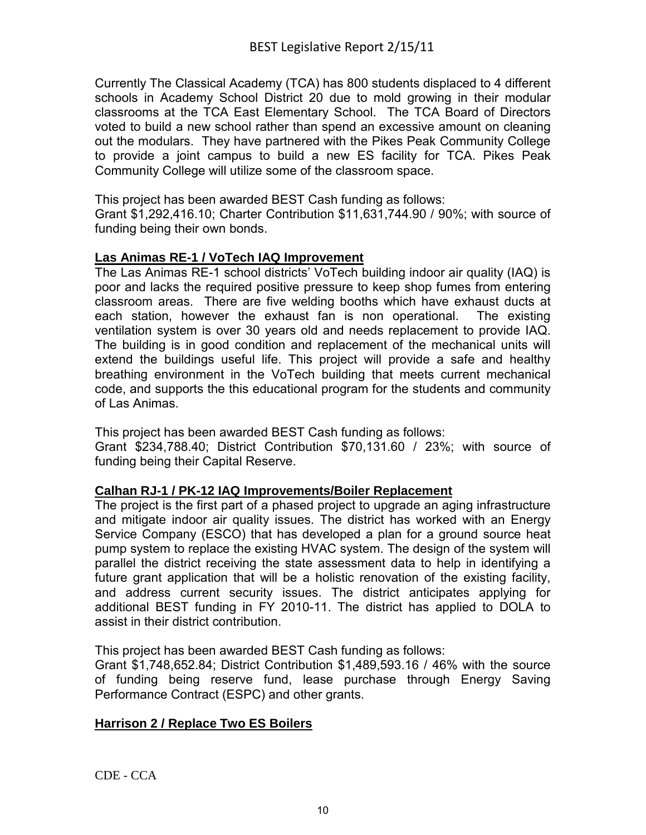Currently The Classical Academy (TCA) has 800 students displaced to 4 different schools in Academy School District 20 due to mold growing in their modular classrooms at the TCA East Elementary School. The TCA Board of Directors voted to build a new school rather than spend an excessive amount on cleaning out the modulars. They have partnered with the Pikes Peak Community College to provide a joint campus to build a new ES facility for TCA. Pikes Peak Community College will utilize some of the classroom space.

This project has been awarded BEST Cash funding as follows: Grant \$1,292,416.10; Charter Contribution \$11,631,744.90 / 90%; with source of funding being their own bonds.

# **Las Animas RE-1 / VoTech IAQ Improvement**

The Las Animas RE-1 school districts' VoTech building indoor air quality (IAQ) is poor and lacks the required positive pressure to keep shop fumes from entering classroom areas. There are five welding booths which have exhaust ducts at each station, however the exhaust fan is non operational. The existing ventilation system is over 30 years old and needs replacement to provide IAQ. The building is in good condition and replacement of the mechanical units will extend the buildings useful life. This project will provide a safe and healthy breathing environment in the VoTech building that meets current mechanical code, and supports the this educational program for the students and community of Las Animas.

This project has been awarded BEST Cash funding as follows:

Grant \$234,788.40; District Contribution \$70,131.60 / 23%; with source of funding being their Capital Reserve.

# **Calhan RJ-1 / PK-12 IAQ Improvements/Boiler Replacement**

The project is the first part of a phased project to upgrade an aging infrastructure and mitigate indoor air quality issues. The district has worked with an Energy Service Company (ESCO) that has developed a plan for a ground source heat pump system to replace the existing HVAC system. The design of the system will parallel the district receiving the state assessment data to help in identifying a future grant application that will be a holistic renovation of the existing facility, and address current security issues. The district anticipates applying for additional BEST funding in FY 2010-11. The district has applied to DOLA to assist in their district contribution.

This project has been awarded BEST Cash funding as follows:

Grant \$1,748,652.84; District Contribution \$1,489,593.16 / 46% with the source of funding being reserve fund, lease purchase through Energy Saving Performance Contract (ESPC) and other grants.

# **Harrison 2 / Replace Two ES Boilers**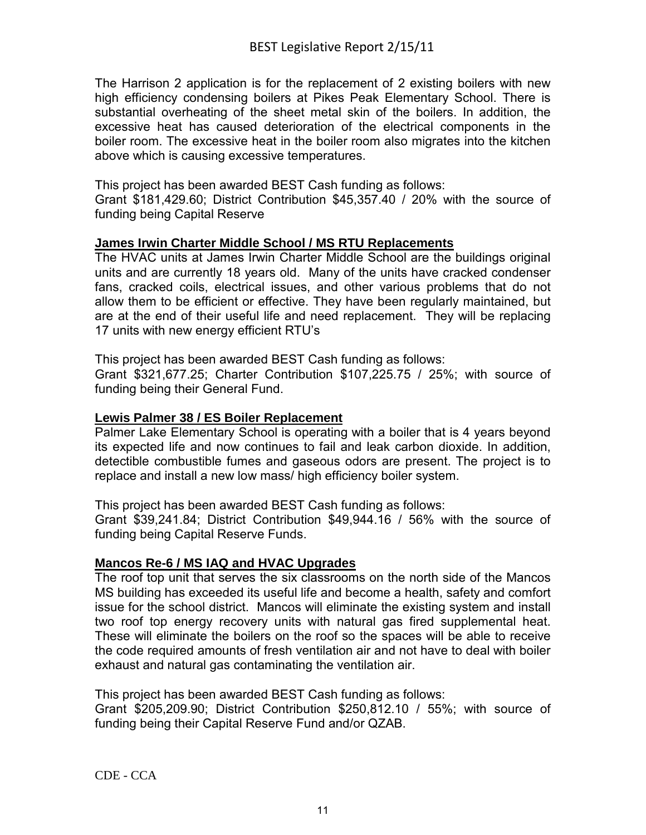The Harrison 2 application is for the replacement of 2 existing boilers with new high efficiency condensing boilers at Pikes Peak Elementary School. There is substantial overheating of the sheet metal skin of the boilers. In addition, the excessive heat has caused deterioration of the electrical components in the boiler room. The excessive heat in the boiler room also migrates into the kitchen above which is causing excessive temperatures.

This project has been awarded BEST Cash funding as follows: Grant \$181,429.60; District Contribution \$45,357.40 / 20% with the source of funding being Capital Reserve

### **James Irwin Charter Middle School / MS RTU Replacements**

The HVAC units at James Irwin Charter Middle School are the buildings original units and are currently 18 years old. Many of the units have cracked condenser fans, cracked coils, electrical issues, and other various problems that do not allow them to be efficient or effective. They have been regularly maintained, but are at the end of their useful life and need replacement. They will be replacing 17 units with new energy efficient RTU's

This project has been awarded BEST Cash funding as follows:

Grant \$321,677.25; Charter Contribution \$107,225.75 / 25%; with source of funding being their General Fund.

# **Lewis Palmer 38 / ES Boiler Replacement**

Palmer Lake Elementary School is operating with a boiler that is 4 years beyond its expected life and now continues to fail and leak carbon dioxide. In addition, detectible combustible fumes and gaseous odors are present. The project is to replace and install a new low mass/ high efficiency boiler system.

This project has been awarded BEST Cash funding as follows:

Grant \$39,241.84; District Contribution \$49,944.16 / 56% with the source of funding being Capital Reserve Funds.

#### **Mancos Re-6 / MS IAQ and HVAC Upgrades**

The roof top unit that serves the six classrooms on the north side of the Mancos MS building has exceeded its useful life and become a health, safety and comfort issue for the school district. Mancos will eliminate the existing system and install two roof top energy recovery units with natural gas fired supplemental heat. These will eliminate the boilers on the roof so the spaces will be able to receive the code required amounts of fresh ventilation air and not have to deal with boiler exhaust and natural gas contaminating the ventilation air.

This project has been awarded BEST Cash funding as follows: Grant \$205,209.90; District Contribution \$250,812.10 / 55%; with source of funding being their Capital Reserve Fund and/or QZAB.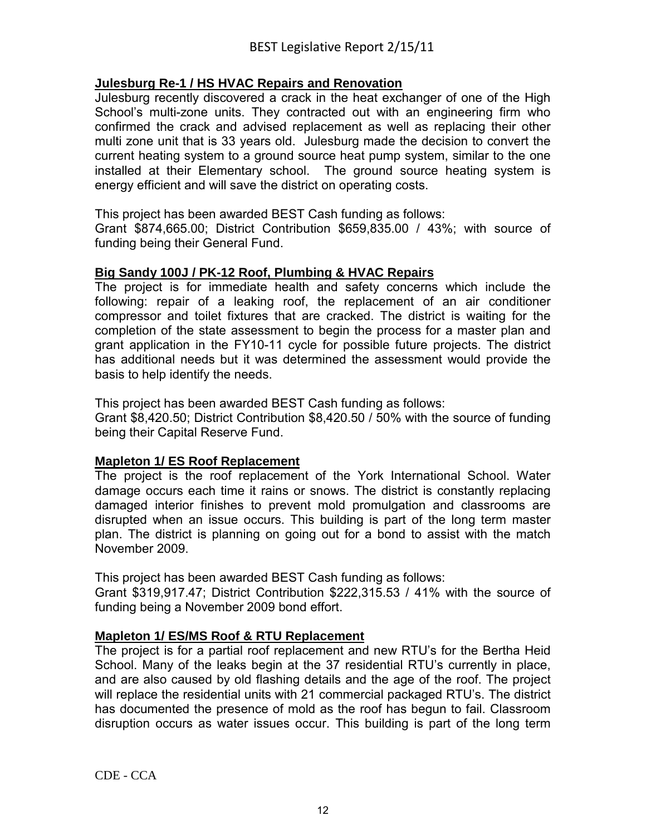### **Julesburg Re-1 / HS HVAC Repairs and Renovation**

Julesburg recently discovered a crack in the heat exchanger of one of the High School's multi-zone units. They contracted out with an engineering firm who confirmed the crack and advised replacement as well as replacing their other multi zone unit that is 33 years old. Julesburg made the decision to convert the current heating system to a ground source heat pump system, similar to the one installed at their Elementary school. The ground source heating system is energy efficient and will save the district on operating costs.

This project has been awarded BEST Cash funding as follows:

Grant \$874,665.00; District Contribution \$659,835.00 / 43%; with source of funding being their General Fund.

### **Big Sandy 100J / PK-12 Roof, Plumbing & HVAC Repairs**

The project is for immediate health and safety concerns which include the following: repair of a leaking roof, the replacement of an air conditioner compressor and toilet fixtures that are cracked. The district is waiting for the completion of the state assessment to begin the process for a master plan and grant application in the FY10-11 cycle for possible future projects. The district has additional needs but it was determined the assessment would provide the basis to help identify the needs.

This project has been awarded BEST Cash funding as follows:

Grant \$8,420.50; District Contribution \$8,420.50 / 50% with the source of funding being their Capital Reserve Fund.

#### **Mapleton 1/ ES Roof Replacement**

The project is the roof replacement of the York International School. Water damage occurs each time it rains or snows. The district is constantly replacing damaged interior finishes to prevent mold promulgation and classrooms are disrupted when an issue occurs. This building is part of the long term master plan. The district is planning on going out for a bond to assist with the match November 2009.

This project has been awarded BEST Cash funding as follows:

Grant \$319,917.47; District Contribution \$222,315.53 / 41% with the source of funding being a November 2009 bond effort.

#### **Mapleton 1/ ES/MS Roof & RTU Replacement**

The project is for a partial roof replacement and new RTU's for the Bertha Heid School. Many of the leaks begin at the 37 residential RTU's currently in place, and are also caused by old flashing details and the age of the roof. The project will replace the residential units with 21 commercial packaged RTU's. The district has documented the presence of mold as the roof has begun to fail. Classroom disruption occurs as water issues occur. This building is part of the long term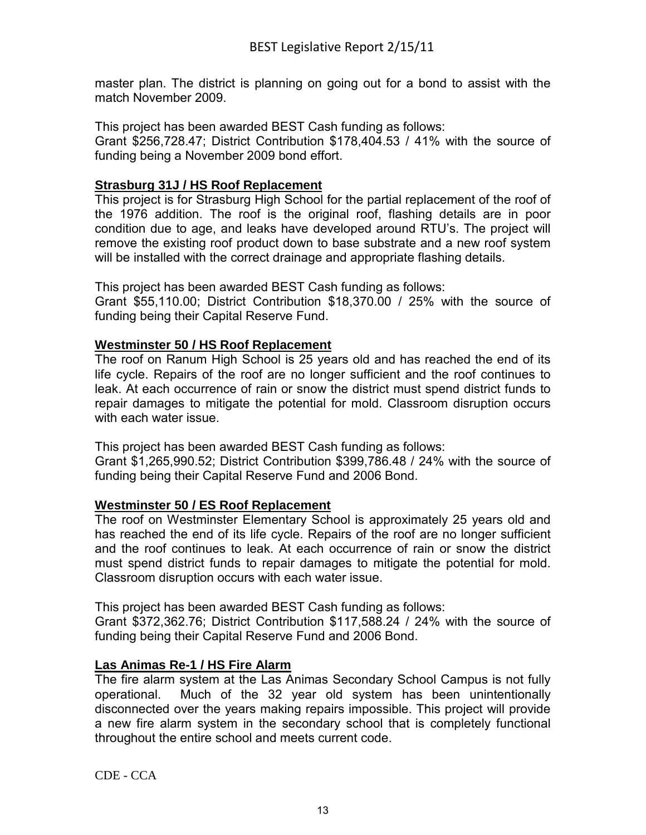master plan. The district is planning on going out for a bond to assist with the match November 2009.

This project has been awarded BEST Cash funding as follows:

Grant \$256,728.47; District Contribution \$178,404.53 / 41% with the source of funding being a November 2009 bond effort.

# **Strasburg 31J / HS Roof Replacement**

This project is for Strasburg High School for the partial replacement of the roof of the 1976 addition. The roof is the original roof, flashing details are in poor condition due to age, and leaks have developed around RTU's. The project will remove the existing roof product down to base substrate and a new roof system will be installed with the correct drainage and appropriate flashing details.

This project has been awarded BEST Cash funding as follows:

Grant \$55,110.00; District Contribution \$18,370.00 / 25% with the source of funding being their Capital Reserve Fund.

### **Westminster 50 / HS Roof Replacement**

The roof on Ranum High School is 25 years old and has reached the end of its life cycle. Repairs of the roof are no longer sufficient and the roof continues to leak. At each occurrence of rain or snow the district must spend district funds to repair damages to mitigate the potential for mold. Classroom disruption occurs with each water issue.

This project has been awarded BEST Cash funding as follows:

Grant \$1,265,990.52; District Contribution \$399,786.48 / 24% with the source of funding being their Capital Reserve Fund and 2006 Bond.

# **Westminster 50 / ES Roof Replacement**

The roof on Westminster Elementary School is approximately 25 years old and has reached the end of its life cycle. Repairs of the roof are no longer sufficient and the roof continues to leak. At each occurrence of rain or snow the district must spend district funds to repair damages to mitigate the potential for mold. Classroom disruption occurs with each water issue.

This project has been awarded BEST Cash funding as follows:

Grant \$372,362.76; District Contribution \$117,588.24 / 24% with the source of funding being their Capital Reserve Fund and 2006 Bond.

# **Las Animas Re-1 / HS Fire Alarm**

The fire alarm system at the Las Animas Secondary School Campus is not fully operational. Much of the 32 year old system has been unintentionally disconnected over the years making repairs impossible. This project will provide a new fire alarm system in the secondary school that is completely functional throughout the entire school and meets current code.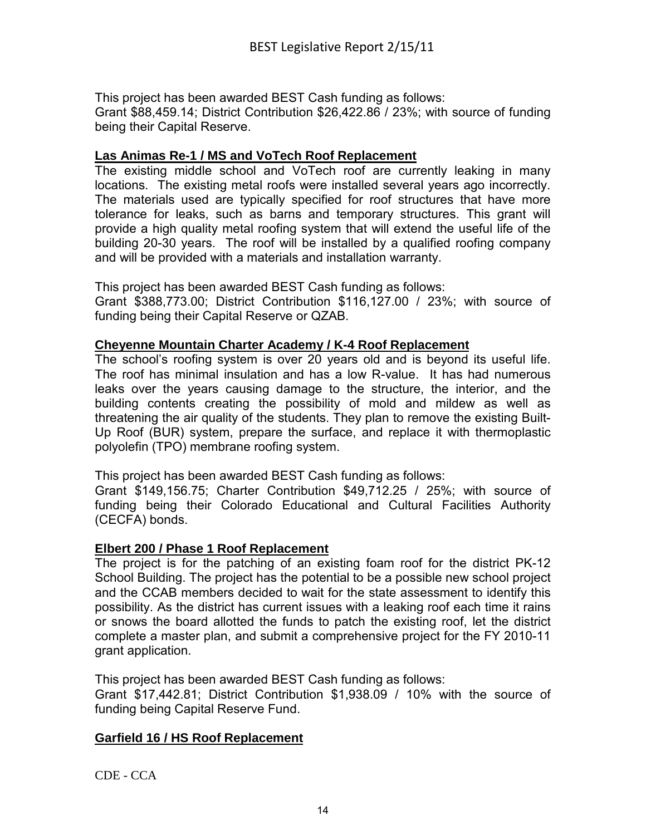This project has been awarded BEST Cash funding as follows:

Grant \$88,459.14; District Contribution \$26,422.86 / 23%; with source of funding being their Capital Reserve.

### **Las Animas Re-1 / MS and VoTech Roof Replacement**

The existing middle school and VoTech roof are currently leaking in many locations. The existing metal roofs were installed several years ago incorrectly. The materials used are typically specified for roof structures that have more tolerance for leaks, such as barns and temporary structures. This grant will provide a high quality metal roofing system that will extend the useful life of the building 20-30 years. The roof will be installed by a qualified roofing company and will be provided with a materials and installation warranty.

This project has been awarded BEST Cash funding as follows:

Grant \$388,773.00; District Contribution \$116,127.00 / 23%; with source of funding being their Capital Reserve or QZAB.

#### **Cheyenne Mountain Charter Academy / K-4 Roof Replacement**

The school's roofing system is over 20 years old and is beyond its useful life. The roof has minimal insulation and has a low R-value. It has had numerous leaks over the years causing damage to the structure, the interior, and the building contents creating the possibility of mold and mildew as well as threatening the air quality of the students. They plan to remove the existing Built-Up Roof (BUR) system, prepare the surface, and replace it with thermoplastic polyolefin (TPO) membrane roofing system.

This project has been awarded BEST Cash funding as follows:

Grant \$149,156.75; Charter Contribution \$49,712.25 / 25%; with source of funding being their Colorado Educational and Cultural Facilities Authority (CECFA) bonds.

#### **Elbert 200 / Phase 1 Roof Replacement**

The project is for the patching of an existing foam roof for the district PK-12 School Building. The project has the potential to be a possible new school project and the CCAB members decided to wait for the state assessment to identify this possibility. As the district has current issues with a leaking roof each time it rains or snows the board allotted the funds to patch the existing roof, let the district complete a master plan, and submit a comprehensive project for the FY 2010-11 grant application.

This project has been awarded BEST Cash funding as follows:

Grant \$17,442.81; District Contribution \$1,938.09 / 10% with the source of funding being Capital Reserve Fund.

#### **Garfield 16 / HS Roof Replacement**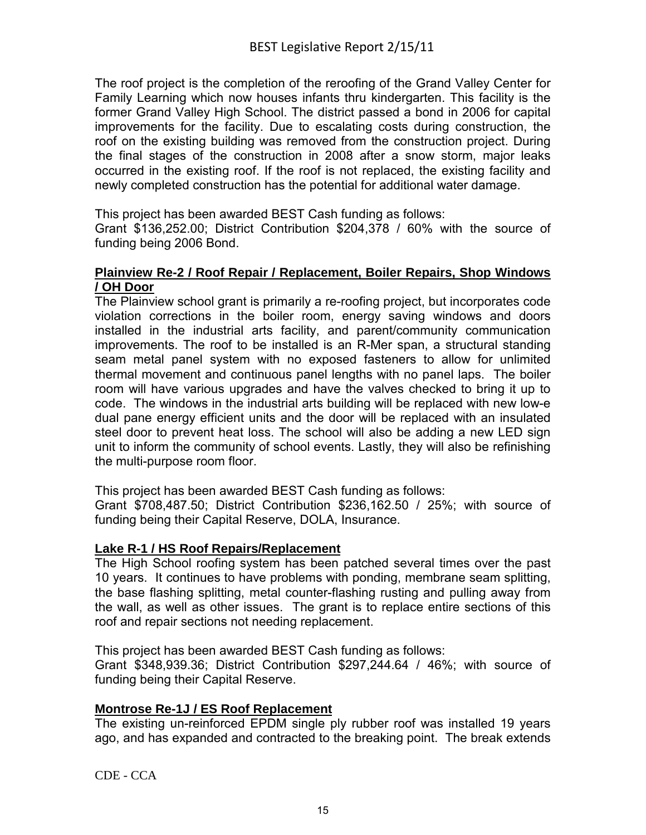The roof project is the completion of the reroofing of the Grand Valley Center for Family Learning which now houses infants thru kindergarten. This facility is the former Grand Valley High School. The district passed a bond in 2006 for capital improvements for the facility. Due to escalating costs during construction, the roof on the existing building was removed from the construction project. During the final stages of the construction in 2008 after a snow storm, major leaks occurred in the existing roof. If the roof is not replaced, the existing facility and newly completed construction has the potential for additional water damage.

This project has been awarded BEST Cash funding as follows:

Grant \$136,252.00; District Contribution \$204,378 / 60% with the source of funding being 2006 Bond.

### **Plainview Re-2 / Roof Repair / Replacement, Boiler Repairs, Shop Windows / OH Door**

The Plainview school grant is primarily a re-roofing project, but incorporates code violation corrections in the boiler room, energy saving windows and doors installed in the industrial arts facility, and parent/community communication improvements. The roof to be installed is an R-Mer span, a structural standing seam metal panel system with no exposed fasteners to allow for unlimited thermal movement and continuous panel lengths with no panel laps. The boiler room will have various upgrades and have the valves checked to bring it up to code. The windows in the industrial arts building will be replaced with new low-e dual pane energy efficient units and the door will be replaced with an insulated steel door to prevent heat loss. The school will also be adding a new LED sign unit to inform the community of school events. Lastly, they will also be refinishing the multi-purpose room floor.

This project has been awarded BEST Cash funding as follows:

Grant \$708,487.50; District Contribution \$236,162.50 / 25%; with source of funding being their Capital Reserve, DOLA, Insurance.

#### **Lake R-1 / HS Roof Repairs/Replacement**

The High School roofing system has been patched several times over the past 10 years. It continues to have problems with ponding, membrane seam splitting, the base flashing splitting, metal counter-flashing rusting and pulling away from the wall, as well as other issues. The grant is to replace entire sections of this roof and repair sections not needing replacement.

This project has been awarded BEST Cash funding as follows:

Grant \$348,939.36; District Contribution \$297,244.64 / 46%; with source of funding being their Capital Reserve.

#### **Montrose Re-1J / ES Roof Replacement**

The existing un-reinforced EPDM single ply rubber roof was installed 19 years ago, and has expanded and contracted to the breaking point. The break extends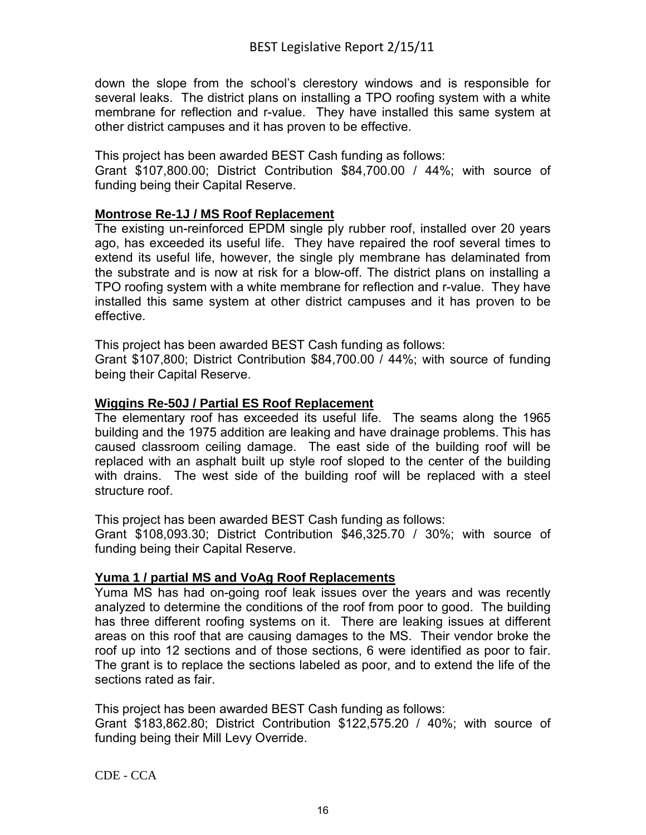down the slope from the school's clerestory windows and is responsible for several leaks. The district plans on installing a TPO roofing system with a white membrane for reflection and r-value. They have installed this same system at other district campuses and it has proven to be effective.

This project has been awarded BEST Cash funding as follows: Grant \$107,800.00; District Contribution \$84,700.00 / 44%; with source of funding being their Capital Reserve.

# **Montrose Re-1J / MS Roof Replacement**

The existing un-reinforced EPDM single ply rubber roof, installed over 20 years ago, has exceeded its useful life. They have repaired the roof several times to extend its useful life, however, the single ply membrane has delaminated from the substrate and is now at risk for a blow-off. The district plans on installing a TPO roofing system with a white membrane for reflection and r-value. They have installed this same system at other district campuses and it has proven to be effective.

This project has been awarded BEST Cash funding as follows:

Grant \$107,800; District Contribution \$84,700.00 / 44%; with source of funding being their Capital Reserve.

# **Wiggins Re-50J / Partial ES Roof Replacement**

The elementary roof has exceeded its useful life. The seams along the 1965 building and the 1975 addition are leaking and have drainage problems. This has caused classroom ceiling damage. The east side of the building roof will be replaced with an asphalt built up style roof sloped to the center of the building with drains. The west side of the building roof will be replaced with a steel structure roof.

This project has been awarded BEST Cash funding as follows:

Grant \$108,093.30; District Contribution \$46,325.70 / 30%; with source of funding being their Capital Reserve.

# **Yuma 1 / partial MS and VoAg Roof Replacements**

Yuma MS has had on-going roof leak issues over the years and was recently analyzed to determine the conditions of the roof from poor to good. The building has three different roofing systems on it. There are leaking issues at different areas on this roof that are causing damages to the MS. Their vendor broke the roof up into 12 sections and of those sections, 6 were identified as poor to fair. The grant is to replace the sections labeled as poor, and to extend the life of the sections rated as fair.

This project has been awarded BEST Cash funding as follows:

Grant \$183,862.80; District Contribution \$122,575.20 / 40%; with source of funding being their Mill Levy Override.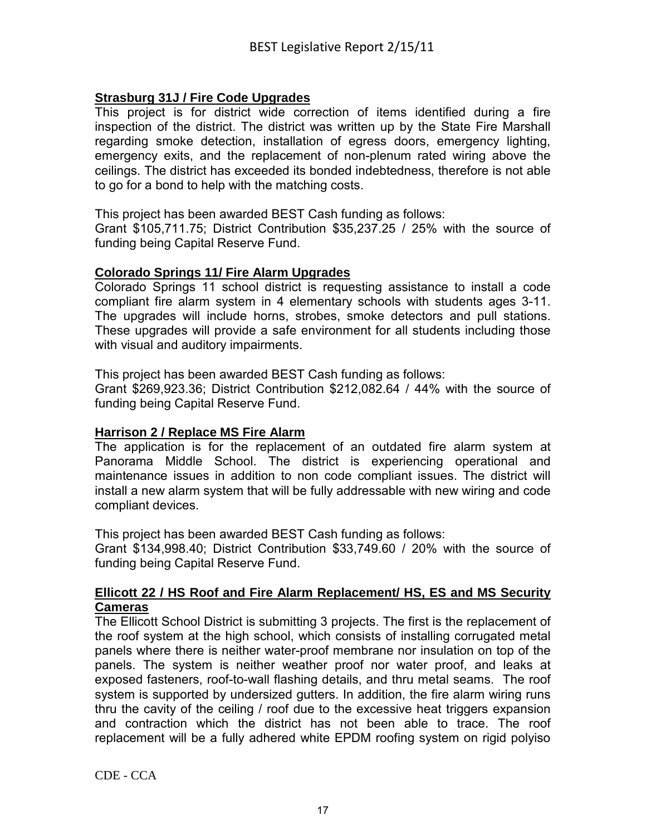# **Strasburg 31J / Fire Code Upgrades**

This project is for district wide correction of items identified during a fire inspection of the district. The district was written up by the State Fire Marshall regarding smoke detection, installation of egress doors, emergency lighting, emergency exits, and the replacement of non-plenum rated wiring above the ceilings. The district has exceeded its bonded indebtedness, therefore is not able to go for a bond to help with the matching costs.

This project has been awarded BEST Cash funding as follows:

Grant \$105,711.75; District Contribution \$35,237.25 / 25% with the source of funding being Capital Reserve Fund.

### **Colorado Springs 11/ Fire Alarm Upgrades**

Colorado Springs 11 school district is requesting assistance to install a code compliant fire alarm system in 4 elementary schools with students ages 3-11. The upgrades will include horns, strobes, smoke detectors and pull stations. These upgrades will provide a safe environment for all students including those with visual and auditory impairments.

This project has been awarded BEST Cash funding as follows:

Grant \$269,923.36; District Contribution \$212,082.64 / 44% with the source of funding being Capital Reserve Fund.

#### **Harrison 2 / Replace MS Fire Alarm**

The application is for the replacement of an outdated fire alarm system at Panorama Middle School. The district is experiencing operational and maintenance issues in addition to non code compliant issues. The district will install a new alarm system that will be fully addressable with new wiring and code compliant devices.

This project has been awarded BEST Cash funding as follows:

Grant \$134,998.40; District Contribution \$33,749.60 / 20% with the source of funding being Capital Reserve Fund.

#### **Ellicott 22 / HS Roof and Fire Alarm Replacement/ HS, ES and MS Security Cameras**

The Ellicott School District is submitting 3 projects. The first is the replacement of the roof system at the high school, which consists of installing corrugated metal panels where there is neither water-proof membrane nor insulation on top of the panels. The system is neither weather proof nor water proof, and leaks at exposed fasteners, roof-to-wall flashing details, and thru metal seams. The roof system is supported by undersized gutters. In addition, the fire alarm wiring runs thru the cavity of the ceiling / roof due to the excessive heat triggers expansion and contraction which the district has not been able to trace. The roof replacement will be a fully adhered white EPDM roofing system on rigid polyiso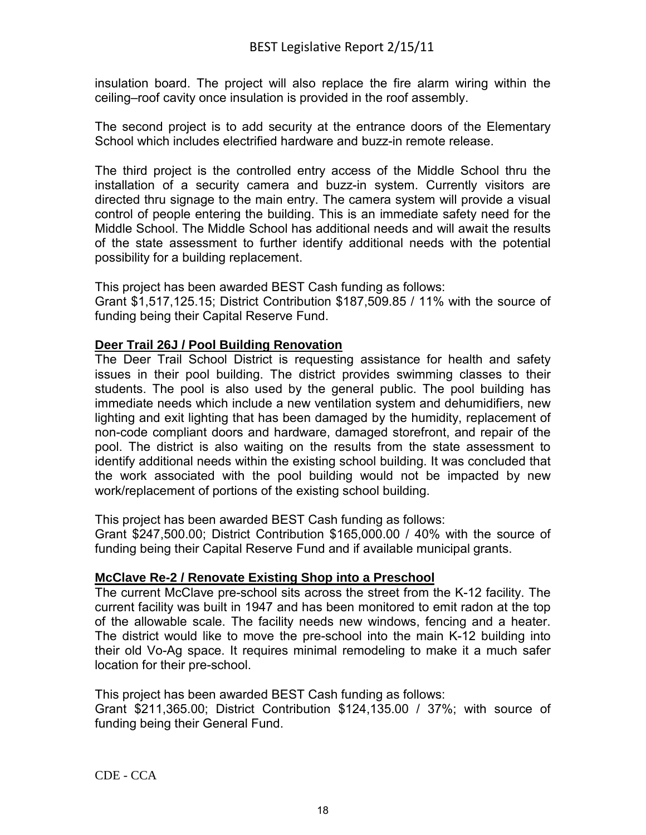insulation board. The project will also replace the fire alarm wiring within the ceiling–roof cavity once insulation is provided in the roof assembly.

The second project is to add security at the entrance doors of the Elementary School which includes electrified hardware and buzz-in remote release.

The third project is the controlled entry access of the Middle School thru the installation of a security camera and buzz-in system. Currently visitors are directed thru signage to the main entry. The camera system will provide a visual control of people entering the building. This is an immediate safety need for the Middle School. The Middle School has additional needs and will await the results of the state assessment to further identify additional needs with the potential possibility for a building replacement.

This project has been awarded BEST Cash funding as follows: Grant \$1,517,125.15; District Contribution \$187,509.85 / 11% with the source of funding being their Capital Reserve Fund.

### **Deer Trail 26J / Pool Building Renovation**

The Deer Trail School District is requesting assistance for health and safety issues in their pool building. The district provides swimming classes to their students. The pool is also used by the general public. The pool building has immediate needs which include a new ventilation system and dehumidifiers, new lighting and exit lighting that has been damaged by the humidity, replacement of non-code compliant doors and hardware, damaged storefront, and repair of the pool. The district is also waiting on the results from the state assessment to identify additional needs within the existing school building. It was concluded that the work associated with the pool building would not be impacted by new work/replacement of portions of the existing school building.

This project has been awarded BEST Cash funding as follows:

Grant \$247,500.00; District Contribution \$165,000.00 / 40% with the source of funding being their Capital Reserve Fund and if available municipal grants.

# **McClave Re-2 / Renovate Existing Shop into a Preschool**

The current McClave pre-school sits across the street from the K-12 facility. The current facility was built in 1947 and has been monitored to emit radon at the top of the allowable scale. The facility needs new windows, fencing and a heater. The district would like to move the pre-school into the main K-12 building into their old Vo-Ag space. It requires minimal remodeling to make it a much safer location for their pre-school.

This project has been awarded BEST Cash funding as follows: Grant \$211,365.00; District Contribution \$124,135.00 / 37%; with source of funding being their General Fund.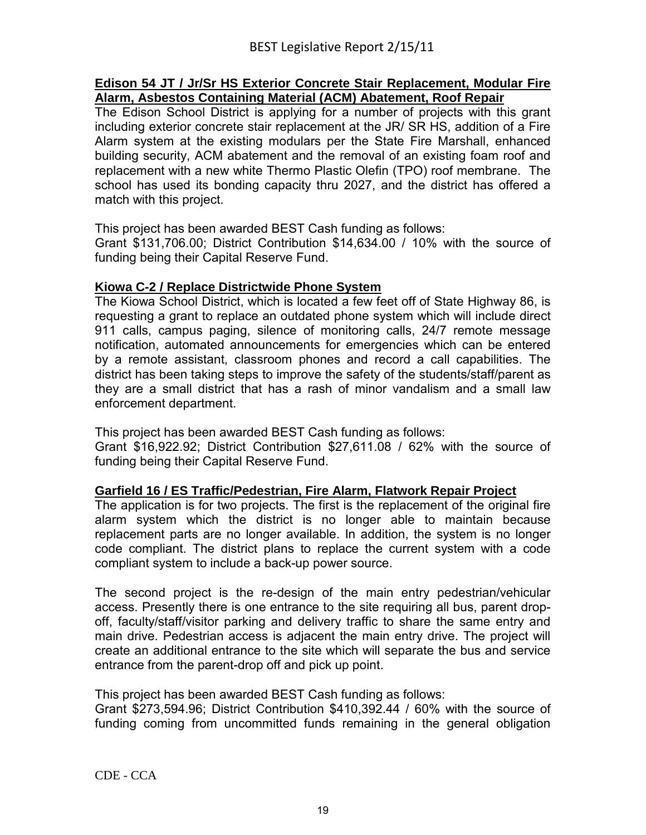#### **Edison 54 JT / Jr/Sr HS Exterior Concrete Stair Replacement, Modular Fire Alarm, Asbestos Containing Material (ACM) Abatement, Roof Repair**

The Edison School District is applying for a number of projects with this grant including exterior concrete stair replacement at the JR/ SR HS, addition of a Fire Alarm system at the existing modulars per the State Fire Marshall, enhanced building security, ACM abatement and the removal of an existing foam roof and replacement with a new white Thermo Plastic Olefin (TPO) roof membrane. The school has used its bonding capacity thru 2027, and the district has offered a match with this project.

This project has been awarded BEST Cash funding as follows:

Grant \$131,706.00; District Contribution \$14,634.00 / 10% with the source of funding being their Capital Reserve Fund.

# **Kiowa C-2 / Replace Districtwide Phone System**

The Kiowa School District, which is located a few feet off of State Highway 86, is requesting a grant to replace an outdated phone system which will include direct 911 calls, campus paging, silence of monitoring calls, 24/7 remote message notification, automated announcements for emergencies which can be entered by a remote assistant, classroom phones and record a call capabilities. The district has been taking steps to improve the safety of the students/staff/parent as they are a small district that has a rash of minor vandalism and a small law enforcement department.

This project has been awarded BEST Cash funding as follows:

Grant \$16,922.92; District Contribution \$27,611.08 / 62% with the source of funding being their Capital Reserve Fund.

# **Garfield 16 / ES Traffic/Pedestrian, Fire Alarm, Flatwork Repair Project**

The application is for two projects. The first is the replacement of the original fire alarm system which the district is no longer able to maintain because replacement parts are no longer available. In addition, the system is no longer code compliant. The district plans to replace the current system with a code compliant system to include a back-up power source.

The second project is the re-design of the main entry pedestrian/vehicular access. Presently there is one entrance to the site requiring all bus, parent dropoff, faculty/staff/visitor parking and delivery traffic to share the same entry and main drive. Pedestrian access is adjacent the main entry drive. The project will create an additional entrance to the site which will separate the bus and service entrance from the parent-drop off and pick up point.

This project has been awarded BEST Cash funding as follows:

Grant \$273,594.96; District Contribution \$410,392.44 / 60% with the source of funding coming from uncommitted funds remaining in the general obligation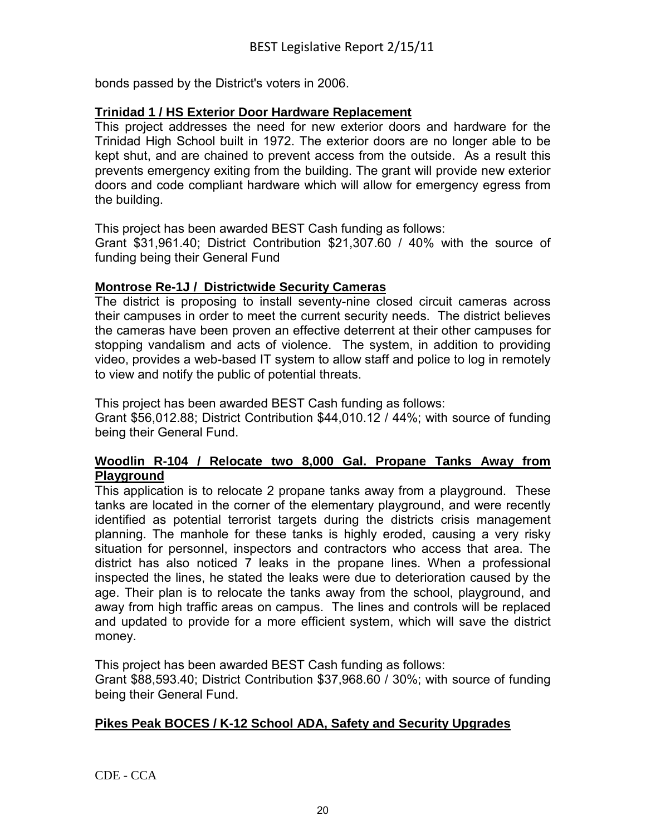bonds passed by the District's voters in 2006.

### **Trinidad 1 / HS Exterior Door Hardware Replacement**

This project addresses the need for new exterior doors and hardware for the Trinidad High School built in 1972. The exterior doors are no longer able to be kept shut, and are chained to prevent access from the outside. As a result this prevents emergency exiting from the building. The grant will provide new exterior doors and code compliant hardware which will allow for emergency egress from the building.

This project has been awarded BEST Cash funding as follows:

Grant \$31,961.40; District Contribution \$21,307.60 / 40% with the source of funding being their General Fund

### **Montrose Re-1J / Districtwide Security Cameras**

The district is proposing to install seventy-nine closed circuit cameras across their campuses in order to meet the current security needs. The district believes the cameras have been proven an effective deterrent at their other campuses for stopping vandalism and acts of violence. The system, in addition to providing video, provides a web-based IT system to allow staff and police to log in remotely to view and notify the public of potential threats.

This project has been awarded BEST Cash funding as follows:

Grant \$56,012.88; District Contribution \$44,010.12 / 44%; with source of funding being their General Fund.

### **Woodlin R-104 / Relocate two 8,000 Gal. Propane Tanks Away from Playground**

This application is to relocate 2 propane tanks away from a playground. These tanks are located in the corner of the elementary playground, and were recently identified as potential terrorist targets during the districts crisis management planning. The manhole for these tanks is highly eroded, causing a very risky situation for personnel, inspectors and contractors who access that area. The district has also noticed 7 leaks in the propane lines. When a professional inspected the lines, he stated the leaks were due to deterioration caused by the age. Their plan is to relocate the tanks away from the school, playground, and away from high traffic areas on campus. The lines and controls will be replaced and updated to provide for a more efficient system, which will save the district money.

This project has been awarded BEST Cash funding as follows:

Grant \$88,593.40; District Contribution \$37,968.60 / 30%; with source of funding being their General Fund.

# **Pikes Peak BOCES / K-12 School ADA, Safety and Security Upgrades**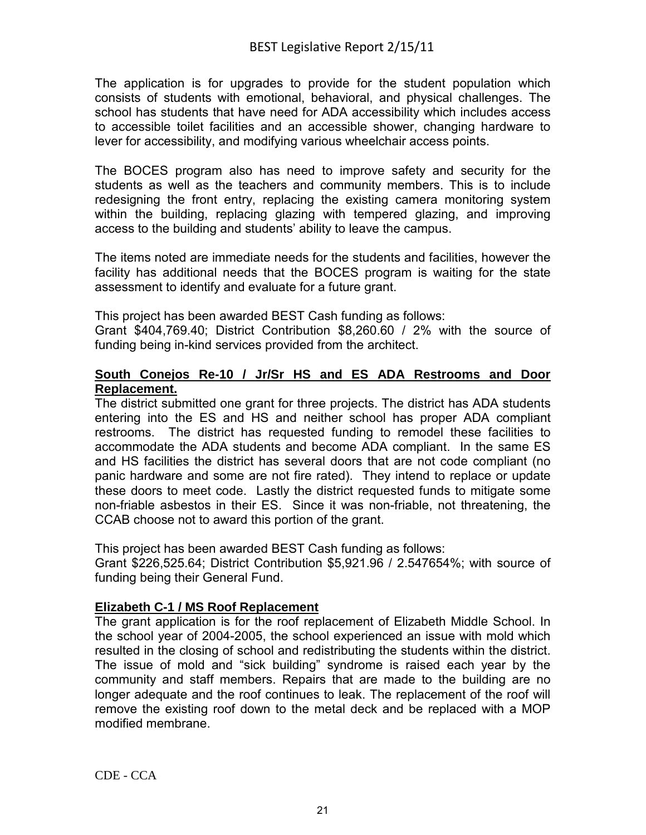The application is for upgrades to provide for the student population which consists of students with emotional, behavioral, and physical challenges. The school has students that have need for ADA accessibility which includes access to accessible toilet facilities and an accessible shower, changing hardware to lever for accessibility, and modifying various wheelchair access points.

The BOCES program also has need to improve safety and security for the students as well as the teachers and community members. This is to include redesigning the front entry, replacing the existing camera monitoring system within the building, replacing glazing with tempered glazing, and improving access to the building and students' ability to leave the campus.

The items noted are immediate needs for the students and facilities, however the facility has additional needs that the BOCES program is waiting for the state assessment to identify and evaluate for a future grant.

This project has been awarded BEST Cash funding as follows:

Grant \$404,769.40; District Contribution \$8,260.60 / 2% with the source of funding being in-kind services provided from the architect.

### **South Conejos Re-10 / Jr/Sr HS and ES ADA Restrooms and Door Replacement.**

The district submitted one grant for three projects. The district has ADA students entering into the ES and HS and neither school has proper ADA compliant restrooms. The district has requested funding to remodel these facilities to accommodate the ADA students and become ADA compliant. In the same ES and HS facilities the district has several doors that are not code compliant (no panic hardware and some are not fire rated). They intend to replace or update these doors to meet code. Lastly the district requested funds to mitigate some non-friable asbestos in their ES. Since it was non-friable, not threatening, the CCAB choose not to award this portion of the grant.

This project has been awarded BEST Cash funding as follows:

Grant \$226,525.64; District Contribution \$5,921.96 / 2.547654%; with source of funding being their General Fund.

# **Elizabeth C-1 / MS Roof Replacement**

The grant application is for the roof replacement of Elizabeth Middle School. In the school year of 2004-2005, the school experienced an issue with mold which resulted in the closing of school and redistributing the students within the district. The issue of mold and "sick building" syndrome is raised each year by the community and staff members. Repairs that are made to the building are no longer adequate and the roof continues to leak. The replacement of the roof will remove the existing roof down to the metal deck and be replaced with a MOP modified membrane.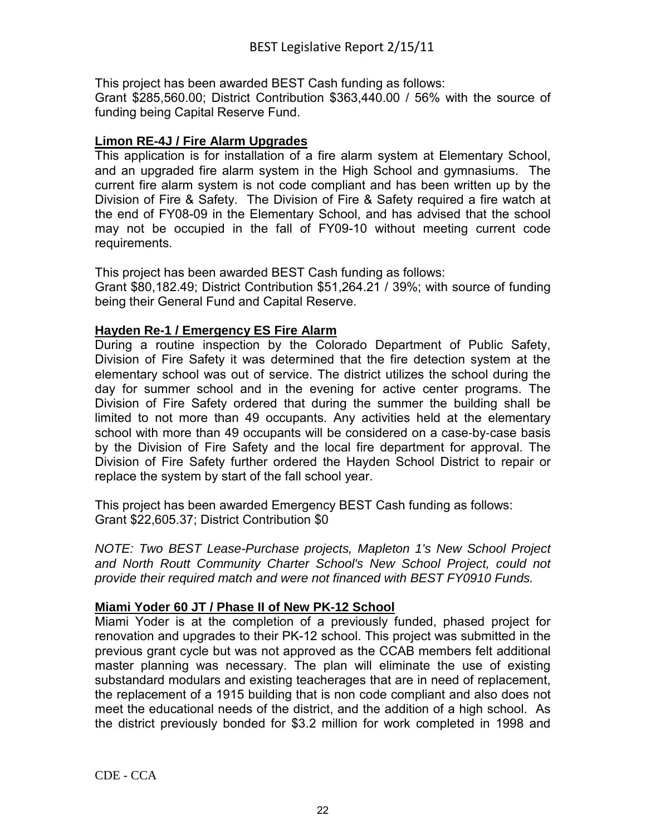This project has been awarded BEST Cash funding as follows: Grant \$285,560.00; District Contribution \$363,440.00 / 56% with the source of funding being Capital Reserve Fund.

# **Limon RE-4J / Fire Alarm Upgrades**

This application is for installation of a fire alarm system at Elementary School, and an upgraded fire alarm system in the High School and gymnasiums. The current fire alarm system is not code compliant and has been written up by the Division of Fire & Safety. The Division of Fire & Safety required a fire watch at the end of FY08-09 in the Elementary School, and has advised that the school may not be occupied in the fall of FY09-10 without meeting current code requirements.

This project has been awarded BEST Cash funding as follows:

Grant \$80,182.49; District Contribution \$51,264.21 / 39%; with source of funding being their General Fund and Capital Reserve.

### **Hayden Re-1 / Emergency ES Fire Alarm**

During a routine inspection by the Colorado Department of Public Safety, Division of Fire Safety it was determined that the fire detection system at the elementary school was out of service. The district utilizes the school during the day for summer school and in the evening for active center programs. The Division of Fire Safety ordered that during the summer the building shall be limited to not more than 49 occupants. Any activities held at the elementary school with more than 49 occupants will be considered on a case-by-case basis by the Division of Fire Safety and the local fire department for approval. The Division of Fire Safety further ordered the Hayden School District to repair or replace the system by start of the fall school year.

This project has been awarded Emergency BEST Cash funding as follows: Grant \$22,605.37; District Contribution \$0

*NOTE: Two BEST Lease-Purchase projects, Mapleton 1's New School Project and North Routt Community Charter School's New School Project, could not provide their required match and were not financed with BEST FY0910 Funds.*

#### **Miami Yoder 60 JT / Phase II of New PK-12 School**

Miami Yoder is at the completion of a previously funded, phased project for renovation and upgrades to their PK-12 school. This project was submitted in the previous grant cycle but was not approved as the CCAB members felt additional master planning was necessary. The plan will eliminate the use of existing substandard modulars and existing teacherages that are in need of replacement, the replacement of a 1915 building that is non code compliant and also does not meet the educational needs of the district, and the addition of a high school. As the district previously bonded for \$3.2 million for work completed in 1998 and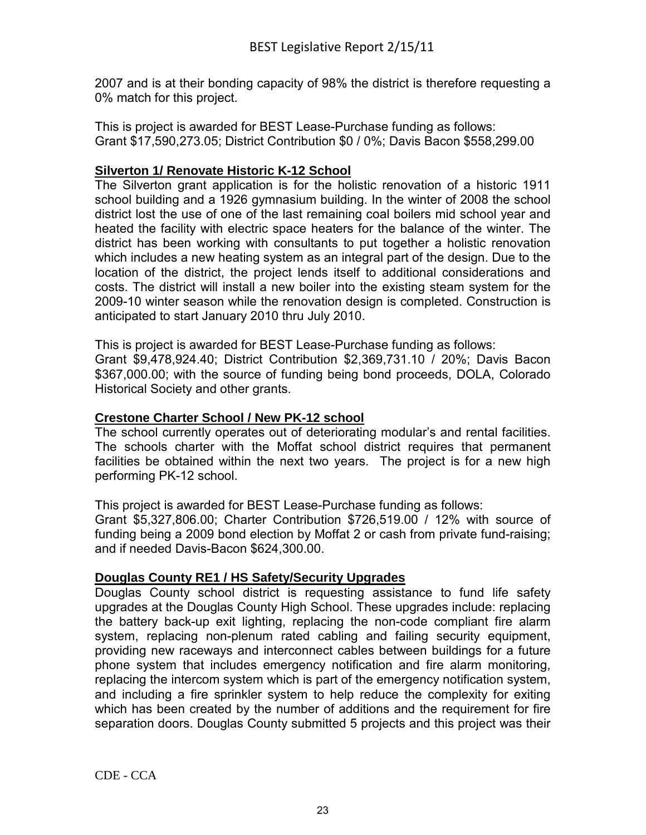2007 and is at their bonding capacity of 98% the district is therefore requesting a 0% match for this project.

This is project is awarded for BEST Lease-Purchase funding as follows: Grant \$17,590,273.05; District Contribution \$0 / 0%; Davis Bacon \$558,299.00

# **Silverton 1/ Renovate Historic K-12 School**

The Silverton grant application is for the holistic renovation of a historic 1911 school building and a 1926 gymnasium building. In the winter of 2008 the school district lost the use of one of the last remaining coal boilers mid school year and heated the facility with electric space heaters for the balance of the winter. The district has been working with consultants to put together a holistic renovation which includes a new heating system as an integral part of the design. Due to the location of the district, the project lends itself to additional considerations and costs. The district will install a new boiler into the existing steam system for the 2009-10 winter season while the renovation design is completed. Construction is anticipated to start January 2010 thru July 2010.

This is project is awarded for BEST Lease-Purchase funding as follows: Grant \$9,478,924.40; District Contribution \$2,369,731.10 / 20%; Davis Bacon \$367,000.00; with the source of funding being bond proceeds, DOLA, Colorado Historical Society and other grants.

# **Crestone Charter School / New PK-12 school**

The school currently operates out of deteriorating modular's and rental facilities. The schools charter with the Moffat school district requires that permanent facilities be obtained within the next two years. The project is for a new high performing PK-12 school.

This project is awarded for BEST Lease-Purchase funding as follows:

Grant \$5,327,806.00; Charter Contribution \$726,519.00 / 12% with source of funding being a 2009 bond election by Moffat 2 or cash from private fund-raising; and if needed Davis-Bacon \$624,300.00.

# **Douglas County RE1 / HS Safety/Security Upgrades**

Douglas County school district is requesting assistance to fund life safety upgrades at the Douglas County High School. These upgrades include: replacing the battery back-up exit lighting, replacing the non-code compliant fire alarm system, replacing non-plenum rated cabling and failing security equipment, providing new raceways and interconnect cables between buildings for a future phone system that includes emergency notification and fire alarm monitoring, replacing the intercom system which is part of the emergency notification system, and including a fire sprinkler system to help reduce the complexity for exiting which has been created by the number of additions and the requirement for fire separation doors. Douglas County submitted 5 projects and this project was their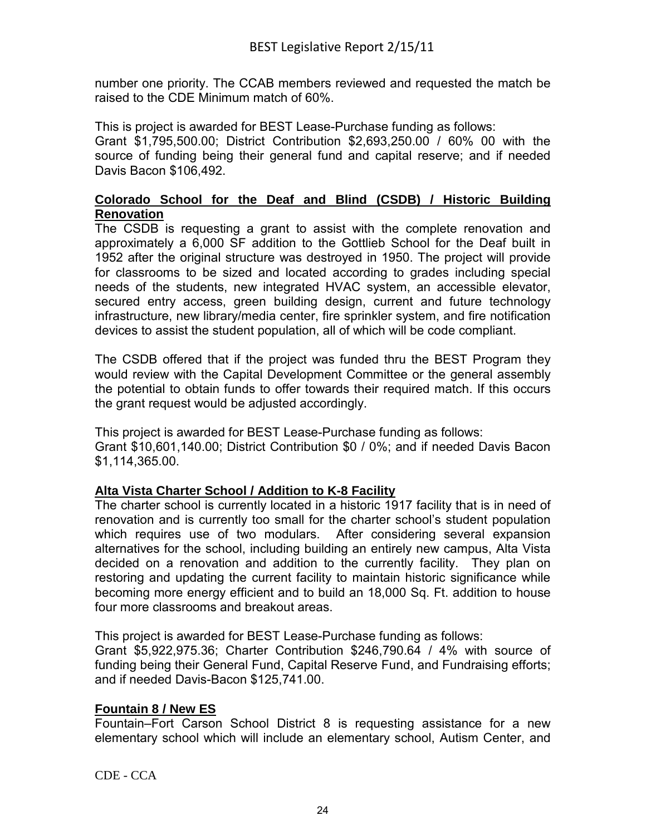number one priority. The CCAB members reviewed and requested the match be raised to the CDE Minimum match of 60%.

This is project is awarded for BEST Lease-Purchase funding as follows: Grant \$1,795,500.00; District Contribution \$2,693,250.00 / 60% 00 with the source of funding being their general fund and capital reserve; and if needed Davis Bacon \$106,492.

# **Colorado School for the Deaf and Blind (CSDB) / Historic Building Renovation**

The CSDB is requesting a grant to assist with the complete renovation and approximately a 6,000 SF addition to the Gottlieb School for the Deaf built in 1952 after the original structure was destroyed in 1950. The project will provide for classrooms to be sized and located according to grades including special needs of the students, new integrated HVAC system, an accessible elevator, secured entry access, green building design, current and future technology infrastructure, new library/media center, fire sprinkler system, and fire notification devices to assist the student population, all of which will be code compliant.

The CSDB offered that if the project was funded thru the BEST Program they would review with the Capital Development Committee or the general assembly the potential to obtain funds to offer towards their required match. If this occurs the grant request would be adjusted accordingly.

This project is awarded for BEST Lease-Purchase funding as follows: Grant \$10,601,140.00; District Contribution \$0 / 0%; and if needed Davis Bacon \$1,114,365.00.

# **Alta Vista Charter School / Addition to K-8 Facility**

The charter school is currently located in a historic 1917 facility that is in need of renovation and is currently too small for the charter school's student population which requires use of two modulars. After considering several expansion alternatives for the school, including building an entirely new campus, Alta Vista decided on a renovation and addition to the currently facility. They plan on restoring and updating the current facility to maintain historic significance while becoming more energy efficient and to build an 18,000 Sq. Ft. addition to house four more classrooms and breakout areas.

This project is awarded for BEST Lease-Purchase funding as follows:

Grant \$5,922,975.36; Charter Contribution \$246,790.64 / 4% with source of funding being their General Fund, Capital Reserve Fund, and Fundraising efforts; and if needed Davis-Bacon \$125,741.00.

# **Fountain 8 / New ES**

Fountain–Fort Carson School District 8 is requesting assistance for a new elementary school which will include an elementary school, Autism Center, and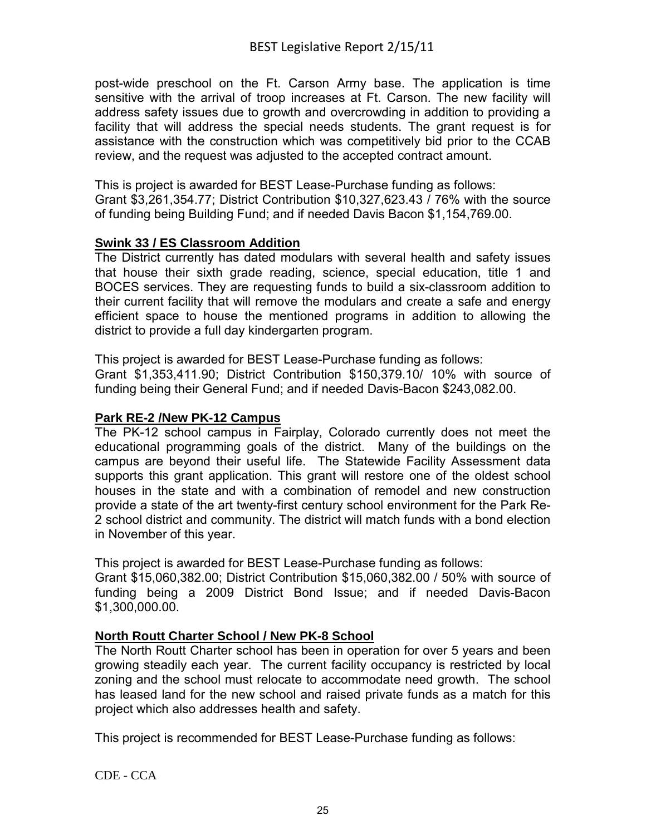post-wide preschool on the Ft. Carson Army base. The application is time sensitive with the arrival of troop increases at Ft. Carson. The new facility will address safety issues due to growth and overcrowding in addition to providing a facility that will address the special needs students. The grant request is for assistance with the construction which was competitively bid prior to the CCAB review, and the request was adjusted to the accepted contract amount.

This is project is awarded for BEST Lease-Purchase funding as follows: Grant \$3,261,354.77; District Contribution \$10,327,623.43 / 76% with the source of funding being Building Fund; and if needed Davis Bacon \$1,154,769.00.

### **Swink 33 / ES Classroom Addition**

The District currently has dated modulars with several health and safety issues that house their sixth grade reading, science, special education, title 1 and BOCES services. They are requesting funds to build a six-classroom addition to their current facility that will remove the modulars and create a safe and energy efficient space to house the mentioned programs in addition to allowing the district to provide a full day kindergarten program.

This project is awarded for BEST Lease-Purchase funding as follows:

Grant \$1,353,411.90; District Contribution \$150,379.10/ 10% with source of funding being their General Fund; and if needed Davis-Bacon \$243,082.00.

# **Park RE-2 /New PK-12 Campus**

The PK-12 school campus in Fairplay, Colorado currently does not meet the educational programming goals of the district. Many of the buildings on the campus are beyond their useful life. The Statewide Facility Assessment data supports this grant application. This grant will restore one of the oldest school houses in the state and with a combination of remodel and new construction provide a state of the art twenty-first century school environment for the Park Re-2 school district and community. The district will match funds with a bond election in November of this year.

This project is awarded for BEST Lease-Purchase funding as follows:

Grant \$15,060,382.00; District Contribution \$15,060,382.00 / 50% with source of funding being a 2009 District Bond Issue; and if needed Davis-Bacon \$1,300,000.00.

#### **North Routt Charter School / New PK-8 School**

The North Routt Charter school has been in operation for over 5 years and been growing steadily each year. The current facility occupancy is restricted by local zoning and the school must relocate to accommodate need growth. The school has leased land for the new school and raised private funds as a match for this project which also addresses health and safety.

This project is recommended for BEST Lease-Purchase funding as follows: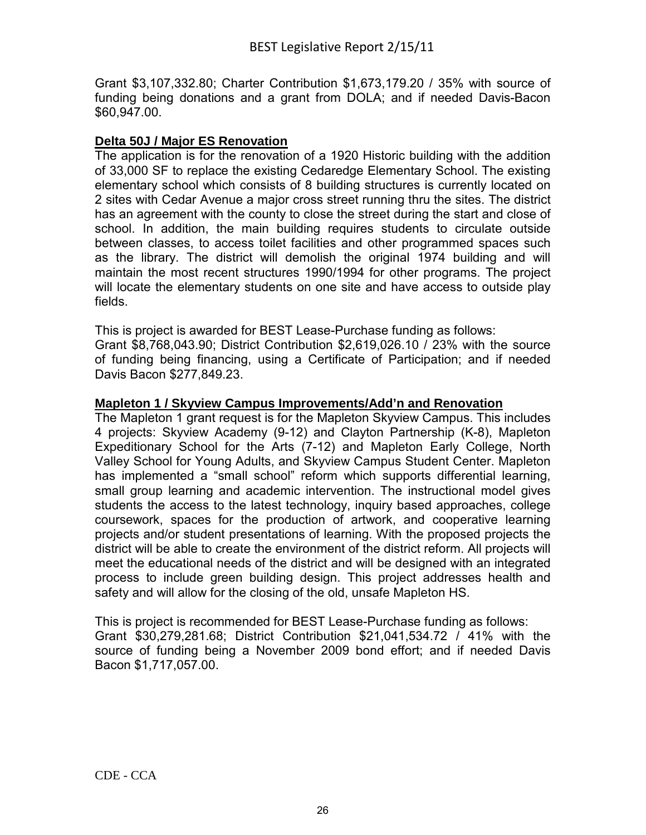Grant \$3,107,332.80; Charter Contribution \$1,673,179.20 / 35% with source of funding being donations and a grant from DOLA; and if needed Davis-Bacon \$60,947.00.

# **Delta 50J / Major ES Renovation**

The application is for the renovation of a 1920 Historic building with the addition of 33,000 SF to replace the existing Cedaredge Elementary School. The existing elementary school which consists of 8 building structures is currently located on 2 sites with Cedar Avenue a major cross street running thru the sites. The district has an agreement with the county to close the street during the start and close of school. In addition, the main building requires students to circulate outside between classes, to access toilet facilities and other programmed spaces such as the library. The district will demolish the original 1974 building and will maintain the most recent structures 1990/1994 for other programs. The project will locate the elementary students on one site and have access to outside play fields.

This is project is awarded for BEST Lease-Purchase funding as follows: Grant \$8,768,043.90; District Contribution \$2,619,026.10 / 23% with the source of funding being financing, using a Certificate of Participation; and if needed Davis Bacon \$277,849.23.

#### **Mapleton 1 / Skyview Campus Improvements/Add'n and Renovation**

The Mapleton 1 grant request is for the Mapleton Skyview Campus. This includes 4 projects: Skyview Academy (9-12) and Clayton Partnership (K-8), Mapleton Expeditionary School for the Arts (7-12) and Mapleton Early College, North Valley School for Young Adults, and Skyview Campus Student Center. Mapleton has implemented a "small school" reform which supports differential learning, small group learning and academic intervention. The instructional model gives students the access to the latest technology, inquiry based approaches, college coursework, spaces for the production of artwork, and cooperative learning projects and/or student presentations of learning. With the proposed projects the district will be able to create the environment of the district reform. All projects will meet the educational needs of the district and will be designed with an integrated process to include green building design. This project addresses health and safety and will allow for the closing of the old, unsafe Mapleton HS.

This is project is recommended for BEST Lease-Purchase funding as follows: Grant \$30,279,281.68; District Contribution \$21,041,534.72 / 41% with the source of funding being a November 2009 bond effort; and if needed Davis Bacon \$1,717,057.00.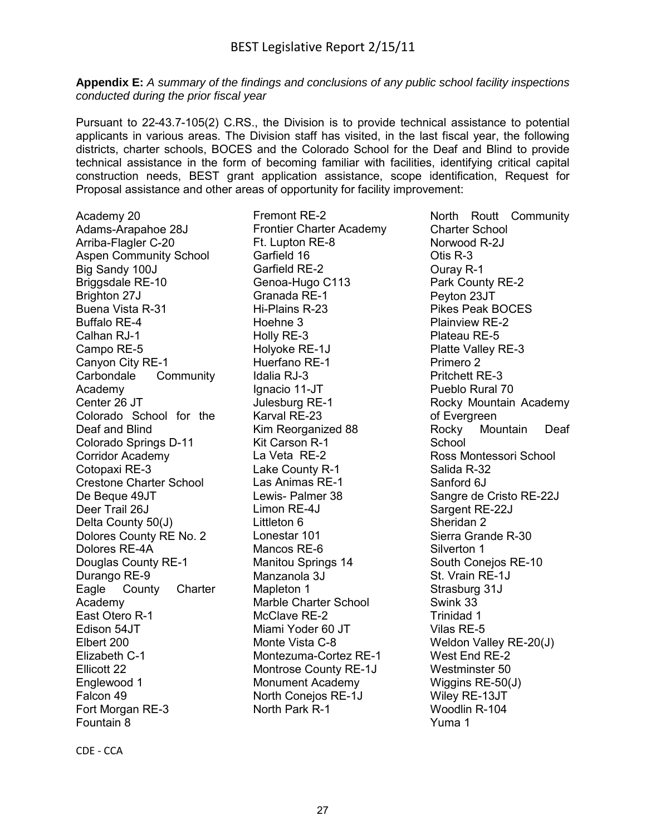**Appendix E:** *A summary of the findings and conclusions of any public school facility inspections conducted during the prior fiscal year*

Pursuant to 22-43.7-105(2) C.RS., the Division is to provide technical assistance to potential applicants in various areas. The Division staff has visited, in the last fiscal year, the following districts, charter schools, BOCES and the Colorado School for the Deaf and Blind to provide technical assistance in the form of becoming familiar with facilities, identifying critical capital construction needs, BEST grant application assistance, scope identification, Request for Proposal assistance and other areas of opportunity for facility improvement:

Academy 20 Adams-Arapahoe 28J Arriba-Flagler C-20 Aspen Community School Big Sandy 100J Briggsdale RE-10 Brighton 27J Buena Vista R-31 Buffalo RE-4 Calhan RJ-1 Campo RE-5 Canyon City RE-1 Carbondale Community Academy Center 26 JT Colorado School for the Deaf and Blind Colorado Springs D-11 Corridor Academy Cotopaxi RE-3 Crestone Charter School De Beque 49JT Deer Trail 26J Delta County 50(J) Dolores County RE No. 2 Dolores RE-4A Douglas County RE-1 Durango RE-9 Eagle County Charter Academy East Otero R-1 Edison 54JT Elbert 200 Elizabeth C-1 Ellicott 22 Englewood 1 Falcon 49 Fort Morgan RE-3 Fountain 8

Fremont RE-2 Frontier Charter Academy Ft. Lupton RE-8 Garfield 16 Garfield RE-2 Genoa-Hugo C113 Granada RE-1 Hi-Plains R-23 Hoehne 3 Holly RE-3 Holyoke RE-1J Huerfano RE-1 Idalia RJ-3 Ignacio 11-JT Julesburg RE-1 Karval RE-23 Kim Reorganized 88 Kit Carson R-1 La Veta RE-2 Lake County R-1 Las Animas RE-1 Lewis- Palmer 38 Limon RE-4J Littleton 6 Lonestar 101 Mancos RE-6 Manitou Springs 14 Manzanola 3J Mapleton 1 Marble Charter School McClave RE-2 Miami Yoder 60 JT Monte Vista C-8 Montezuma-Cortez RE-1 Montrose County RE-1J Monument Academy North Conejos RE-1J North Park R-1

North Routt Community Charter School Norwood R-2J Otis R-3 Ouray R-1 Park County RE-2 Peyton 23JT Pikes Peak BOCES Plainview RE-2 Plateau RE-5 Platte Valley RE-3 Primero 2 Pritchett RE-3 Pueblo Rural 70 Rocky Mountain Academy of Evergreen Rocky Mountain Deaf School Ross Montessori School Salida R-32 Sanford 6J Sangre de Cristo RE-22J Sargent RE-22J Sheridan 2 Sierra Grande R-30 Silverton 1 South Conejos RE-10 St. Vrain RE-1J Strasburg 31J Swink 33 Trinidad 1 Vilas RE-5 Weldon Valley RE-20(J) West End RE-2 Westminster 50 Wiggins RE-50(J) Wiley RE-13JT Woodlin R-104 Yuma 1

CDE - CCA Page **1** of **4**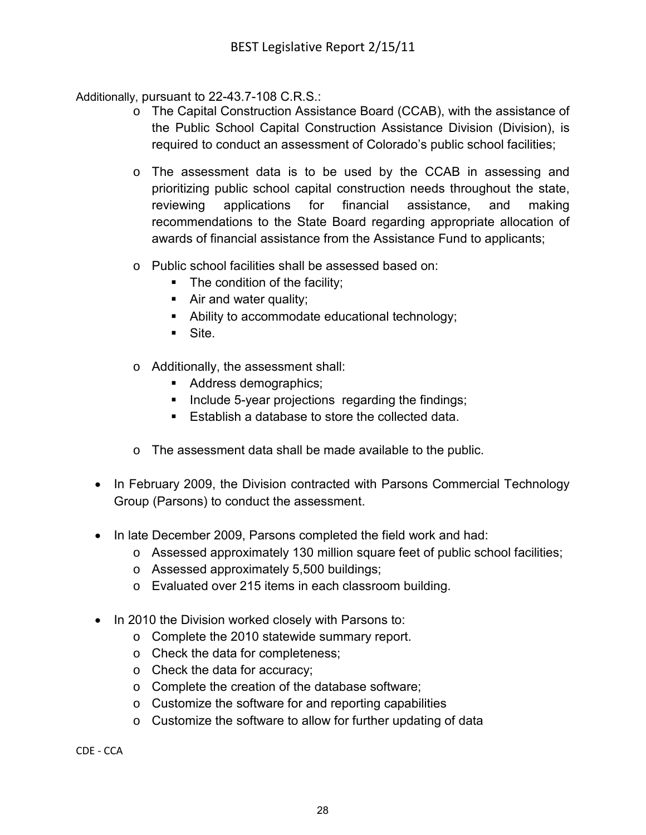Additionally, pursuant to 22-43.7-108 C.R.S.:

- o The Capital Construction Assistance Board (CCAB), with the assistance of the Public School Capital Construction Assistance Division (Division), is required to conduct an assessment of Colorado's public school facilities;
- o The assessment data is to be used by the CCAB in assessing and prioritizing public school capital construction needs throughout the state, reviewing applications for financial assistance, and making recommendations to the State Board regarding appropriate allocation of awards of financial assistance from the Assistance Fund to applicants;
- o Public school facilities shall be assessed based on:
	- The condition of the facility;
	- Air and water quality;
	- Ability to accommodate educational technology;
	- Site.
- o Additionally, the assessment shall:
	- Address demographics;
	- Include 5-year projections regarding the findings;
	- Establish a database to store the collected data.
- o The assessment data shall be made available to the public.
- In February 2009, the Division contracted with Parsons Commercial Technology Group (Parsons) to conduct the assessment.
- In late December 2009, Parsons completed the field work and had:
	- o Assessed approximately 130 million square feet of public school facilities;
	- o Assessed approximately 5,500 buildings;
	- o Evaluated over 215 items in each classroom building.
- In 2010 the Division worked closely with Parsons to:
	- o Complete the 2010 statewide summary report.
	- o Check the data for completeness;
	- o Check the data for accuracy;
	- o Complete the creation of the database software;
	- o Customize the software for and reporting capabilities
	- o Customize the software to allow for further updating of data

CDE - CCA Page **2** of **4**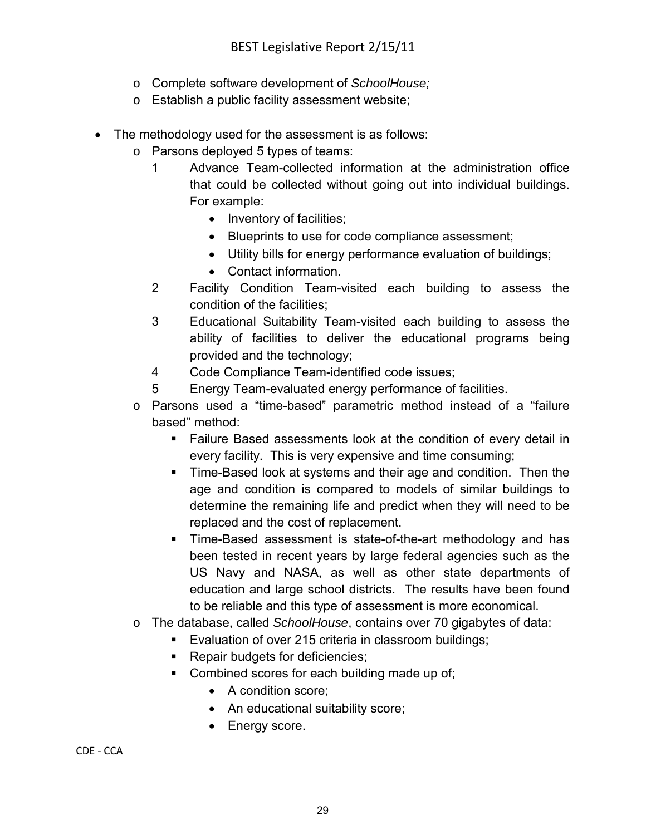- o Complete software development of *SchoolHouse;*
- o Establish a public facility assessment website;
- The methodology used for the assessment is as follows:
	- o Parsons deployed 5 types of teams:
		- 1 Advance Team-collected information at the administration office that could be collected without going out into individual buildings. For example:
			- Inventory of facilities;
			- Blueprints to use for code compliance assessment;
			- Utility bills for energy performance evaluation of buildings;
			- Contact information.
		- 2 Facility Condition Team-visited each building to assess the condition of the facilities;
		- 3 Educational Suitability Team-visited each building to assess the ability of facilities to deliver the educational programs being provided and the technology;
		- 4 Code Compliance Team-identified code issues;
		- 5 Energy Team-evaluated energy performance of facilities.
	- o Parsons used a "time-based" parametric method instead of a "failure based" method:
		- Failure Based assessments look at the condition of every detail in every facility. This is very expensive and time consuming;
		- Time-Based look at systems and their age and condition. Then the age and condition is compared to models of similar buildings to determine the remaining life and predict when they will need to be replaced and the cost of replacement.
		- **Time-Based assessment is state-of-the-art methodology and has** been tested in recent years by large federal agencies such as the US Navy and NASA, as well as other state departments of education and large school districts. The results have been found to be reliable and this type of assessment is more economical.
	- o The database, called *SchoolHouse*, contains over 70 gigabytes of data:
		- Evaluation of over 215 criteria in classroom buildings;
			- **Repair budgets for deficiencies;**
		- Combined scores for each building made up of;
			- A condition score;
			- An educational suitability score;
			- Energy score.

CDE - CCA Page **3** of **4**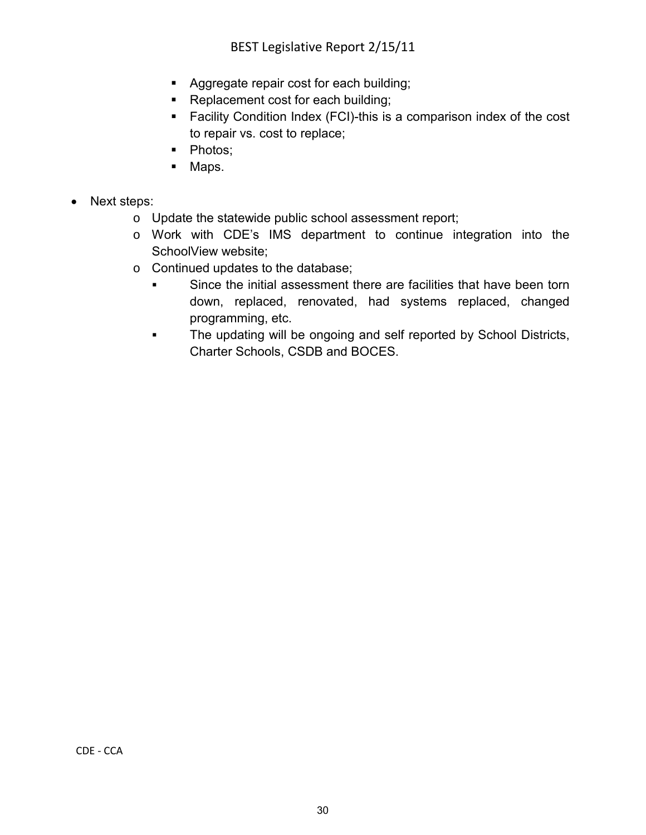- **Aggregate repair cost for each building;**
- Replacement cost for each building;
- Facility Condition Index (FCI)-this is a comparison index of the cost to repair vs. cost to replace;
- Photos;
- Maps.
- Next steps:
	- o Update the statewide public school assessment report;
	- o Work with CDE's IMS department to continue integration into the SchoolView website;
	- o Continued updates to the database;
		- Since the initial assessment there are facilities that have been torn down, replaced, renovated, had systems replaced, changed programming, etc.
		- The updating will be ongoing and self reported by School Districts, Charter Schools, CSDB and BOCES.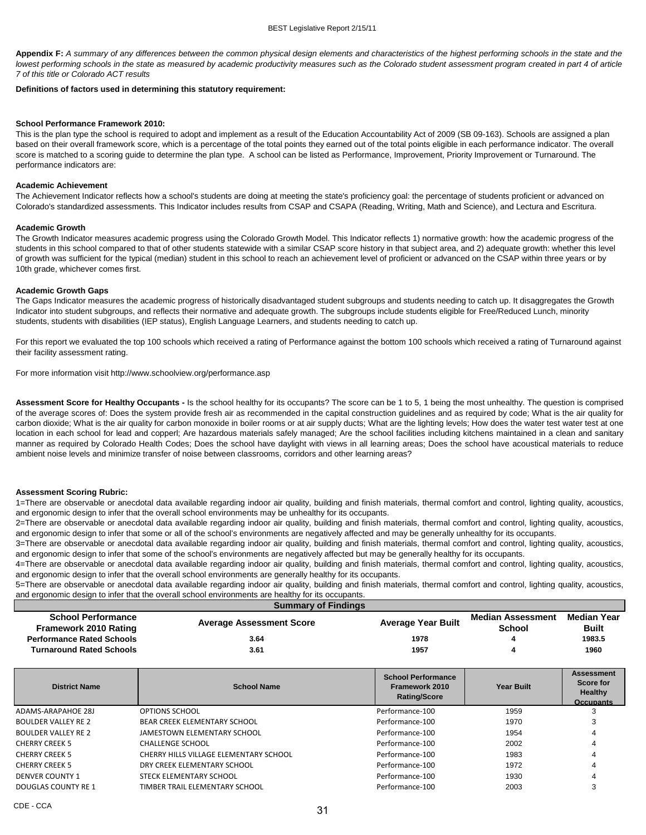**Appendix F:** *A summary of any differences between the common physical design elements and characteristics of the highest performing schools in the state and the* lowest performing schools in the state as measured by academic productivity measures such as the Colorado student assessment program created in part 4 of article *7 of this title or Colorado ACT results*

#### **Definitions of factors used in determining this statutory requirement:**

#### **School Performance Framework 2010:**

This is the plan type the school is required to adopt and implement as a result of the Education Accountability Act of 2009 (SB 09-163). Schools are assigned a plan based on their overall framework score, which is a percentage of the total points they earned out of the total points eligible in each performance indicator. The overall score is matched to a scoring guide to determine the plan type. A school can be listed as Performance, Improvement, Priority Improvement or Turnaround. The performance indicators are:

#### **Academic Achievement**

The Achievement Indicator reflects how a school's students are doing at meeting the state's proficiency goal: the percentage of students proficient or advanced on Colorado's standardized assessments. This Indicator includes results from CSAP and CSAPA (Reading, Writing, Math and Science), and Lectura and Escritura.

#### **Academic Growth**

The Growth Indicator measures academic progress using the Colorado Growth Model. This Indicator reflects 1) normative growth: how the academic progress of the students in this school compared to that of other students statewide with a similar CSAP score history in that subject area, and 2) adequate growth: whether this level of growth was sufficient for the typical (median) student in this school to reach an achievement level of proficient or advanced on the CSAP within three years or by 10th grade, whichever comes first.

#### **Academic Growth Gaps**

The Gaps Indicator measures the academic progress of historically disadvantaged student subgroups and students needing to catch up. It disaggregates the Growth Indicator into student subgroups, and reflects their normative and adequate growth. The subgroups include students eligible for Free/Reduced Lunch, minority students, students with disabilities (IEP status), English Language Learners, and students needing to catch up.

For this report we evaluated the top 100 schools which received a rating of Performance against the bottom 100 schools which received a rating of Turnaround against their facility assessment rating.

For more information visit http://www.schoolview.org/performance.asp

**Assessment Score for Healthy Occupants -** Is the school healthy for its occupants? The score can be 1 to 5, 1 being the most unhealthy. The question is comprised of the average scores of: Does the system provide fresh air as recommended in the capital construction guidelines and as required by code; What is the air quality for carbon dioxide; What is the air quality for carbon monoxide in boiler rooms or at air supply ducts; What are the lighting levels; How does the water test water test at one location in each school for lead and copperl; Are hazardous materials safely managed; Are the school facilities including kitchens maintained in a clean and sanitary manner as required by Colorado Health Codes; Does the school have daylight with views in all learning areas; Does the school have acoustical materials to reduce ambient noise levels and minimize transfer of noise between classrooms, corridors and other learning areas?

#### **Assessment Scoring Rubric:**

1=There are observable or anecdotal data available regarding indoor air quality, building and finish materials, thermal comfort and control, lighting quality, acoustics, and ergonomic design to infer that the overall school environments may be unhealthy for its occupants.

2=There are observable or anecdotal data available regarding indoor air quality, building and finish materials, thermal comfort and control, lighting quality, acoustics, and ergonomic design to infer that some or all of the school's environments are negatively affected and may be generally unhealthy for its occupants.

3=There are observable or anecdotal data available regarding indoor air quality, building and finish materials, thermal comfort and control, lighting quality, acoustics, and ergonomic design to infer that some of the school's environments are negatively affected but may be generally healthy for its occupants.

4=There are observable or anecdotal data available regarding indoor air quality, building and finish materials, thermal comfort and control, lighting quality, acoustics, and ergonomic design to infer that the overall school environments are generally healthy for its occupants.

5=There are observable or anecdotal data available regarding indoor air quality, building and finish materials, thermal comfort and control, lighting quality, acoustics, and ergonomic design to infer that the overall school environments are healthy for its occupants.

|                                                           | <b>Summary of Findings</b>             |                                                                    |                                           |                                                                      |
|-----------------------------------------------------------|----------------------------------------|--------------------------------------------------------------------|-------------------------------------------|----------------------------------------------------------------------|
| <b>School Performance</b><br><b>Framework 2010 Rating</b> | <b>Average Assessment Score</b>        | <b>Average Year Built</b>                                          | <b>Median Assessment</b><br><b>School</b> | <b>Median Year</b><br><b>Built</b>                                   |
| <b>Performance Rated Schools</b>                          | 3.64                                   | 1978                                                               |                                           | 1983.5                                                               |
| <b>Turnaround Rated Schools</b>                           | 3.61                                   | 1957                                                               | 4                                         | 1960                                                                 |
|                                                           |                                        |                                                                    |                                           |                                                                      |
| <b>District Name</b>                                      | <b>School Name</b>                     | <b>School Performance</b><br>Framework 2010<br><b>Rating/Score</b> | <b>Year Built</b>                         | <b>Assessment</b><br>Score for<br><b>Healthy</b><br><b>Occupants</b> |
| <b>ADAMS-ARAPAHOE 28J</b>                                 | OPTIONS SCHOOL                         | Performance-100                                                    | 1959                                      |                                                                      |
| <b>BOULDER VALLEY RE 2</b>                                | <b>BEAR CREEK ELEMENTARY SCHOOL</b>    | Performance-100                                                    | 1970                                      | 3                                                                    |
| <b>BOULDER VALLEY RE 2</b>                                | JAMESTOWN ELEMENTARY SCHOOL            | Performance-100                                                    | 1954                                      |                                                                      |
| <b>CHERRY CREEK 5</b>                                     | <b>CHALLENGE SCHOOL</b>                | Performance-100                                                    | 2002                                      |                                                                      |
| <b>CHERRY CREEK 5</b>                                     | CHERRY HILLS VILLAGE ELEMENTARY SCHOOL | Performance-100                                                    | 1983                                      |                                                                      |
| <b>CHERRY CREEK 5</b>                                     | DRY CREEK ELEMENTARY SCHOOL            | Performance-100                                                    | 1972                                      |                                                                      |
| <b>DENVER COUNTY 1</b>                                    | STECK ELEMENTARY SCHOOL                | Performance-100                                                    | 1930                                      |                                                                      |
| <b>DOUGLAS COUNTY RE 1</b>                                | TIMBER TRAIL ELEMENTARY SCHOOL         | Performance-100                                                    | 2003                                      | 3                                                                    |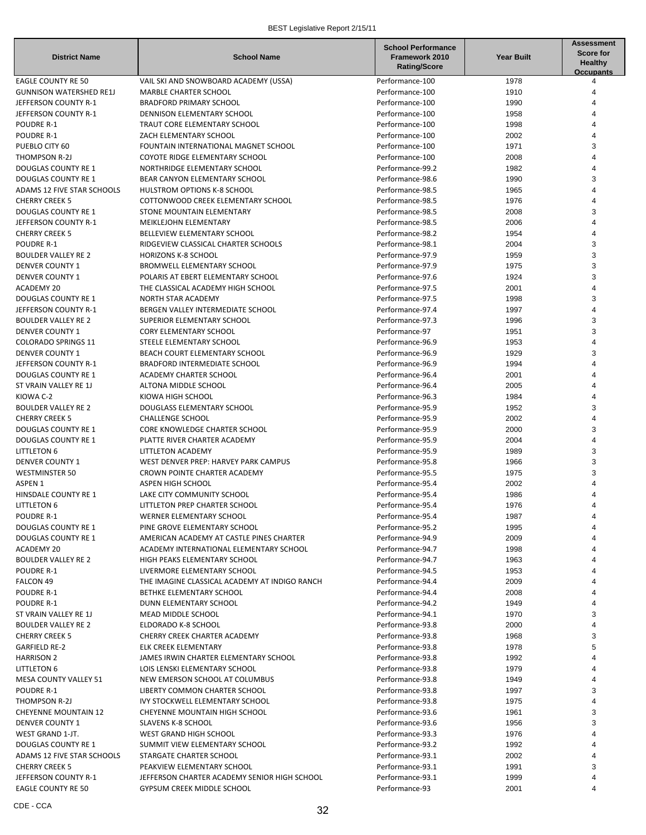| <b>District Name</b>           | <b>School Name</b>                            | <b>School Performance</b><br><b>Framework 2010</b><br><b>Rating/Score</b> | <b>Year Built</b> | Assessment<br><b>Score for</b><br><b>Healthy</b><br><b>Occupants</b> |
|--------------------------------|-----------------------------------------------|---------------------------------------------------------------------------|-------------------|----------------------------------------------------------------------|
| <b>EAGLE COUNTY RE 50</b>      | VAIL SKI AND SNOWBOARD ACADEMY (USSA)         | Performance-100                                                           | 1978              | 4                                                                    |
| <b>GUNNISON WATERSHED RE1J</b> | MARBLE CHARTER SCHOOL                         | Performance-100                                                           | 1910              |                                                                      |
| JEFFERSON COUNTY R-1           | <b>BRADFORD PRIMARY SCHOOL</b>                | Performance-100                                                           | 1990              |                                                                      |
| JEFFERSON COUNTY R-1           | <b>DENNISON ELEMENTARY SCHOOL</b>             | Performance-100                                                           | 1958              |                                                                      |
| <b>POUDRE R-1</b>              | TRAUT CORE ELEMENTARY SCHOOL                  | Performance-100                                                           | 1998              |                                                                      |
| POUDRE R-1                     | ZACH ELEMENTARY SCHOOL                        | Performance-100                                                           | 2002              |                                                                      |
| PUEBLO CITY 60                 | FOUNTAIN INTERNATIONAL MAGNET SCHOOL          | Performance-100                                                           | 1971              | 3                                                                    |
| THOMPSON R-2J                  | COYOTE RIDGE ELEMENTARY SCHOOL                | Performance-100                                                           | 2008              |                                                                      |
| <b>DOUGLAS COUNTY RE 1</b>     | NORTHRIDGE ELEMENTARY SCHOOL                  | Performance-99.2                                                          | 1982              |                                                                      |
| <b>DOUGLAS COUNTY RE 1</b>     | BEAR CANYON ELEMENTARY SCHOOL                 | Performance-98.6                                                          | 1990              | 3                                                                    |
| ADAMS 12 FIVE STAR SCHOOLS     | <b>HULSTROM OPTIONS K-8 SCHOOL</b>            | Performance-98.5                                                          | 1965              |                                                                      |
| <b>CHERRY CREEK 5</b>          | COTTONWOOD CREEK ELEMENTARY SCHOOL            | Performance-98.5                                                          | 1976              |                                                                      |
| <b>DOUGLAS COUNTY RE 1</b>     | STONE MOUNTAIN ELEMENTARY                     | Performance-98.5                                                          | 2008              | 3                                                                    |
| JEFFERSON COUNTY R-1           | MEIKLEJOHN ELEMENTARY                         | Performance-98.5                                                          | 2006              |                                                                      |
| <b>CHERRY CREEK 5</b>          | BELLEVIEW ELEMENTARY SCHOOL                   | Performance-98.2                                                          | 1954              |                                                                      |
| <b>POUDRE R-1</b>              | RIDGEVIEW CLASSICAL CHARTER SCHOOLS           | Performance-98.1                                                          | 2004              | 3                                                                    |
| <b>BOULDER VALLEY RE 2</b>     | <b>HORIZONS K-8 SCHOOL</b>                    | Performance-97.9                                                          | 1959              | 3                                                                    |
| <b>DENVER COUNTY 1</b>         | <b>BROMWELL ELEMENTARY SCHOOL</b>             | Performance-97.9                                                          | 1975              | 3                                                                    |
| <b>DENVER COUNTY 1</b>         | POLARIS AT EBERT ELEMENTARY SCHOOL            | Performance-97.6                                                          | 1924              | 3                                                                    |
| <b>ACADEMY 20</b>              | THE CLASSICAL ACADEMY HIGH SCHOOL             | Performance-97.5                                                          | 2001              |                                                                      |
| <b>DOUGLAS COUNTY RE 1</b>     | NORTH STAR ACADEMY                            | Performance-97.5                                                          | 1998              | 3                                                                    |
| JEFFERSON COUNTY R-1           | BERGEN VALLEY INTERMEDIATE SCHOOL             | Performance-97.4                                                          | 1997              |                                                                      |
| <b>BOULDER VALLEY RE 2</b>     | <b>SUPERIOR ELEMENTARY SCHOOL</b>             | Performance-97.3                                                          | 1996              | 3                                                                    |
| <b>DENVER COUNTY 1</b>         | <b>CORY ELEMENTARY SCHOOL</b>                 | Performance-97                                                            | 1951              | 3                                                                    |
| <b>COLORADO SPRINGS 11</b>     | STEELE ELEMENTARY SCHOOL                      | Performance-96.9                                                          | 1953              |                                                                      |
| <b>DENVER COUNTY 1</b>         | BEACH COURT ELEMENTARY SCHOOL                 | Performance-96.9                                                          | 1929              | 3                                                                    |
| JEFFERSON COUNTY R-1           | BRADFORD INTERMEDIATE SCHOOL                  | Performance-96.9                                                          | 1994              |                                                                      |
| <b>DOUGLAS COUNTY RE 1</b>     | ACADEMY CHARTER SCHOOL                        | Performance-96.4                                                          | 2001              |                                                                      |
| ST VRAIN VALLEY RE 1J          | ALTONA MIDDLE SCHOOL                          | Performance-96.4                                                          | 2005              |                                                                      |
| KIOWA C-2                      | KIOWA HIGH SCHOOL                             | Performance-96.3                                                          | 1984              |                                                                      |
| <b>BOULDER VALLEY RE 2</b>     | DOUGLASS ELEMENTARY SCHOOL                    | Performance-95.9                                                          | 1952              | 3                                                                    |
| <b>CHERRY CREEK 5</b>          | <b>CHALLENGE SCHOOL</b>                       | Performance-95.9                                                          | 2002              |                                                                      |
| <b>DOUGLAS COUNTY RE 1</b>     | <b>CORE KNOWLEDGE CHARTER SCHOOL</b>          | Performance-95.9                                                          | 2000              | 3                                                                    |
| <b>DOUGLAS COUNTY RE 1</b>     | PLATTE RIVER CHARTER ACADEMY                  | Performance-95.9                                                          | 2004              | 4                                                                    |
| <b>LITTLETON 6</b>             | LITTLETON ACADEMY                             | Performance-95.9                                                          | 1989              | 3                                                                    |
| <b>DENVER COUNTY 1</b>         | WEST DENVER PREP: HARVEY PARK CAMPUS          | Performance-95.8                                                          | 1966              | 3                                                                    |
| <b>WESTMINSTER 50</b>          | CROWN POINTE CHARTER ACADEMY                  | Performance-95.5                                                          | 1975              | 3                                                                    |
| ASPEN 1                        | ASPEN HIGH SCHOOL                             | Performance-95.4                                                          | 2002              |                                                                      |
| HINSDALE COUNTY RE 1           | LAKE CITY COMMUNITY SCHOOL                    | Performance-95.4                                                          | 1986              |                                                                      |
| <b>LITTLETON 6</b>             | LITTLETON PREP CHARTER SCHOOL                 | Performance-95.4                                                          | 1976              | 4                                                                    |
| POUDRE R-1                     | WERNER ELEMENTARY SCHOOL                      | Performance-95.4                                                          | 1987              |                                                                      |
| <b>DOUGLAS COUNTY RE 1</b>     | PINE GROVE ELEMENTARY SCHOOL                  | Performance-95.2                                                          | 1995              |                                                                      |
| <b>DOUGLAS COUNTY RE 1</b>     | AMERICAN ACADEMY AT CASTLE PINES CHARTER      | Performance-94.9                                                          | 2009              |                                                                      |
| ACADEMY 20                     | ACADEMY INTERNATIONAL ELEMENTARY SCHOOL       | Performance-94.7                                                          | 1998              |                                                                      |
| <b>BOULDER VALLEY RE 2</b>     | HIGH PEAKS ELEMENTARY SCHOOL                  | Performance-94.7                                                          | 1963              |                                                                      |
| <b>POUDRE R-1</b>              | LIVERMORE ELEMENTARY SCHOOL                   | Performance-94.5                                                          | 1953              |                                                                      |
| FALCON 49                      | THE IMAGINE CLASSICAL ACADEMY AT INDIGO RANCH | Performance-94.4                                                          | 2009              |                                                                      |
| <b>POUDRE R-1</b>              | BETHKE ELEMENTARY SCHOOL                      | Performance-94.4                                                          | 2008              |                                                                      |
| POUDRE R-1                     | DUNN ELEMENTARY SCHOOL                        | Performance-94.2                                                          | 1949              |                                                                      |
| ST VRAIN VALLEY RE 1J          | MEAD MIDDLE SCHOOL                            | Performance-94.1                                                          | 1970              | 3                                                                    |
| <b>BOULDER VALLEY RE 2</b>     | ELDORADO K-8 SCHOOL                           | Performance-93.8                                                          | 2000              |                                                                      |
| <b>CHERRY CREEK 5</b>          | CHERRY CREEK CHARTER ACADEMY                  | Performance-93.8                                                          | 1968              | 3                                                                    |
| <b>GARFIELD RE-2</b>           | ELK CREEK ELEMENTARY                          | Performance-93.8                                                          | 1978              |                                                                      |
| <b>HARRISON 2</b>              | JAMES IRWIN CHARTER ELEMENTARY SCHOOL         | Performance-93.8                                                          | 1992              |                                                                      |
| <b>LITTLETON 6</b>             | LOIS LENSKI ELEMENTARY SCHOOL                 | Performance-93.8                                                          | 1979              |                                                                      |
| MESA COUNTY VALLEY 51          | NEW EMERSON SCHOOL AT COLUMBUS                | Performance-93.8                                                          | 1949              |                                                                      |
| POUDRE R-1                     | LIBERTY COMMON CHARTER SCHOOL                 | Performance-93.8                                                          | 1997              | 3                                                                    |
| THOMPSON R-2J                  | <b>IVY STOCKWELL ELEMENTARY SCHOOL</b>        | Performance-93.8                                                          | 1975              |                                                                      |
| <b>CHEYENNE MOUNTAIN 12</b>    | CHEYENNE MOUNTAIN HIGH SCHOOL                 | Performance-93.6                                                          | 1961              | 3                                                                    |
| <b>DENVER COUNTY 1</b>         | <b>SLAVENS K-8 SCHOOL</b>                     | Performance-93.6                                                          | 1956              | 3                                                                    |
| WEST GRAND 1-JT.               | WEST GRAND HIGH SCHOOL                        | Performance-93.3                                                          | 1976              |                                                                      |
| <b>DOUGLAS COUNTY RE 1</b>     | SUMMIT VIEW ELEMENTARY SCHOOL                 | Performance-93.2                                                          | 1992              |                                                                      |
| ADAMS 12 FIVE STAR SCHOOLS     | STARGATE CHARTER SCHOOL                       | Performance-93.1                                                          | 2002              |                                                                      |
| <b>CHERRY CREEK 5</b>          | PEAKVIEW ELEMENTARY SCHOOL                    | Performance-93.1                                                          | 1991              | 3                                                                    |
| JEFFERSON COUNTY R-1           | JEFFERSON CHARTER ACADEMY SENIOR HIGH SCHOOL  | Performance-93.1                                                          | 1999              |                                                                      |
| <b>EAGLE COUNTY RE 50</b>      | GYPSUM CREEK MIDDLE SCHOOL                    | Performance-93                                                            | 2001              |                                                                      |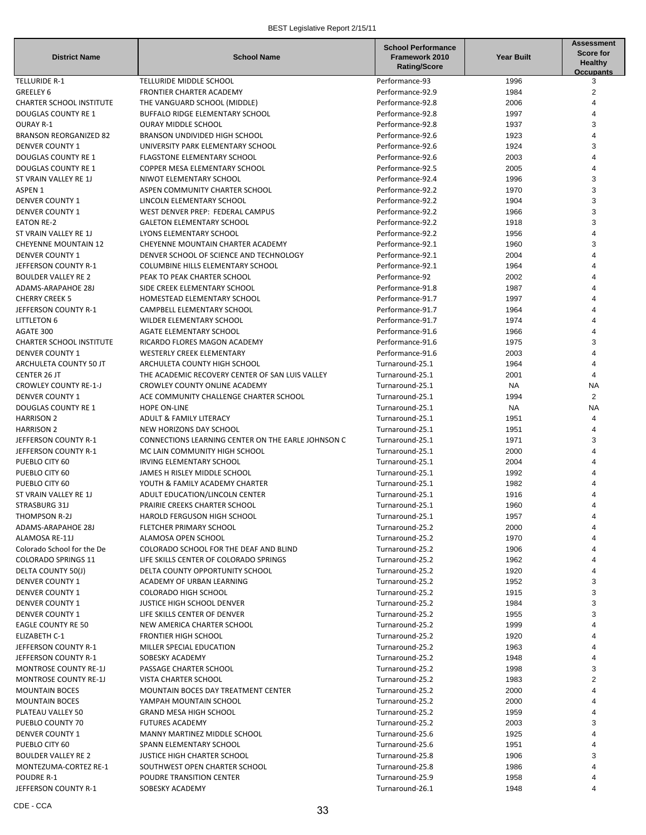| <b>District Name</b>                   | <b>School Name</b>                                                                  | <b>School Performance</b><br>Framework 2010<br><b>Rating/Score</b> | <b>Year Built</b> | <b>Assessment</b><br><b>Score for</b><br><b>Healthy</b><br><b>Occupants</b> |
|----------------------------------------|-------------------------------------------------------------------------------------|--------------------------------------------------------------------|-------------------|-----------------------------------------------------------------------------|
| <b>TELLURIDE R-1</b>                   | TELLURIDE MIDDLE SCHOOL                                                             | Performance-93                                                     | 1996              | 3                                                                           |
| GREELEY 6                              | FRONTIER CHARTER ACADEMY                                                            | Performance-92.9                                                   | 1984              | 2                                                                           |
| <b>CHARTER SCHOOL INSTITUTE</b>        | THE VANGUARD SCHOOL (MIDDLE)                                                        | Performance-92.8                                                   | 2006              | 4                                                                           |
| <b>DOUGLAS COUNTY RE 1</b>             | BUFFALO RIDGE ELEMENTARY SCHOOL                                                     | Performance-92.8                                                   | 1997              |                                                                             |
| <b>OURAY R-1</b>                       | <b>OURAY MIDDLE SCHOOL</b>                                                          | Performance-92.8                                                   | 1937              | 3                                                                           |
| <b>BRANSON REORGANIZED 82</b>          | BRANSON UNDIVIDED HIGH SCHOOL                                                       | Performance-92.6                                                   | 1923              |                                                                             |
| <b>DENVER COUNTY 1</b>                 | UNIVERSITY PARK ELEMENTARY SCHOOL                                                   | Performance-92.6                                                   | 1924              | 3                                                                           |
| DOUGLAS COUNTY RE 1                    | <b>FLAGSTONE ELEMENTARY SCHOOL</b>                                                  | Performance-92.6                                                   | 2003              | 4                                                                           |
| DOUGLAS COUNTY RE 1                    | COPPER MESA ELEMENTARY SCHOOL                                                       | Performance-92.5                                                   | 2005              |                                                                             |
| ST VRAIN VALLEY RE 1J                  | NIWOT ELEMENTARY SCHOOL                                                             | Performance-92.4                                                   | 1996              | 3                                                                           |
| ASPEN 1                                | ASPEN COMMUNITY CHARTER SCHOOL                                                      | Performance-92.2                                                   | 1970              | 3                                                                           |
| <b>DENVER COUNTY 1</b>                 | LINCOLN ELEMENTARY SCHOOL                                                           | Performance-92.2                                                   | 1904              | 3                                                                           |
| <b>DENVER COUNTY 1</b>                 | WEST DENVER PREP: FEDERAL CAMPUS                                                    | Performance-92.2                                                   | 1966              | 3                                                                           |
| <b>EATON RE-2</b>                      | <b>GALETON ELEMENTARY SCHOOL</b>                                                    | Performance-92.2                                                   | 1918              | 3                                                                           |
| ST VRAIN VALLEY RE 1J                  | LYONS ELEMENTARY SCHOOL                                                             | Performance-92.2                                                   | 1956              |                                                                             |
| <b>CHEYENNE MOUNTAIN 12</b>            | CHEYENNE MOUNTAIN CHARTER ACADEMY                                                   | Performance-92.1                                                   | 1960              | 3                                                                           |
| <b>DENVER COUNTY 1</b>                 | DENVER SCHOOL OF SCIENCE AND TECHNOLOGY                                             | Performance-92.1                                                   | 2004              |                                                                             |
| JEFFERSON COUNTY R-1                   | COLUMBINE HILLS ELEMENTARY SCHOOL                                                   | Performance-92.1                                                   | 1964              |                                                                             |
| <b>BOULDER VALLEY RE 2</b>             | PEAK TO PEAK CHARTER SCHOOL                                                         | Performance-92                                                     | 2002              |                                                                             |
| <b>ADAMS-ARAPAHOE 28J</b>              | SIDE CREEK ELEMENTARY SCHOOL                                                        | Performance-91.8                                                   | 1987              |                                                                             |
| <b>CHERRY CREEK 5</b>                  | HOMESTEAD ELEMENTARY SCHOOL                                                         | Performance-91.7                                                   | 1997              |                                                                             |
| JEFFERSON COUNTY R-1                   | CAMPBELL ELEMENTARY SCHOOL                                                          | Performance-91.7                                                   | 1964              |                                                                             |
| <b>LITTLETON 6</b>                     | WILDER ELEMENTARY SCHOOL                                                            | Performance-91.7                                                   | 1974              |                                                                             |
| AGATE 300                              | <b>AGATE ELEMENTARY SCHOOL</b>                                                      | Performance-91.6                                                   | 1966              |                                                                             |
| <b>CHARTER SCHOOL INSTITUTE</b>        | RICARDO FLORES MAGON ACADEMY                                                        | Performance-91.6                                                   | 1975              | 3                                                                           |
| <b>DENVER COUNTY 1</b>                 | <b>WESTERLY CREEK ELEMENTARY</b>                                                    | Performance-91.6                                                   | 2003              |                                                                             |
| ARCHULETA COUNTY 50 JT                 | ARCHULETA COUNTY HIGH SCHOOL                                                        | Turnaround-25.1                                                    | 1964              |                                                                             |
| <b>CENTER 26 JT</b>                    | THE ACADEMIC RECOVERY CENTER OF SAN LUIS VALLEY                                     | Turnaround-25.1                                                    | 2001              | 4                                                                           |
| <b>CROWLEY COUNTY RE-1-J</b>           | CROWLEY COUNTY ONLINE ACADEMY                                                       | Turnaround-25.1                                                    | NA                | NA                                                                          |
| <b>DENVER COUNTY 1</b>                 | ACE COMMUNITY CHALLENGE CHARTER SCHOOL                                              | Turnaround-25.1                                                    | 1994              | 2                                                                           |
| <b>DOUGLAS COUNTY RE 1</b>             | <b>HOPE ON-LINE</b>                                                                 | Turnaround-25.1                                                    | NA                | NA                                                                          |
| <b>HARRISON 2</b>                      | ADULT & FAMILY LITERACY                                                             | Turnaround-25.1                                                    | 1951              | $\overline{4}$                                                              |
| <b>HARRISON 2</b>                      | NEW HORIZONS DAY SCHOOL                                                             | Turnaround-25.1                                                    | 1951              | 4                                                                           |
| JEFFERSON COUNTY R-1                   | CONNECTIONS LEARNING CENTER ON THE EARLE JOHNSON C<br>MC LAIN COMMUNITY HIGH SCHOOL | Turnaround-25.1<br>Turnaround-25.1                                 | 1971<br>2000      | 3                                                                           |
| JEFFERSON COUNTY R-1<br>PUEBLO CITY 60 | IRVING ELEMENTARY SCHOOL                                                            | Turnaround-25.1                                                    | 2004              |                                                                             |
| PUEBLO CITY 60                         | JAMES H RISLEY MIDDLE SCHOOL                                                        | Turnaround-25.1                                                    | 1992              |                                                                             |
| PUEBLO CITY 60                         | YOUTH & FAMILY ACADEMY CHARTER                                                      | Turnaround-25.1                                                    | 1982              |                                                                             |
| ST VRAIN VALLEY RE 1J                  | ADULT EDUCATION/LINCOLN CENTER                                                      | Turnaround-25.1                                                    | 1916              |                                                                             |
| STRASBURG 31J                          | PRAIRIE CREEKS CHARTER SCHOOL                                                       | Turnaround-25.1                                                    | 1960              | 4                                                                           |
| THOMPSON R-2J                          | HAROLD FERGUSON HIGH SCHOOL                                                         | Turnaround-25.1                                                    | 1957              |                                                                             |
| ADAMS-ARAPAHOE 28J                     | FLETCHER PRIMARY SCHOOL                                                             | Turnaround-25.2                                                    | 2000              |                                                                             |
| ALAMOSA RE-11J                         | ALAMOSA OPEN SCHOOL                                                                 | Turnaround-25.2                                                    | 1970              |                                                                             |
| Colorado School for the De             | COLORADO SCHOOL FOR THE DEAF AND BLIND                                              | Turnaround-25.2                                                    | 1906              |                                                                             |
| <b>COLORADO SPRINGS 11</b>             | LIFE SKILLS CENTER OF COLORADO SPRINGS                                              | Turnaround-25.2                                                    | 1962              |                                                                             |
| DELTA COUNTY 50(J)                     | DELTA COUNTY OPPORTUNITY SCHOOL                                                     | Turnaround-25.2                                                    | 1920              |                                                                             |
| <b>DENVER COUNTY 1</b>                 | <b>ACADEMY OF URBAN LEARNING</b>                                                    | Turnaround-25.2                                                    | 1952              | 3                                                                           |
| <b>DENVER COUNTY 1</b>                 | <b>COLORADO HIGH SCHOOL</b>                                                         | Turnaround-25.2                                                    | 1915              | 3                                                                           |
| <b>DENVER COUNTY 1</b>                 | JUSTICE HIGH SCHOOL DENVER                                                          | Turnaround-25.2                                                    | 1984              |                                                                             |
| <b>DENVER COUNTY 1</b>                 | LIFE SKILLS CENTER OF DENVER                                                        | Turnaround-25.2                                                    | 1955              |                                                                             |
| <b>EAGLE COUNTY RE 50</b>              | NEW AMERICA CHARTER SCHOOL                                                          | Turnaround-25.2                                                    | 1999              |                                                                             |
| ELIZABETH C-1                          | <b>FRONTIER HIGH SCHOOL</b>                                                         | Turnaround-25.2                                                    | 1920              |                                                                             |
| JEFFERSON COUNTY R-1                   | MILLER SPECIAL EDUCATION                                                            | Turnaround-25.2                                                    | 1963              |                                                                             |
| JEFFERSON COUNTY R-1                   | SOBESKY ACADEMY                                                                     | Turnaround-25.2                                                    | 1948              |                                                                             |
| <b>MONTROSE COUNTY RE-1J</b>           | PASSAGE CHARTER SCHOOL                                                              | Turnaround-25.2                                                    | 1998              | 3                                                                           |
| <b>MONTROSE COUNTY RE-1J</b>           | VISTA CHARTER SCHOOL                                                                | Turnaround-25.2                                                    | 1983              | 2                                                                           |
| <b>MOUNTAIN BOCES</b>                  | MOUNTAIN BOCES DAY TREATMENT CENTER                                                 | Turnaround-25.2                                                    | 2000              |                                                                             |
| <b>MOUNTAIN BOCES</b>                  | YAMPAH MOUNTAIN SCHOOL                                                              | Turnaround-25.2                                                    | 2000              |                                                                             |
| PLATEAU VALLEY 50                      | <b>GRAND MESA HIGH SCHOOL</b>                                                       | Turnaround-25.2                                                    | 1959              |                                                                             |
| PUEBLO COUNTY 70                       | <b>FUTURES ACADEMY</b>                                                              | Turnaround-25.2                                                    | 2003              |                                                                             |
| DENVER COUNTY 1                        | MANNY MARTINEZ MIDDLE SCHOOL                                                        | Turnaround-25.6                                                    | 1925              |                                                                             |
| PUEBLO CITY 60                         | SPANN ELEMENTARY SCHOOL                                                             | Turnaround-25.6                                                    | 1951              |                                                                             |
| <b>BOULDER VALLEY RE 2</b>             | JUSTICE HIGH CHARTER SCHOOL                                                         | Turnaround-25.8                                                    | 1906              |                                                                             |
| MONTEZUMA-CORTEZ RE-1                  | SOUTHWEST OPEN CHARTER SCHOOL                                                       | Turnaround-25.8                                                    | 1986              |                                                                             |
| POUDRE R-1                             | POUDRE TRANSITION CENTER                                                            | Turnaround-25.9                                                    | 1958              |                                                                             |
| JEFFERSON COUNTY R-1                   | SOBESKY ACADEMY                                                                     | Turnaround-26.1                                                    | 1948              |                                                                             |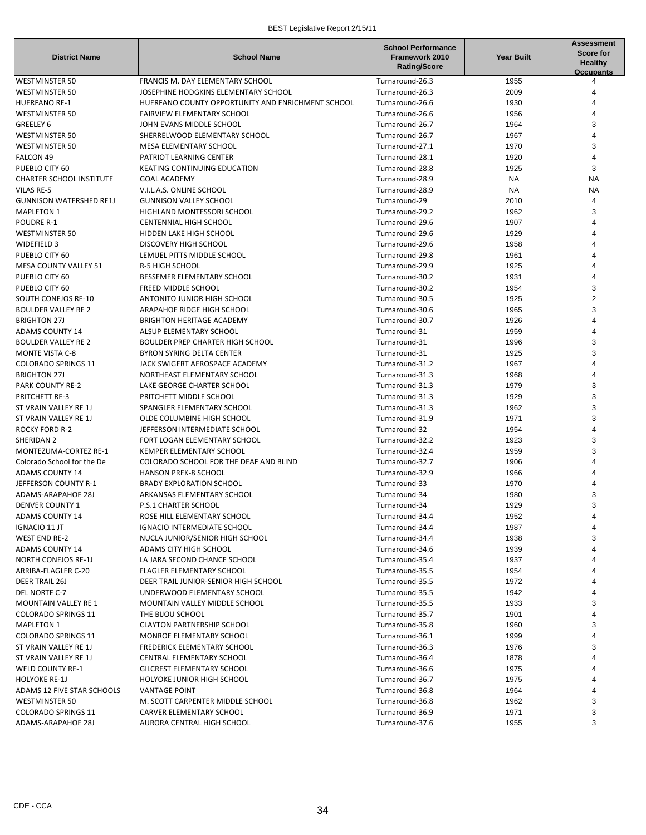| <b>District Name</b>                       | <b>School Name</b>                                              | <b>School Performance</b><br>Framework 2010<br><b>Rating/Score</b> | <b>Year Built</b> | <b>Assessment</b><br><b>Score for</b><br><b>Healthy</b><br><b>Occupants</b> |
|--------------------------------------------|-----------------------------------------------------------------|--------------------------------------------------------------------|-------------------|-----------------------------------------------------------------------------|
| <b>WESTMINSTER 50</b>                      | FRANCIS M. DAY ELEMENTARY SCHOOL                                | Turnaround-26.3                                                    | 1955              | 4                                                                           |
| <b>WESTMINSTER 50</b>                      | JOSEPHINE HODGKINS ELEMENTARY SCHOOL                            | Turnaround-26.3                                                    | 2009              |                                                                             |
| <b>HUERFANO RE-1</b>                       | HUERFANO COUNTY OPPORTUNITY AND ENRICHMENT SCHOOL               | Turnaround-26.6                                                    | 1930              | 4                                                                           |
| <b>WESTMINSTER 50</b>                      | FAIRVIEW ELEMENTARY SCHOOL                                      | Turnaround-26.6                                                    | 1956              | 4                                                                           |
| GREELEY 6                                  | JOHN EVANS MIDDLE SCHOOL                                        | Turnaround-26.7                                                    | 1964              | 3                                                                           |
| <b>WESTMINSTER 50</b>                      | SHERRELWOOD ELEMENTARY SCHOOL                                   | Turnaround-26.7                                                    | 1967              |                                                                             |
| <b>WESTMINSTER 50</b>                      | MESA ELEMENTARY SCHOOL                                          | Turnaround-27.1                                                    | 1970              | 3                                                                           |
| FALCON 49                                  | PATRIOT LEARNING CENTER                                         | Turnaround-28.1                                                    | 1920              | 4                                                                           |
| PUEBLO CITY 60                             | <b>KEATING CONTINUING EDUCATION</b>                             | Turnaround-28.8                                                    | 1925              | 3                                                                           |
| <b>CHARTER SCHOOL INSTITUTE</b>            | <b>GOAL ACADEMY</b>                                             | Turnaround-28.9                                                    | <b>NA</b>         | <b>NA</b>                                                                   |
| <b>VILAS RE-5</b>                          | V.I.L.A.S. ONLINE SCHOOL                                        | Turnaround-28.9                                                    | <b>NA</b>         | <b>NA</b>                                                                   |
| <b>GUNNISON WATERSHED RE1J</b>             | <b>GUNNISON VALLEY SCHOOL</b>                                   | Turnaround-29                                                      | 2010              | 4                                                                           |
| <b>MAPLETON 1</b>                          | HIGHLAND MONTESSORI SCHOOL                                      | Turnaround-29.2                                                    | 1962              | 3                                                                           |
| <b>POUDRE R-1</b>                          | <b>CENTENNIAL HIGH SCHOOL</b>                                   | Turnaround-29.6                                                    | 1907              |                                                                             |
| <b>WESTMINSTER 50</b>                      | HIDDEN LAKE HIGH SCHOOL                                         | Turnaround-29.6                                                    | 1929              |                                                                             |
| WIDEFIELD 3                                | DISCOVERY HIGH SCHOOL                                           | Turnaround-29.6                                                    | 1958              |                                                                             |
| PUEBLO CITY 60                             | LEMUEL PITTS MIDDLE SCHOOL                                      | Turnaround-29.8                                                    | 1961              |                                                                             |
| <b>MESA COUNTY VALLEY 51</b>               | R-5 HIGH SCHOOL                                                 | Turnaround-29.9                                                    | 1925              |                                                                             |
| PUEBLO CITY 60                             | BESSEMER ELEMENTARY SCHOOL                                      | Turnaround-30.2                                                    | 1931              |                                                                             |
| PUEBLO CITY 60                             | FREED MIDDLE SCHOOL                                             | Turnaround-30.2                                                    | 1954              | 3                                                                           |
| SOUTH CONEJOS RE-10                        | ANTONITO JUNIOR HIGH SCHOOL                                     | Turnaround-30.5                                                    | 1925              | $\overline{2}$                                                              |
| <b>BOULDER VALLEY RE 2</b>                 | ARAPAHOE RIDGE HIGH SCHOOL                                      | Turnaround-30.6                                                    | 1965              | 3                                                                           |
| <b>BRIGHTON 27J</b>                        | BRIGHTON HERITAGE ACADEMY                                       | Turnaround-30.7                                                    | 1926              | 4                                                                           |
| <b>ADAMS COUNTY 14</b>                     | ALSUP ELEMENTARY SCHOOL                                         | Turnaround-31                                                      | 1959              |                                                                             |
| <b>BOULDER VALLEY RE 2</b>                 | <b>BOULDER PREP CHARTER HIGH SCHOOL</b>                         | Turnaround-31                                                      | 1996              | 3                                                                           |
| <b>MONTE VISTA C-8</b>                     | BYRON SYRING DELTA CENTER                                       | Turnaround-31                                                      | 1925              | 3                                                                           |
| <b>COLORADO SPRINGS 11</b>                 | JACK SWIGERT AEROSPACE ACADEMY                                  | Turnaround-31.2                                                    | 1967              |                                                                             |
| <b>BRIGHTON 27J</b>                        | NORTHEAST ELEMENTARY SCHOOL                                     | Turnaround-31.3                                                    | 1968              |                                                                             |
| <b>PARK COUNTY RE-2</b>                    | LAKE GEORGE CHARTER SCHOOL                                      | Turnaround-31.3                                                    | 1979              | 3                                                                           |
| PRITCHETT RE-3                             | PRITCHETT MIDDLE SCHOOL                                         | Turnaround-31.3                                                    | 1929              | 3                                                                           |
|                                            | SPANGLER ELEMENTARY SCHOOL                                      | Turnaround-31.3                                                    | 1962              | 3                                                                           |
| ST VRAIN VALLEY RE 1J                      |                                                                 |                                                                    |                   |                                                                             |
| ST VRAIN VALLEY RE 1J                      | OLDE COLUMBINE HIGH SCHOOL                                      | Turnaround-31.9                                                    | 1971<br>1954      | 3                                                                           |
| <b>ROCKY FORD R-2</b>                      | JEFFERSON INTERMEDIATE SCHOOL                                   | Turnaround-32                                                      |                   | 3                                                                           |
| SHERIDAN 2<br><b>MONTEZUMA-CORTEZ RE-1</b> | FORT LOGAN ELEMENTARY SCHOOL<br><b>KEMPER ELEMENTARY SCHOOL</b> | Turnaround-32.2                                                    | 1923<br>1959      | 3                                                                           |
|                                            |                                                                 | Turnaround-32.4                                                    |                   |                                                                             |
| Colorado School for the De                 | COLORADO SCHOOL FOR THE DEAF AND BLIND                          | Turnaround-32.7                                                    | 1906              | 4                                                                           |
| <b>ADAMS COUNTY 14</b>                     | <b>HANSON PREK-8 SCHOOL</b>                                     | Turnaround-32.9                                                    | 1966              |                                                                             |
| JEFFERSON COUNTY R-1                       | <b>BRADY EXPLORATION SCHOOL</b>                                 | Turnaround-33                                                      | 1970              |                                                                             |
| <b>ADAMS-ARAPAHOE 28J</b>                  | ARKANSAS ELEMENTARY SCHOOL                                      | Turnaround-34                                                      | 1980              | 3                                                                           |
| <b>DENVER COUNTY 1</b>                     | P.S.1 CHARTER SCHOOL                                            | Turnaround-34                                                      | 1929              | 3                                                                           |
| <b>ADAMS COUNTY 14</b>                     | ROSE HILL ELEMENTARY SCHOOL                                     | Turnaround-34.4                                                    | 1952              | 4                                                                           |
| IGNACIO 11 JT                              | IGNACIO INTERMEDIATE SCHOOL                                     | Turnaround-34.4                                                    | 1987              |                                                                             |
| <b>WEST END RE-2</b>                       | NUCLA JUNIOR/SENIOR HIGH SCHOOL                                 | Turnaround-34.4                                                    | 1938              | 3                                                                           |
| <b>ADAMS COUNTY 14</b>                     | ADAMS CITY HIGH SCHOOL                                          | Turnaround-34.6                                                    | 1939              |                                                                             |
| NORTH CONEJOS RE-1J                        | LA JARA SECOND CHANCE SCHOOL                                    | Turnaround-35.4                                                    | 1937              |                                                                             |
| ARRIBA-FLAGLER C-20                        | FLAGLER ELEMENTARY SCHOOL                                       | Turnaround-35.5                                                    | 1954              |                                                                             |
| <b>DEER TRAIL 26J</b>                      | DEER TRAIL JUNIOR-SENIOR HIGH SCHOOL                            | Turnaround-35.5                                                    | 1972              |                                                                             |
| DEL NORTE C-7                              | UNDERWOOD ELEMENTARY SCHOOL                                     | Turnaround-35.5                                                    | 1942              |                                                                             |
| MOUNTAIN VALLEY RE 1                       | MOUNTAIN VALLEY MIDDLE SCHOOL                                   | Turnaround-35.5                                                    | 1933              | 3                                                                           |
| <b>COLORADO SPRINGS 11</b>                 | THE BIJOU SCHOOL                                                | Turnaround-35.7                                                    | 1901              |                                                                             |
| MAPLETON 1                                 | <b>CLAYTON PARTNERSHIP SCHOOL</b>                               | Turnaround-35.8                                                    | 1960              | 3                                                                           |
| <b>COLORADO SPRINGS 11</b>                 | <b>MONROE ELEMENTARY SCHOOL</b>                                 | Turnaround-36.1                                                    | 1999              |                                                                             |
| ST VRAIN VALLEY RE 1J                      | <b>FREDERICK ELEMENTARY SCHOOL</b>                              | Turnaround-36.3                                                    | 1976              | 3                                                                           |
| ST VRAIN VALLEY RE 1J                      | CENTRAL ELEMENTARY SCHOOL                                       | Turnaround-36.4                                                    | 1878              |                                                                             |
| <b>WELD COUNTY RE-1</b>                    | GILCREST ELEMENTARY SCHOOL                                      | Turnaround-36.6                                                    | 1975              |                                                                             |
| <b>HOLYOKE RE-1J</b>                       | HOLYOKE JUNIOR HIGH SCHOOL                                      | Turnaround-36.7                                                    | 1975              |                                                                             |
| ADAMS 12 FIVE STAR SCHOOLS                 | <b>VANTAGE POINT</b>                                            | Turnaround-36.8                                                    | 1964              |                                                                             |
| <b>WESTMINSTER 50</b>                      | M. SCOTT CARPENTER MIDDLE SCHOOL                                | Turnaround-36.8                                                    | 1962              | 3                                                                           |
| <b>COLORADO SPRINGS 11</b>                 | CARVER ELEMENTARY SCHOOL                                        | Turnaround-36.9                                                    | 1971              | 3                                                                           |
| ADAMS-ARAPAHOE 28J                         | AURORA CENTRAL HIGH SCHOOL                                      | Turnaround-37.6                                                    | 1955              | 3                                                                           |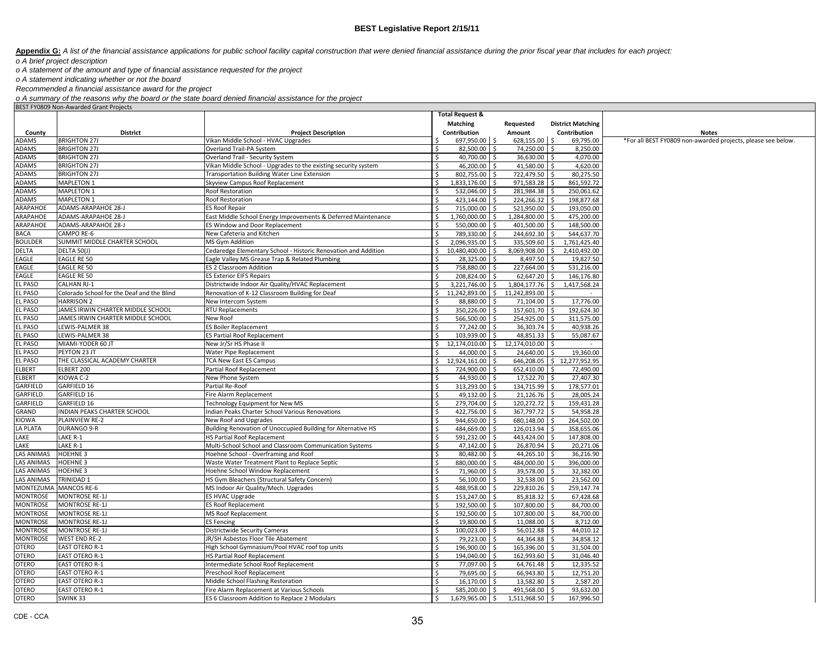Appendix G: A list of the financial assistance applications for public school facility capital construction that were denied financial assistance during the prior fiscal year that includes for each project:

*o A brief project description*

*o A statement of the amount and type of financial assistance requested for the project*

*o A statement indicating whether or not the board*

*Recommended a financial assistance award for the project*

o A summary of the reasons why the board or the state board denied financial assistance for the project<br>BEST FY0809 Non-Awarded Grant Projects

|                       | <b>DLJI FIUGUJ NUIFAWAIUCU GIAIIL FIUJECLS</b> |                                                                | <b>Total Request &amp;</b>        |                              |                            |                                                              |
|-----------------------|------------------------------------------------|----------------------------------------------------------------|-----------------------------------|------------------------------|----------------------------|--------------------------------------------------------------|
|                       |                                                |                                                                | Matching                          | Requested                    | <b>District Matching</b>   |                                                              |
|                       |                                                |                                                                |                                   |                              |                            |                                                              |
| County<br>ADAMS       | <b>District</b><br><b>BRIGHTON 27J</b>         | <b>Project Description</b>                                     | Contribution                      | Amount<br>628,155.00 \$      | Contribution               | <b>Notes</b>                                                 |
|                       |                                                | Vikan Middle School - HVAC Upgrades                            | 697,950.00 \$<br>S.               |                              | 69,795.00                  | *For all BEST FY0809 non-awarded projects, please see below. |
| ADAMS<br>ADAMS        | <b>BRIGHTON 27J</b><br><b>BRIGHTON 27J</b>     | Overland Trail-PA System<br>Overland Trail - Security System   | 82,500.00<br>\$<br>40,700.00<br>Ś | 74,250.00 \$<br>36,630.00 \$ | 8,250.00<br>4,070.00       |                                                              |
| ADAMS                 | <b>BRIGHTON 27J</b>                            |                                                                | <sup>\$</sup>                     |                              |                            |                                                              |
| ADAMS                 | <b>BRIGHTON 27J</b>                            | Vikan Middle School - Upgrades to the existing security system | 46,200.00                         | 41,580.00 \$                 | 4,620.00                   |                                                              |
|                       |                                                | Transportation Building Water Line Extension                   | 802,755.00<br>Ŝ.<br>Ŝ.            | 722,479.50 \$                | 80,275.50                  |                                                              |
| ADAMS                 | MAPLETON 1                                     | Skyview Campus Roof Replacement                                | 1,833,176.00                      | 971,583.28 \$                | 861,592.72                 |                                                              |
| ADAMS                 | <b>MAPLETON 1</b>                              | Roof Restoration                                               | 532,046.00                        | 281,984.38 \$                | 250,061.62                 |                                                              |
| ADAMS                 | <b>MAPLETON 1</b>                              | Roof Restoration                                               | Ś<br>423.144.00                   | 224,266.32 \$                | 198.877.68                 |                                                              |
| <b>ARAPAHOE</b>       | ADAMS-ARAPAHOE 28-J                            | <b>ES Roof Repair</b>                                          | Ŝ.<br>715.000.00                  | 521,950.00 \$                | 193.050.00                 |                                                              |
| <b>ARAPAHOE</b>       | ADAMS-ARAPAHOE 28-J                            | East Middle School Energy Improvements & Deferred Maintenance  | Ŝ.<br>1,760,000.00<br>S.          | 1,284,800.00 \$              | 475,200.00                 |                                                              |
| ARAPAHOE              | ADAMS-ARAPAHOE 28-J                            | ES Window and Door Replacement                                 | $\zeta$<br>550,000.00<br>ς.       | 401,500.00 \$                | 148,500.00                 |                                                              |
| <b>BACA</b>           | CAMPO RE-6                                     | New Cafeteria and Kitchen                                      | Ŝ.<br>789,330.00                  | 244,692.30 \$                | 544,637.70                 |                                                              |
| <b>BOULDER</b>        | SUMMIT MIDDLE CHARTER SCHOOL                   | MS Gym Addition                                                | \$<br>2,096,935.00                | 335,509.60 \$                | 1,761,425.40               |                                                              |
| <b>DELTA</b>          | DELTA 50(J)                                    | Cedaredge Elementary School - Historic Renovation and Addition | 10,480,400.00<br>\$<br>Ŝ          | 8,069,908.00 \$              | 2,410,492.00               |                                                              |
| EAGLE                 | <b>EAGLE RE 50</b>                             | Eagle Valley MS Grease Trap & Related Plumbing                 | 28,325.00<br>Ś                    | 8,497.50 \$                  | 19,827.50                  |                                                              |
| EAGLE                 | <b>EAGLE RE 50</b>                             | ES 2 Classroom Addition                                        | 758,880.00<br>Ŝ.                  | 227,664.00 \$                | 531,216.00                 |                                                              |
| EAGLE                 | <b>EAGLE RE 50</b>                             | <b>ES Exterior EIFS Repairs</b>                                | Ŝ.<br>208,824.00<br>ς.            | 62,647.20 \$                 | 146,176.80                 |                                                              |
| <b>EL PASO</b>        | <b>CALHAN RJ-1</b>                             | Districtwide Indoor Air Quality/HVAC Replacement               | $\zeta$<br>3,221,746.00<br>¢      | 1,804,177.76 \$              | 1.417.568.24               |                                                              |
| <b>EL PASO</b>        | Colorado School for the Deaf and the Blind     | Renovation of K-12 Classroom Building for Deaf                 | 11,242,893.00<br>\$<br>\$         | 11,242,893.00 \$             |                            |                                                              |
| <b>EL PASO</b>        | <b>HARRISON 2</b>                              | New Intercom System                                            | 88,880.00                         | 71,104.00 \$                 | 17,776.00                  |                                                              |
| <b>EL PASO</b>        | JAMES IRWIN CHARTER MIDDLE SCHOOL              | RTU Replacements                                               | Ŝ.<br>350,226.00                  | 157,601.70 \$                | 192,624.30                 |                                                              |
| EL PASO               | JAMES IRWIN CHARTER MIDDLE SCHOOL              | New Roof                                                       | 566,500.00<br>Ś<br>-Ś             | 254,925.00 \$                | 311,575.00                 |                                                              |
| EL PASO               | <b>EWIS-PALMER 38</b>                          | <b>ES Boiler Replacement</b>                                   | 77,242.00<br><sup>5</sup>         | 36,303.74 \$                 | 40,938.26                  |                                                              |
| EL PASO               | <b>EWIS-PALMER 38</b>                          | <b>ES Partial Roof Replacement</b>                             | Ś<br>103,939.00                   | 48,851.33 \$                 | 55,087.67                  |                                                              |
| EL PASO               | MIAMI-YODER 60 JT                              | New Jr/Sr HS Phase II                                          | 12,174,010.00<br>Ŝ.               | 12,174,010.00 \$<br>\$       |                            |                                                              |
| <b>EL PASO</b>        | PEYTON 23 JT                                   | Water Pipe Replacement                                         | 44,000.00<br>Ŝ.                   | 24,640.00 \$                 | 19,360.00                  |                                                              |
| <b>EL PASO</b>        | THE CLASSICAL ACADEMY CHARTER                  | <b>TCA New East ES Campus</b>                                  | $\mathsf{S}$<br>12,924,161.00     |                              | 646,208.05 \$12,277,952.95 |                                                              |
| <b>ELBERT</b>         | ELBERT 200                                     | Partial Roof Replacement                                       | 724,900.00<br>S                   | 652,410.00 \$                | 72,490.00                  |                                                              |
| <b>ELBERT</b>         | KIOWA C-2                                      | New Phone System                                               | 44.930.00                         | 17,522.70 \$                 | 27.407.30                  |                                                              |
| GARFIELD              | GARFIELD 16                                    | Partial Re-Roof                                                | 313,293.00<br>Ŝ                   | 134,715.99 \$                | 178,577.01                 |                                                              |
| GARFIELD              | GARFIELD 16                                    | Fire Alarm Replacement                                         | \$<br>49,132.00                   | $21,126.76$ \$               | 28,005.24                  |                                                              |
| <b>GARFIELD</b>       | GARFIELD 16                                    | Technology Equipment for New MS                                | 279,704.00<br>Ŝ.                  | 120,272.72 \$                | 159,431.28                 |                                                              |
| GRAND                 | INDIAN PEAKS CHARTER SCHOOL                    | Indian Peaks Charter School Various Renovations                | 422,756.00<br>Ŝ.                  | 367,797.72 \$                | 54,958.28                  |                                                              |
| KIOWA                 | PLAINVIEW RE-2                                 | New Roof and Upgrades                                          | 944,650.00                        | 680,148.00 \$                | 264,502.00                 |                                                              |
| <b>LA PLATA</b>       | DURANGO 9-R                                    | Building Renovation of Unoccupied Building for Alternative HS  | 484,669.00                        | 126,013.94 \$                | 358,655.06                 |                                                              |
| LAKE                  | LAKE R-1                                       | <b>HS Partial Roof Replacement</b>                             | 591.232.00                        | 443.424.00 \$                | 147,808.00                 |                                                              |
| LAKE                  | LAKE R-1                                       | Multi-School School and Classroom Communication Systems        | Ŝ.<br>47,142.00                   | 26,870.94 \$                 | 20,271.06                  |                                                              |
| <b>LAS ANIMAS</b>     | <b>HOEHNE 3</b>                                | Hoehne School - Overframing and Roof                           | <sup>5</sup><br>80,482.00<br>- Ś  | 44,265.10 \$                 | 36,216.90                  |                                                              |
| <b>LAS ANIMAS</b>     | <b>HOEHNE 3</b>                                | Waste Water Treatment Plant to Replace Septic                  | Ŝ.<br>880,000.00<br>Ś             | 484,000.00 \$                | 396,000.00                 |                                                              |
| <b>LAS ANIMAS</b>     | <b>HOEHNE 3</b>                                | Hoehne School Window Replacement                               | 71,960.00<br>Ŝ.                   | 39,578.00 \$                 | 32,382.00                  |                                                              |
| LAS ANIMAS            | TRINIDAD 1                                     | HS Gym Bleachers (Structural Safety Concern)                   | <sup>\$</sup><br>56,100.00        | 32,538.00 \$                 | 23,562.00                  |                                                              |
| MONTEZUMA MANCOS RE-6 |                                                | MS Indoor Air Quality/Mech. Upgrades                           | Ŝ.<br>488,958.00                  | 229,810.26 \$                | 259,147.74                 |                                                              |
| <b>MONTROSE</b>       | <b>MONTROSE RE-1J</b>                          | <b>ES HVAC Upgrade</b>                                         | 153,247.00                        | 85,818.32 \$                 | 67,428.68                  |                                                              |
| <b>MONTROSE</b>       | <b>MONTROSE RE-1J</b>                          | <b>ES Roof Replacement</b>                                     | \$<br>192,500.00                  | 107,800.00 \$                | 84,700.00                  |                                                              |
| <b>MONTROSE</b>       | <b>MONTROSE RE-1J</b>                          | <b>MS Roof Replacement</b>                                     | <sup>\$</sup><br>192,500.00       | 107,800.00 \$                | 84,700.00                  |                                                              |
| <b>MONTROSE</b>       | <b>MONTROSE RE-1J</b>                          | <b>ES Fencing</b>                                              | Ŝ.<br>19,800.00                   | 11,088.00 \$                 | 8,712.00                   |                                                              |
| <b>MONTROSE</b>       | <b>MONTROSE RE-1J</b>                          | Districtwide Security Cameras                                  | 100,023.00<br>\$                  | 56,012.88 \$                 | 44,010.12                  |                                                              |
| <b>MONTROSE</b>       | <b>WEST END RE-2</b>                           | JR/SH Asbestos Floor Tile Abatement                            | <sup>5</sup><br>79,223.00         | 44,364.88 \$                 | 34,858.12                  |                                                              |
| <b>OTERO</b>          | <b>EAST OTERO R-1</b>                          | High School Gymnasium/Pool HVAC roof top units                 | <sup>\$</sup><br>196,900.00       | 165,396.00 \$                | 31,504.00                  |                                                              |
| <b>OTERO</b>          | <b>EAST OTERO R-1</b>                          | HS Partial Roof Replacement                                    | 194,040.00                        | 162,993.60                   | 31,046.40                  |                                                              |
| <b>OTERO</b>          | <b>EAST OTERO R-1</b>                          | Intermediate School Roof Replacement                           | 77,097.00<br>Ŝ                    | 64,761.48 \$                 | 12,335.52                  |                                                              |
| <b>OTERO</b>          | <b>EAST OTERO R-1</b>                          | Preschool Roof Replacement                                     | <sup>\$</sup><br>79,695.00        | 66,943.80 \$                 | 12,751.20                  |                                                              |
| <b>OTERO</b>          | <b>EAST OTERO R-1</b>                          | Middle School Flashing Restoration                             | 16,170.00<br>Ŝ.                   | 13,582.80 \$                 | 2,587.20                   |                                                              |
| <b>OTERO</b>          | <b>EAST OTERO R-1</b>                          | Fire Alarm Replacement at Various Schools                      | <sup>5</sup><br>585,200.00<br>S.  | 491,568.00 \$                | 93,632.00                  |                                                              |
| <b>OTERO</b>          | SWINK 33                                       | ES 6 Classroom Addition to Replace 2 Modulars                  | l \$<br>1,679,965.00 \$           | 1,511,968.50 \$              | 167,996.50                 |                                                              |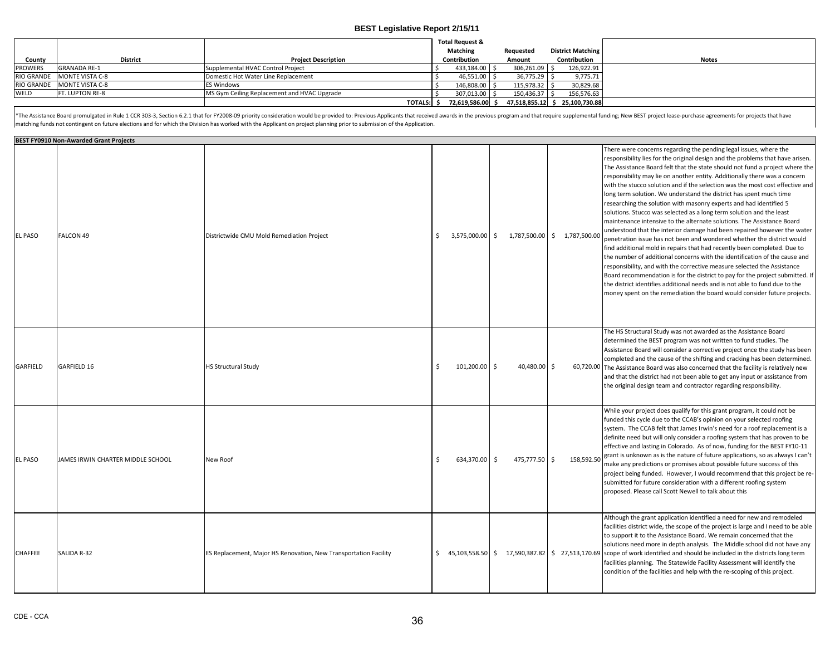|                |                            |                                             | <b>Total Request &amp;</b> |               |                                |              |
|----------------|----------------------------|---------------------------------------------|----------------------------|---------------|--------------------------------|--------------|
|                |                            |                                             | Matching                   | Requested     | <b>District Matching</b>       |              |
| County         | <b>District</b>            | <b>Project Description</b>                  | Contribution               | Amount        | Contribution                   | <b>Notes</b> |
| <b>PROWERS</b> | <b>GRANADA RE-1</b>        | Supplemental HVAC Control Project           | 433,184.00                 | 306,261.09 \$ | 126,922.91                     |              |
|                | RIO GRANDE MONTE VISTA C-8 | Domestic Hot Water Line Replacement         | 46,551.00                  | 36,775.29 \$  | 9,775.71                       |              |
|                | RIO GRANDE MONTE VISTA C-8 | ES Windows                                  | 146,808.00                 | 115,978.32 \$ | 30,829.68                      |              |
| WELD           | FT. LUPTON RE-8            | MS Gym Ceiling Replacement and HVAC Upgrade | 307.013.00 \ \$            | 150,436.37 \$ | 156,576.63                     |              |
|                |                            | <b>TOTALS:</b>                              | 72,619,586.00 \$           |               | 47,518,855.12 \$ 25,100,730.88 |              |

\*The Assistance Board promulgated in Rule 1 CCR 303-3, Section 6.2.1 that for FY2008-09 priority consideration would be provided to: Previous Applicants that received awards in the previous program and that require supplem matching funds not contingent on future elections and for which the Division has worked with the Applicant on project planning prior to submission of the Application.

|                | <b>BEST FY0910 Non-Awarded Grant Projects</b> |                                                                  |    |                   |               |                |                                                                                                                                                                                                                                                                                                                                                                                                                                                                                                                                                                                                                                                                                                                                                                                                                                                                                                                                                                                                                                                                                                                                                                                                                                                                                                                                        |
|----------------|-----------------------------------------------|------------------------------------------------------------------|----|-------------------|---------------|----------------|----------------------------------------------------------------------------------------------------------------------------------------------------------------------------------------------------------------------------------------------------------------------------------------------------------------------------------------------------------------------------------------------------------------------------------------------------------------------------------------------------------------------------------------------------------------------------------------------------------------------------------------------------------------------------------------------------------------------------------------------------------------------------------------------------------------------------------------------------------------------------------------------------------------------------------------------------------------------------------------------------------------------------------------------------------------------------------------------------------------------------------------------------------------------------------------------------------------------------------------------------------------------------------------------------------------------------------------|
| <b>EL PASO</b> | FALCON 49                                     | Districtwide CMU Mold Remediation Project                        |    | $3.575.000.00$ \$ | 1.787.500.00  | \$1,787,500.00 | There were concerns regarding the pending legal issues, where the<br>responsibility lies for the original design and the problems that have arisen.<br>The Assistance Board felt that the state should not fund a project where the<br>responsibility may lie on another entity. Additionally there was a concern<br>with the stucco solution and if the selection was the most cost effective and<br>long term solution. We understand the district has spent much time<br>researching the solution with masonry experts and had identified 5<br>solutions. Stucco was selected as a long term solution and the least<br>maintenance intensive to the alternate solutions. The Assistance Board<br>understood that the interior damage had been repaired however the water<br>penetration issue has not been and wondered whether the district would<br>find additional mold in repairs that had recently been completed. Due to<br>the number of additional concerns with the identification of the cause and<br>responsibility, and with the corrective measure selected the Assistance<br>Board recommendation is for the district to pay for the project submitted. If<br>the district identifies additional needs and is not able to fund due to the<br>money spent on the remediation the board would consider future projects. |
| GARFIELD       | GARFIELD 16                                   | <b>HS Structural Study</b>                                       | Š. | 101,200.00 \$     | 40,480.00 \$  |                | The HS Structural Study was not awarded as the Assistance Board<br>determined the BEST program was not written to fund studies. The<br>Assistance Board will consider a corrective project once the study has been<br>completed and the cause of the shifting and cracking has been determined.<br>60,720.00 The Assistance Board was also concerned that the facility is relatively new<br>and that the district had not been able to get any input or assistance from<br>the original design team and contractor regarding responsibility.                                                                                                                                                                                                                                                                                                                                                                                                                                                                                                                                                                                                                                                                                                                                                                                           |
| <b>EL PASO</b> | JAMES IRWIN CHARTER MIDDLE SCHOOL             | New Roof                                                         | Š. | 634,370.00 \$     | 475,777.50 \$ | 158,592.50     | While your project does qualify for this grant program, it could not be<br>funded this cycle due to the CCAB's opinion on your selected roofing<br>system. The CCAB felt that James Irwin's need for a roof replacement is a<br>definite need but will only consider a roofing system that has proven to be<br>effective and lasting in Colorado. As of now, funding for the BEST FY10-11<br>grant is unknown as is the nature of future applications, so as always I can't<br>make any predictions or promises about possible future success of this<br>project being funded. However, I would recommend that this project be re-<br>submitted for future consideration with a different roofing system<br>proposed. Please call Scott Newell to talk about this                                                                                                                                                                                                                                                                                                                                                                                                                                                                                                                                                                      |
| <b>CHAFFEE</b> | SALIDA R-32                                   | ES Replacement, Major HS Renovation, New Transportation Facility | Ś. |                   |               |                | Although the grant application identified a need for new and remodeled<br>facilities district wide, the scope of the project is large and I need to be able<br>to support it to the Assistance Board. We remain concerned that the<br>solutions need more in depth analysis. The Middle school did not have any<br>45,103,558.50 \$ 17,590,387.82   \$ 27,513,170.69 scope of work identified and should be included in the districts long term<br>facilities planning. The Statewide Facility Assessment will identify the<br>condition of the facilities and help with the re-scoping of this project.                                                                                                                                                                                                                                                                                                                                                                                                                                                                                                                                                                                                                                                                                                                               |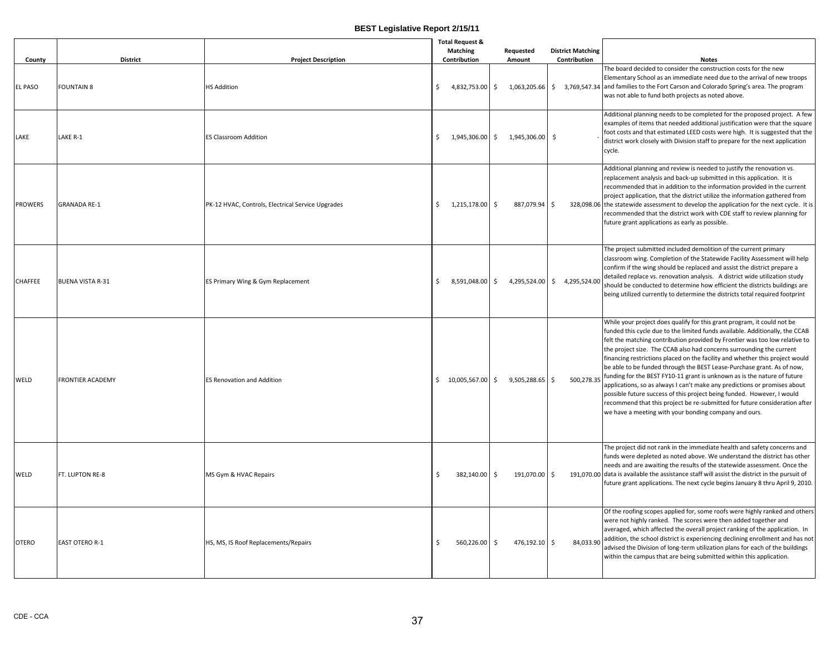| County         | <b>District</b>         | <b>Project Description</b>                        |    | <b>Total Request &amp;</b><br><b>Matching</b><br>Contribution |              | Requested<br>Amount                   |      | <b>District Matching</b><br>Contribution | <b>Notes</b>                                                                                                                                                                                                                                                                                                                                                                                                                                                                                                                                                                                                                                                                                                                                                                                                                                       |
|----------------|-------------------------|---------------------------------------------------|----|---------------------------------------------------------------|--------------|---------------------------------------|------|------------------------------------------|----------------------------------------------------------------------------------------------------------------------------------------------------------------------------------------------------------------------------------------------------------------------------------------------------------------------------------------------------------------------------------------------------------------------------------------------------------------------------------------------------------------------------------------------------------------------------------------------------------------------------------------------------------------------------------------------------------------------------------------------------------------------------------------------------------------------------------------------------|
| EL PASO        | <b>FOUNTAIN 8</b>       | <b>HS Addition</b>                                | \$ | 4,832,753.00 \$                                               |              | 1,063,205.66                          |      |                                          | The board decided to consider the construction costs for the new<br>Elementary School as an immediate need due to the arrival of new troops<br>\$ 3,769,547.34 and families to the Fort Carson and Colorado Spring's area. The program<br>was not able to fund both projects as noted above.                                                                                                                                                                                                                                                                                                                                                                                                                                                                                                                                                       |
| LAKE           | LAKE R-1                | <b>ES Classroom Addition</b>                      | \$ |                                                               |              | $1,945,306.00 \div 1,945,306.00 \div$ |      |                                          | Additional planning needs to be completed for the proposed project. A few<br>examples of items that needed additional justification were that the square<br>foot costs and that estimated LEED costs were high. It is suggested that the<br>district work closely with Division staff to prepare for the next application<br>cycle.                                                                                                                                                                                                                                                                                                                                                                                                                                                                                                                |
| <b>PROWERS</b> | <b>GRANADA RE-1</b>     | PK-12 HVAC, Controls, Electrical Service Upgrades | \$ | 1,215,178.00 \$                                               |              | 887,079.94                            | l \$ |                                          | Additional planning and review is needed to justify the renovation vs.<br>replacement analysis and back-up submitted in this application. It is<br>recommended that in addition to the information provided in the current<br>project application, that the district utilize the information gathered from<br>328,098.06 the statewide assessment to develop the application for the next cycle. It is<br>recommended that the district work with CDE staff to review planning for<br>future grant applications as early as possible.                                                                                                                                                                                                                                                                                                              |
| CHAFFEE        | <b>BUENA VISTA R-31</b> | ES Primary Wing & Gym Replacement                 | S. | 8,591,048.00 \$                                               |              | 4,295,524.00 \$ 4,295,524.00          |      |                                          | The project submitted included demolition of the current primary<br>classroom wing. Completion of the Statewide Facility Assessment will help<br>confirm if the wing should be replaced and assist the district prepare a<br>detailed replace vs. renovation analysis. A district wide utilization study<br>should be conducted to determine how efficient the districts buildings are<br>being utilized currently to determine the districts total required footprint                                                                                                                                                                                                                                                                                                                                                                             |
| WELD           | <b>FRONTIER ACADEMY</b> | <b>ES Renovation and Addition</b>                 | Ŝ. | 10,005,567.00 \$                                              |              | 9,505,288.65                          | l s  | 500,278.35                               | While your project does qualify for this grant program, it could not be<br>funded this cycle due to the limited funds available. Additionally, the CCAB<br>felt the matching contribution provided by Frontier was too low relative to<br>the project size. The CCAB also had concerns surrounding the current<br>financing restrictions placed on the facility and whether this project would<br>be able to be funded through the BEST Lease-Purchase grant. As of now,<br>funding for the BEST FY10-11 grant is unknown as is the nature of future<br>applications, so as always I can't make any predictions or promises about<br>possible future success of this project being funded. However, I would<br>recommend that this project be re-submitted for future consideration after<br>we have a meeting with your bonding company and ours. |
| WELD           | FT. LUPTON RE-8         | MS Gym & HVAC Repairs                             | Ŝ. | 382,140.00                                                    | $\mathsf{S}$ | 191,070.00                            | \$   |                                          | The project did not rank in the immediate health and safety concerns and<br>funds were depleted as noted above. We understand the district has other<br>needs and are awaiting the results of the statewide assessment. Once the<br>191,070.00 data is available the assistance staff will assist the district in the pursuit of<br>future grant applications. The next cycle begins January 8 thru April 9, 2010.                                                                                                                                                                                                                                                                                                                                                                                                                                 |
| <b>OTERO</b>   | <b>EAST OTERO R-1</b>   | HS, MS, IS Roof Replacements/Repairs              | -Ś | 560,226.00                                                    | S.           | 476,192.10 \$                         |      | 84,033.90                                | Of the roofing scopes applied for, some roofs were highly ranked and others<br>were not highly ranked. The scores were then added together and<br>averaged, which affected the overall project ranking of the application. In<br>addition, the school district is experiencing declining enrollment and has not<br>advised the Division of long-term utilization plans for each of the buildings<br>within the campus that are being submitted within this application.                                                                                                                                                                                                                                                                                                                                                                            |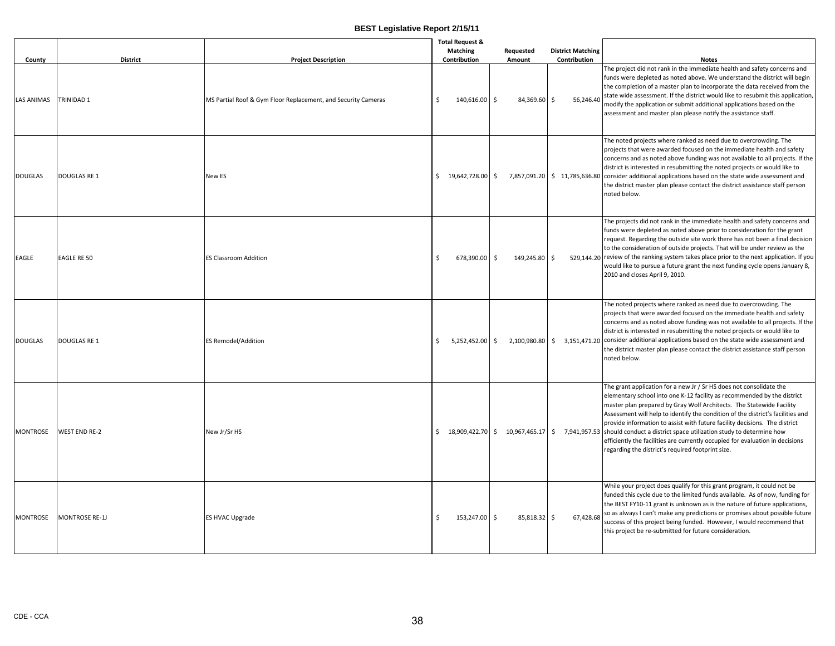| County            | <b>District</b>       | <b>Project Description</b>                                    | <b>Total Request &amp;</b><br><b>Matching</b><br>Contribution | Requested<br>Amount | <b>District Matching</b><br>Contribution | <b>Notes</b>                                                                                                                                                                                                                                                                                                                                                                                                                                                                                                                                                                                                                                       |
|-------------------|-----------------------|---------------------------------------------------------------|---------------------------------------------------------------|---------------------|------------------------------------------|----------------------------------------------------------------------------------------------------------------------------------------------------------------------------------------------------------------------------------------------------------------------------------------------------------------------------------------------------------------------------------------------------------------------------------------------------------------------------------------------------------------------------------------------------------------------------------------------------------------------------------------------------|
| <b>LAS ANIMAS</b> | <b>TRINIDAD 1</b>     | MS Partial Roof & Gym Floor Replacement, and Security Cameras | <sup>\$</sup><br>140.616.00 \$                                | 84,369.60           | Ŝ.                                       | The project did not rank in the immediate health and safety concerns and<br>funds were depleted as noted above. We understand the district will begin<br>the completion of a master plan to incorporate the data received from the<br>56,246.40 state wide assessment. If the district would like to resubmit this application,<br>modify the application or submit additional applications based on the<br>assessment and master plan please notify the assistance staff.                                                                                                                                                                         |
| <b>DOUGLAS</b>    | <b>DOUGLAS RE 1</b>   | New ES                                                        | $$19,642,728.00$ \$                                           |                     |                                          | The noted projects where ranked as need due to overcrowding. The<br>projects that were awarded focused on the immediate health and safety<br>concerns and as noted above funding was not available to all projects. If the<br>district is interested in resubmitting the noted projects or would like to<br>7,857,091.20 \$ 11,785,636.80 consider additional applications based on the state wide assessment and<br>the district master plan please contact the district assistance staff person<br>noted below.                                                                                                                                  |
| EAGLE             | <b>EAGLE RE 50</b>    | <b>ES Classroom Addition</b>                                  | Ŝ.<br>678,390.00 \$                                           | 149,245.80          | Ŝ.                                       | The projects did not rank in the immediate health and safety concerns and<br>funds were depleted as noted above prior to consideration for the grant<br>request. Regarding the outside site work there has not been a final decision<br>to the consideration of outside projects. That will be under review as the<br>529,144.20 review of the ranking system takes place prior to the next application. If you<br>would like to pursue a future grant the next funding cycle opens January 8,<br>2010 and closes April 9, 2010.                                                                                                                   |
| <b>DOUGLAS</b>    | <b>DOUGLAS RE 1</b>   | <b>ES Remodel/Addition</b>                                    | Ŝ.<br>5,252,452.00 \$                                         |                     |                                          | The noted projects where ranked as need due to overcrowding. The<br>projects that were awarded focused on the immediate health and safety<br>concerns and as noted above funding was not available to all projects. If the<br>district is interested in resubmitting the noted projects or would like to<br>$2,100,980.80$ $\mid$ \$ 3,151,471.20 consider additional applications based on the state wide assessment and<br>the district master plan please contact the district assistance staff person<br>noted below.                                                                                                                          |
| <b>MONTROSE</b>   | <b>WEST END RE-2</b>  | New Jr/Sr HS                                                  |                                                               |                     |                                          | The grant application for a new Jr / Sr HS does not consolidate the<br>elementary school into one K-12 facility as recommended by the district<br>master plan prepared by Gray Wolf Architects. The Statewide Facility<br>Assessment will help to identify the condition of the district's facilities and<br>provide information to assist with future facility decisions. The district<br>\$18,909,422.70 \$10,967,465.17 \$7,941,957.53 should conduct a district space utilization study to determine how<br>efficiently the facilities are currently occupied for evaluation in decisions<br>regarding the district's required footprint size. |
| <b>MONTROSE</b>   | <b>MONTROSE RE-1J</b> | ES HVAC Upgrade                                               | 153,247.00 \$<br>-Ś                                           | 85,818.32 \$        | 67,428.68                                | While your project does qualify for this grant program, it could not be<br>funded this cycle due to the limited funds available. As of now, funding for<br>the BEST FY10-11 grant is unknown as is the nature of future applications,<br>so as always I can't make any predictions or promises about possible future<br>success of this project being funded. However, I would recommend that<br>this project be re-submitted for future consideration.                                                                                                                                                                                            |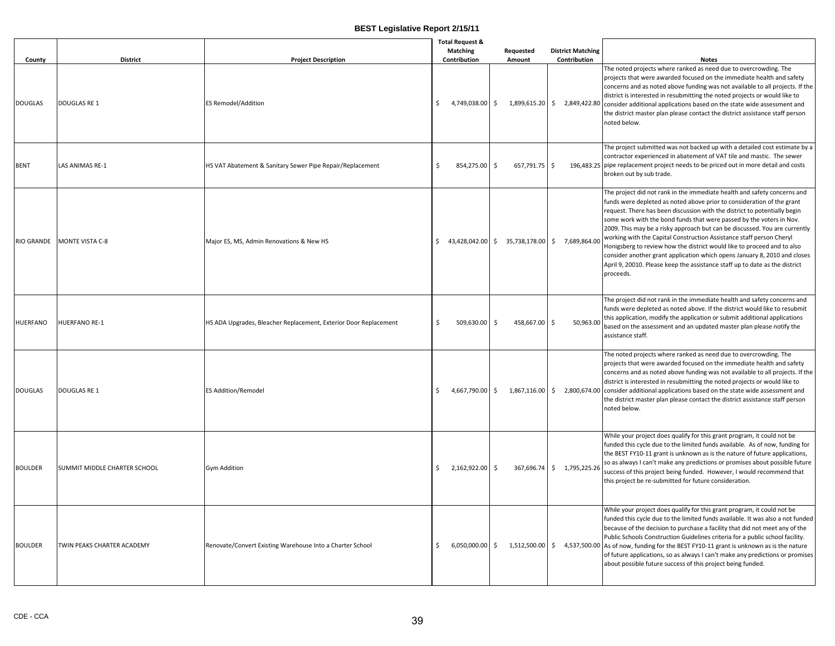| County            | <b>District</b>              | <b>Project Description</b>                                       | <b>Total Request &amp;</b><br><b>Matching</b><br>Contribution | Requested<br>Amount                                                                |              | <b>District Matching</b><br>Contribution | <b>Notes</b>                                                                                                                                                                                                                                                                                                                                                                                                                                                                                                                                                                                                                                                                                                      |
|-------------------|------------------------------|------------------------------------------------------------------|---------------------------------------------------------------|------------------------------------------------------------------------------------|--------------|------------------------------------------|-------------------------------------------------------------------------------------------------------------------------------------------------------------------------------------------------------------------------------------------------------------------------------------------------------------------------------------------------------------------------------------------------------------------------------------------------------------------------------------------------------------------------------------------------------------------------------------------------------------------------------------------------------------------------------------------------------------------|
| <b>DOUGLAS</b>    | <b>DOUGLAS RE 1</b>          | <b>ES Remodel/Addition</b>                                       | \$<br>4,749,038.00 \$                                         | 1,899,615.20 \$                                                                    |              |                                          | The noted projects where ranked as need due to overcrowding. The<br>projects that were awarded focused on the immediate health and safety<br>concerns and as noted above funding was not available to all projects. If the<br>district is interested in resubmitting the noted projects or would like to<br>2,849,422.80 consider additional applications based on the state wide assessment and<br>the district master plan please contact the district assistance staff person<br>noted below.                                                                                                                                                                                                                  |
| <b>BENT</b>       | LAS ANIMAS RE-1              | HS VAT Abatement & Sanitary Sewer Pipe Repair/Replacement        | \$<br>854,275.00 \$                                           | 657,791.75                                                                         | $\mathsf{S}$ |                                          | The project submitted was not backed up with a detailed cost estimate by a<br>contractor experienced in abatement of VAT tile and mastic. The sewer<br>196,483.25 pipe replacement project needs to be priced out in more detail and costs<br>broken out by sub trade.                                                                                                                                                                                                                                                                                                                                                                                                                                            |
| <b>RIO GRANDE</b> | <b>MONTE VISTA C-8</b>       | Major ES, MS, Admin Renovations & New HS                         |                                                               | $\frac{1}{2}$ 43,428,042.00 $\frac{1}{2}$ 35,738,178.00 $\frac{1}{2}$ 7,689,864.00 |              |                                          | The project did not rank in the immediate health and safety concerns and<br>funds were depleted as noted above prior to consideration of the grant<br>request. There has been discussion with the district to potentially begin<br>some work with the bond funds that were passed by the voters in Nov.<br>2009. This may be a risky approach but can be discussed. You are currently<br>working with the Capital Construction Assistance staff person Cheryl<br>Honigsberg to review how the district would like to proceed and to also<br>consider another grant application which opens January 8, 2010 and closes<br>April 9, 20010. Please keep the assistance staff up to date as the district<br>proceeds. |
| <b>HUERFANO</b>   | <b>HUERFANO RE-1</b>         | HS ADA Upgrades, Bleacher Replacement, Exterior Door Replacement | \$<br>509,630.00 \$                                           | 458,667.00                                                                         | l \$         | 50,963.00                                | The project did not rank in the immediate health and safety concerns and<br>funds were depleted as noted above. If the district would like to resubmit<br>this application, modify the application or submit additional applications<br>based on the assessment and an updated master plan please notify the<br>assistance staff.                                                                                                                                                                                                                                                                                                                                                                                 |
| <b>DOUGLAS</b>    | DOUGLAS RE 1                 | <b>ES Addition/Remodel</b>                                       | \$<br>4,667,790.00 \$                                         |                                                                                    |              |                                          | The noted projects where ranked as need due to overcrowding. The<br>projects that were awarded focused on the immediate health and safety<br>concerns and as noted above funding was not available to all projects. If the<br>district is interested in resubmitting the noted projects or would like to<br>1,867,116.00   \$2,800,674.00   consider additional applications based on the state wide assessment and<br>the district master plan please contact the district assistance staff person<br>noted below.                                                                                                                                                                                               |
| <b>BOULDER</b>    | SUMMIT MIDDLE CHARTER SCHOOL | <b>Gym Addition</b>                                              | \$<br>2,162,922.00 \$                                         | 367,696.74                                                                         |              | \$1,795,225.26                           | While your project does qualify for this grant program, it could not be<br>funded this cycle due to the limited funds available. As of now, funding for<br>the BEST FY10-11 grant is unknown as is the nature of future applications,<br>so as always I can't make any predictions or promises about possible future<br>success of this project being funded. However, I would recommend that<br>this project be re-submitted for future consideration.                                                                                                                                                                                                                                                           |
| <b>BOULDER</b>    | TWIN PEAKS CHARTER ACADEMY   | Renovate/Convert Existing Warehouse Into a Charter School        | \$<br>6,050,000.00 \$                                         |                                                                                    |              |                                          | While your project does qualify for this grant program, it could not be<br>funded this cycle due to the limited funds available. It was also a not funded<br>because of the decision to purchase a facility that did not meet any of the<br>Public Schools Construction Guidelines criteria for a public school facility.<br>1,512,500.00 $\binom{5}{7}$ 4,537,500.00 As of now, funding for the BEST FY10-11 grant is unknown as is the nature<br>of future applications, so as always I can't make any predictions or promises<br>about possible future success of this project being funded.                                                                                                                   |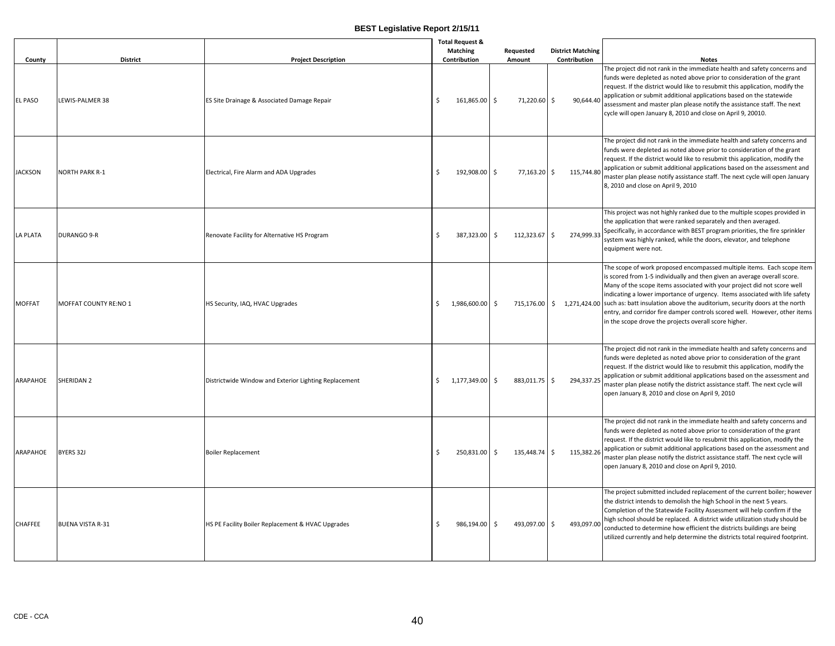| County          | <b>District</b>         | <b>Project Description</b>                            | <b>Total Request &amp;</b><br><b>Matching</b><br>Contribution |              |    | Requested<br>Amount |         | <b>District Matching</b><br>Contribution | <b>Notes</b>                                                                                                                                                                                                                                                                                                                                                                                                                                                                                                                                                  |
|-----------------|-------------------------|-------------------------------------------------------|---------------------------------------------------------------|--------------|----|---------------------|---------|------------------------------------------|---------------------------------------------------------------------------------------------------------------------------------------------------------------------------------------------------------------------------------------------------------------------------------------------------------------------------------------------------------------------------------------------------------------------------------------------------------------------------------------------------------------------------------------------------------------|
| <b>EL PASO</b>  | LEWIS-PALMER 38         | ES Site Drainage & Associated Damage Repair           | Ś                                                             | 161,865.00   | \$ | 71,220.60           | Ŝ.      | 90,644.40                                | The project did not rank in the immediate health and safety concerns and<br>funds were depleted as noted above prior to consideration of the grant<br>request. If the district would like to resubmit this application, modify the<br>application or submit additional applications based on the statewide<br>assessment and master plan please notify the assistance staff. The next<br>cycle will open January 8, 2010 and close on April 9, 20010.                                                                                                         |
| <b>JACKSON</b>  | <b>NORTH PARK R-1</b>   | Electrical, Fire Alarm and ADA Upgrades               | Ś                                                             | 192,908.00   | \$ | 77,163.20 \$        |         | 115,744.80                               | The project did not rank in the immediate health and safety concerns and<br>funds were depleted as noted above prior to consideration of the grant<br>request. If the district would like to resubmit this application, modify the<br>application or submit additional applications based on the assessment and<br>master plan please notify assistance staff. The next cycle will open January<br>8, 2010 and close on April 9, 2010                                                                                                                         |
| <b>LA PLATA</b> | <b>DURANGO 9-R</b>      | Renovate Facility for Alternative HS Program          | Ś                                                             | 387.323.00   | \$ | 112.323.67          | $\zeta$ | 274.999.33                               | This project was not highly ranked due to the multiple scopes provided in<br>the application that were ranked separately and then averaged.<br>Specifically, in accordance with BEST program priorities, the fire sprinkler<br>system was highly ranked, while the doors, elevator, and telephone<br>equipment were not.                                                                                                                                                                                                                                      |
| <b>MOFFAT</b>   | MOFFAT COUNTY RE:NO 1   | HS Security, IAQ, HVAC Upgrades                       | Ś                                                             | 1,986,600.00 | Ŝ. |                     |         |                                          | The scope of work proposed encompassed multiple items. Each scope item<br>is scored from 1-5 individually and then given an average overall score.<br>Many of the scope items associated with your project did not score well<br>indicating a lower importance of urgency. Items associated with life safety<br>715,176.00 \ \$1,271,424.00 such as: batt insulation above the auditorium, security doors at the north<br>entry, and corridor fire damper controls scored well. However, other items<br>in the scope drove the projects overall score higher. |
| ARAPAHOE        | SHERIDAN 2              | Districtwide Window and Exterior Lighting Replacement | \$                                                            | 1,177,349.00 | \$ | 883,011.75          | \$      | 294,337.25                               | The project did not rank in the immediate health and safety concerns and<br>funds were depleted as noted above prior to consideration of the grant<br>request. If the district would like to resubmit this application, modify the<br>application or submit additional applications based on the assessment and<br>master plan please notify the district assistance staff. The next cycle will<br>open January 8, 2010 and close on April 9, 2010                                                                                                            |
| ARAPAHOE        | BYERS 32J               | <b>Boiler Replacement</b>                             | Ś                                                             | 250,831.00   | \$ | 135,448.74 \$       |         | 115,382.26                               | The project did not rank in the immediate health and safety concerns and<br>funds were depleted as noted above prior to consideration of the grant<br>request. If the district would like to resubmit this application, modify the<br>application or submit additional applications based on the assessment and<br>master plan please notify the district assistance staff. The next cycle will<br>open January 8, 2010 and close on April 9, 2010.                                                                                                           |
| <b>CHAFFEE</b>  | <b>BUENA VISTA R-31</b> | HS PE Facility Boiler Replacement & HVAC Upgrades     | Ś                                                             | 986,194.00   | Ŝ. | 493,097.00          | Ŝ.      | 493,097.00                               | The project submitted included replacement of the current boiler; however<br>the district intends to demolish the high School in the next 5 years.<br>Completion of the Statewide Facility Assessment will help confirm if the<br>high school should be replaced. A district wide utilization study should be<br>conducted to determine how efficient the districts buildings are being<br>utilized currently and help determine the districts total required footprint.                                                                                      |